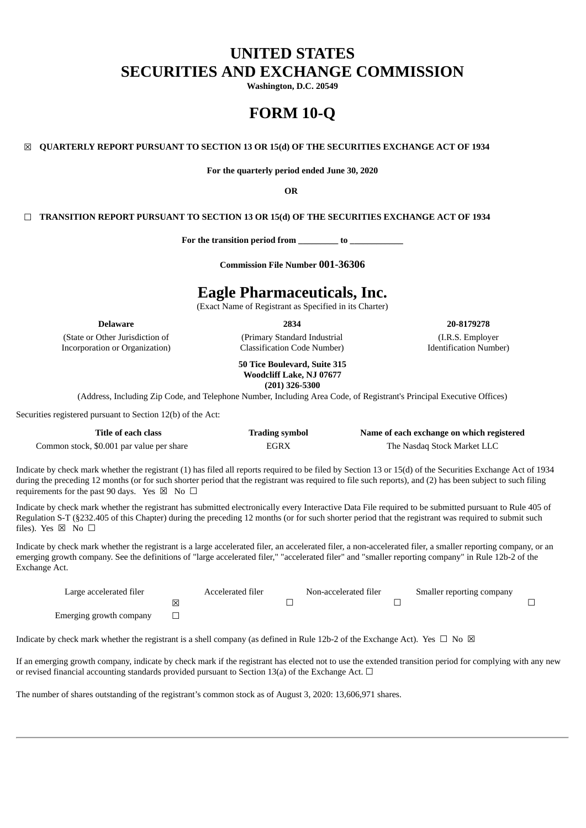# **UNITED STATES SECURITIES AND EXCHANGE COMMISSION**

**Washington, D.C. 20549**

# **FORM 10-Q**

## ☒ **QUARTERLY REPORT PURSUANT TO SECTION 13 OR 15(d) OF THE SECURITIES EXCHANGE ACT OF 1934**

**For the quarterly period ended June 30, 2020**

**OR**

#### ☐ **TRANSITION REPORT PURSUANT TO SECTION 13 OR 15(d) OF THE SECURITIES EXCHANGE ACT OF 1934**

**For the transition period from \_\_\_\_\_\_\_\_\_ to \_\_\_\_\_\_\_\_\_\_\_\_**

**Commission File Number 001-36306**

## **Eagle Pharmaceuticals, Inc.**

(Exact Name of Registrant as Specified in its Charter)

(State or Other Jurisdiction of Incorporation or Organization)

(Primary Standard Industrial Classification Code Number)

**Delaware 2834 20-8179278**

(I.R.S. Employer Identification Number)

**50 Tice Boulevard, Suite 315 Woodcliff Lake, NJ 07677 (201) 326-5300**

(Address, Including Zip Code, and Telephone Number, Including Area Code, of Registrant's Principal Executive Offices)

Securities registered pursuant to Section 12(b) of the Act:

| Title of each class                       | <b>Trading symbol</b> | Name of each exchange on which registered |
|-------------------------------------------|-----------------------|-------------------------------------------|
| Common stock, \$0.001 par value per share | EGRX                  | The Nasdag Stock Market LLC               |

Indicate by check mark whether the registrant (1) has filed all reports required to be filed by Section 13 or 15(d) of the Securities Exchange Act of 1934 during the preceding 12 months (or for such shorter period that the registrant was required to file such reports), and (2) has been subject to such filing requirements for the past 90 days. Yes  $\boxtimes$  No  $\Box$ 

Indicate by check mark whether the registrant has submitted electronically every Interactive Data File required to be submitted pursuant to Rule 405 of Regulation S-T (§232.405 of this Chapter) during the preceding 12 months (or for such shorter period that the registrant was required to submit such files). Yes ⊠ No □

Indicate by check mark whether the registrant is a large accelerated filer, an accelerated filer, a non-accelerated filer, a smaller reporting company, or an emerging growth company. See the definitions of "large accelerated filer," "accelerated filer" and "smaller reporting company" in Rule 12b-2 of the Exchange Act.

| Large accelerated filer |   | Accelerated filer | Non-accelerated filer | Smaller reporting company |  |
|-------------------------|---|-------------------|-----------------------|---------------------------|--|
|                         | ⊠ |                   |                       |                           |  |
| Emerging growth company |   |                   |                       |                           |  |

Indicate by check mark whether the registrant is a shell company (as defined in Rule 12b-2 of the Exchange Act). Yes  $\Box$  No  $\boxtimes$ 

If an emerging growth company, indicate by check mark if the registrant has elected not to use the extended transition period for complying with any new or revised financial accounting standards provided pursuant to Section 13(a) of the Exchange Act.  $\Box$ 

The number of shares outstanding of the registrant's common stock as of August 3, 2020: 13,606,971 shares.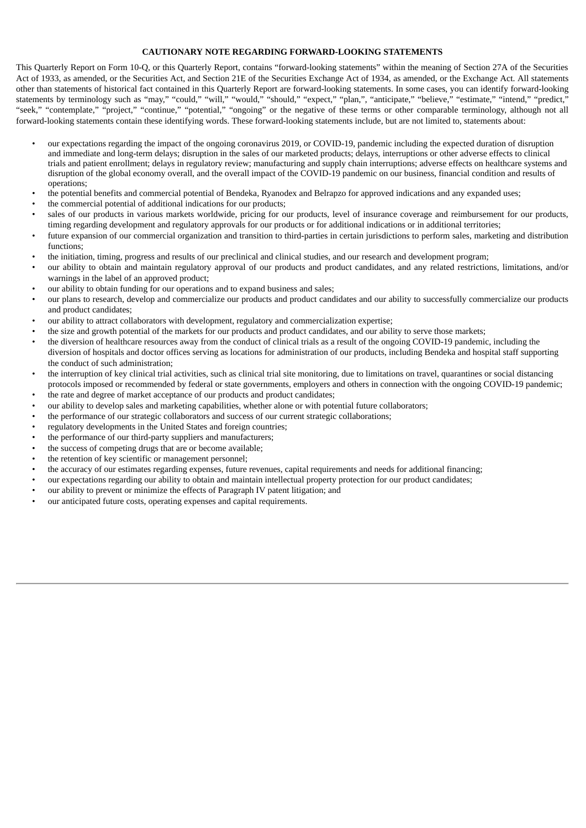## **CAUTIONARY NOTE REGARDING FORWARD-LOOKING STATEMENTS**

This Quarterly Report on Form 10-Q, or this Quarterly Report, contains "forward-looking statements" within the meaning of Section 27A of the Securities Act of 1933, as amended, or the Securities Act, and Section 21E of the Securities Exchange Act of 1934, as amended, or the Exchange Act. All statements other than statements of historical fact contained in this Quarterly Report are forward-looking statements. In some cases, you can identify forward-looking statements by terminology such as "may," "could," "will," "would," "should," "expect," "plan,", "anticipate," "believe," "estimate," "intend," "predict," "seek," "contemplate," "project," "continue," "potential," "ongoing" or the negative of these terms or other comparable terminology, although not all forward-looking statements contain these identifying words. These forward-looking statements include, but are not limited to, statements about:

- our expectations regarding the impact of the ongoing coronavirus 2019, or COVID-19, pandemic including the expected duration of disruption and immediate and long-term delays; disruption in the sales of our marketed products; delays, interruptions or other adverse effects to clinical trials and patient enrollment; delays in regulatory review; manufacturing and supply chain interruptions; adverse effects on healthcare systems and disruption of the global economy overall, and the overall impact of the COVID-19 pandemic on our business, financial condition and results of operations;
- the potential benefits and commercial potential of Bendeka, Ryanodex and Belrapzo for approved indications and any expanded uses;
- the commercial potential of additional indications for our products;
- sales of our products in various markets worldwide, pricing for our products, level of insurance coverage and reimbursement for our products, timing regarding development and regulatory approvals for our products or for additional indications or in additional territories;
- future expansion of our commercial organization and transition to third-parties in certain jurisdictions to perform sales, marketing and distribution functions;
- the initiation, timing, progress and results of our preclinical and clinical studies, and our research and development program;
- our ability to obtain and maintain regulatory approval of our products and product candidates, and any related restrictions, limitations, and/or warnings in the label of an approved product;
- our ability to obtain funding for our operations and to expand business and sales;
- our plans to research, develop and commercialize our products and product candidates and our ability to successfully commercialize our products and product candidates;
- our ability to attract collaborators with development, regulatory and commercialization expertise;
- the size and growth potential of the markets for our products and product candidates, and our ability to serve those markets;
- the diversion of healthcare resources away from the conduct of clinical trials as a result of the ongoing COVID-19 pandemic, including the diversion of hospitals and doctor offices serving as locations for administration of our products, including Bendeka and hospital staff supporting the conduct of such administration;
- the interruption of key clinical trial activities, such as clinical trial site monitoring, due to limitations on travel, quarantines or social distancing protocols imposed or recommended by federal or state governments, employers and others in connection with the ongoing COVID-19 pandemic;
- the rate and degree of market acceptance of our products and product candidates;
- our ability to develop sales and marketing capabilities, whether alone or with potential future collaborators;
- the performance of our strategic collaborators and success of our current strategic collaborations;
- regulatory developments in the United States and foreign countries;
- the performance of our third-party suppliers and manufacturers;
- the success of competing drugs that are or become available;
- the retention of key scientific or management personnel;
- the accuracy of our estimates regarding expenses, future revenues, capital requirements and needs for additional financing;
- our expectations regarding our ability to obtain and maintain intellectual property protection for our product candidates;
- our ability to prevent or minimize the effects of Paragraph IV patent litigation; and
- our anticipated future costs, operating expenses and capital requirements.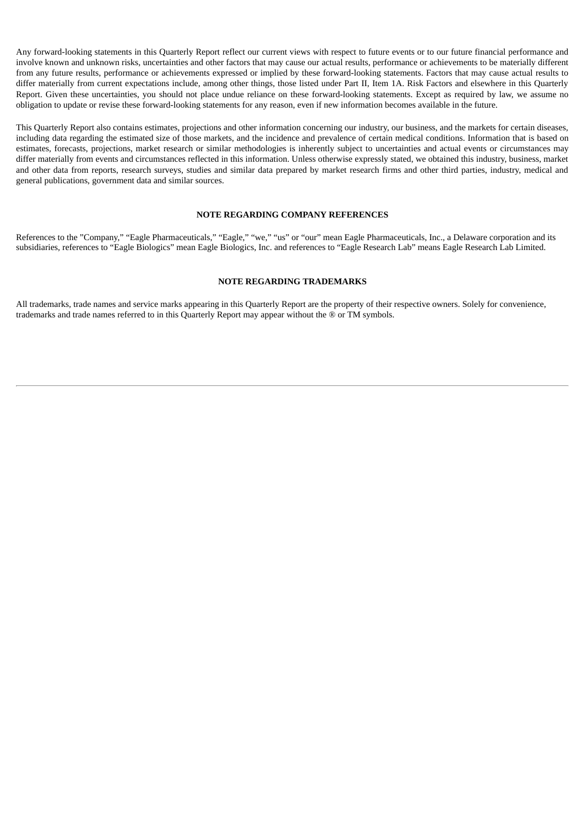Any forward-looking statements in this Quarterly Report reflect our current views with respect to future events or to our future financial performance and involve known and unknown risks, uncertainties and other factors that may cause our actual results, performance or achievements to be materially different from any future results, performance or achievements expressed or implied by these forward-looking statements. Factors that may cause actual results to differ materially from current expectations include, among other things, those listed under Part II, Item 1A. Risk Factors and elsewhere in this Quarterly Report. Given these uncertainties, you should not place undue reliance on these forward-looking statements. Except as required by law, we assume no obligation to update or revise these forward-looking statements for any reason, even if new information becomes available in the future.

This Quarterly Report also contains estimates, projections and other information concerning our industry, our business, and the markets for certain diseases, including data regarding the estimated size of those markets, and the incidence and prevalence of certain medical conditions. Information that is based on estimates, forecasts, projections, market research or similar methodologies is inherently subject to uncertainties and actual events or circumstances may differ materially from events and circumstances reflected in this information. Unless otherwise expressly stated, we obtained this industry, business, market and other data from reports, research surveys, studies and similar data prepared by market research firms and other third parties, industry, medical and general publications, government data and similar sources.

#### **NOTE REGARDING COMPANY REFERENCES**

References to the "Company," "Eagle Pharmaceuticals," "Eagle," "we," "us" or "our" mean Eagle Pharmaceuticals, Inc., a Delaware corporation and its subsidiaries, references to "Eagle Biologics" mean Eagle Biologics, Inc. and references to "Eagle Research Lab" means Eagle Research Lab Limited.

#### **NOTE REGARDING TRADEMARKS**

All trademarks, trade names and service marks appearing in this Quarterly Report are the property of their respective owners. Solely for convenience, trademarks and trade names referred to in this Quarterly Report may appear without the ® or TM symbols.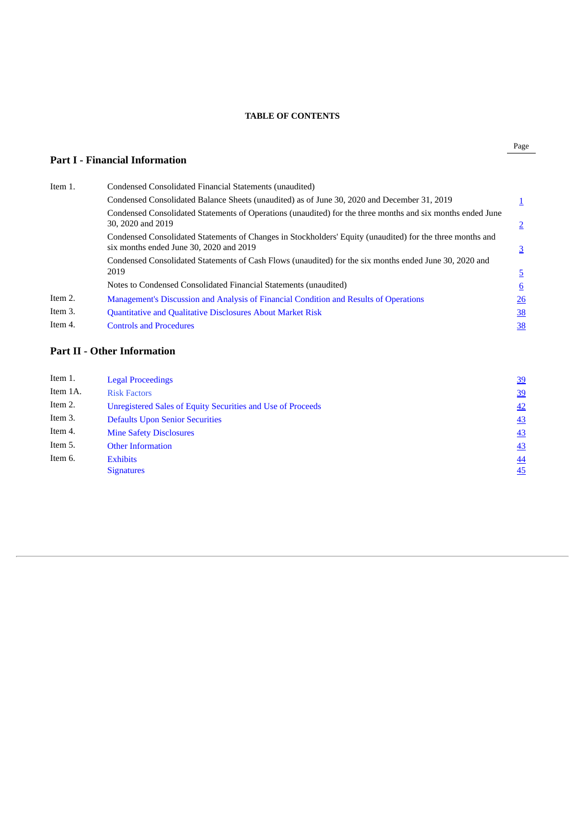## **TABLE OF CONTENTS**

## **Part I - Financial Information**

| Item 1. | Condensed Consolidated Financial Statements (unaudited)                                                                                              |                 |
|---------|------------------------------------------------------------------------------------------------------------------------------------------------------|-----------------|
|         | Condensed Consolidated Balance Sheets (unaudited) as of June 30, 2020 and December 31, 2019                                                          |                 |
|         | Condensed Consolidated Statements of Operations (unaudited) for the three months and six months ended June<br>30, 2020 and 2019                      | $\overline{2}$  |
|         | Condensed Consolidated Statements of Changes in Stockholders' Equity (unaudited) for the three months and<br>six months ended June 30, 2020 and 2019 | $\overline{3}$  |
|         | Condensed Consolidated Statements of Cash Flows (unaudited) for the six months ended June 30, 2020 and                                               |                 |
|         | 2019                                                                                                                                                 | $\overline{5}$  |
|         | Notes to Condensed Consolidated Financial Statements (unaudited)                                                                                     | $6\overline{6}$ |
| Item 2. | Management's Discussion and Analysis of Financial Condition and Results of Operations                                                                | $\overline{26}$ |
| Item 3. | <b>Quantitative and Qualitative Disclosures About Market Risk</b>                                                                                    | 38              |
| Item 4. | <b>Controls and Procedures</b>                                                                                                                       | <u>38</u>       |

## **Part II - Other Information**

| Item 1.  | <b>Legal Proceedings</b>                                           | 39              |
|----------|--------------------------------------------------------------------|-----------------|
| Item 1A. | <b>Risk Factors</b>                                                | 39              |
| Item 2.  | <b>Unregistered Sales of Equity Securities and Use of Proceeds</b> | 42              |
| Item 3.  | <b>Defaults Upon Senior Securities</b>                             | 43              |
| Item 4.  | <b>Mine Safety Disclosures</b>                                     | 43              |
| Item 5.  | <b>Other Information</b>                                           | 43              |
| Item 6.  | <b>Exhibits</b>                                                    | $\overline{44}$ |
|          | <b>Signatures</b>                                                  | 45              |
|          |                                                                    |                 |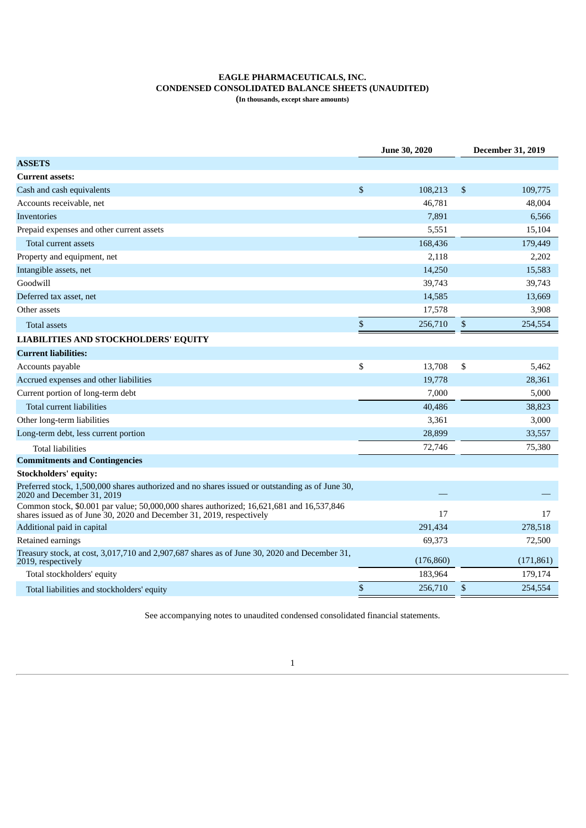### **EAGLE PHARMACEUTICALS, INC. CONDENSED CONSOLIDATED BALANCE SHEETS (UNAUDITED) (In thousands, except share amounts)**

<span id="page-4-0"></span>

|                                                                                                                                                                   | <b>June 30, 2020</b> |              | <b>December 31, 2019</b> |
|-------------------------------------------------------------------------------------------------------------------------------------------------------------------|----------------------|--------------|--------------------------|
| <b>ASSETS</b>                                                                                                                                                     |                      |              |                          |
| <b>Current assets:</b>                                                                                                                                            |                      |              |                          |
| Cash and cash equivalents                                                                                                                                         | \$<br>108,213        | $\mathbb{S}$ | 109,775                  |
| Accounts receivable, net                                                                                                                                          | 46,781               |              | 48,004                   |
| <b>Inventories</b>                                                                                                                                                | 7,891                |              | 6,566                    |
| Prepaid expenses and other current assets                                                                                                                         | 5,551                |              | 15,104                   |
| Total current assets                                                                                                                                              | 168,436              |              | 179,449                  |
| Property and equipment, net                                                                                                                                       | 2,118                |              | 2,202                    |
| Intangible assets, net                                                                                                                                            | 14,250               |              | 15,583                   |
| Goodwill                                                                                                                                                          | 39,743               |              | 39,743                   |
| Deferred tax asset, net                                                                                                                                           | 14,585               |              | 13,669                   |
| Other assets                                                                                                                                                      | 17,578               |              | 3,908                    |
| <b>Total assets</b>                                                                                                                                               | \$<br>256,710        | \$           | 254,554                  |
| <b>LIABILITIES AND STOCKHOLDERS' EQUITY</b>                                                                                                                       |                      |              |                          |
| <b>Current liabilities:</b>                                                                                                                                       |                      |              |                          |
| Accounts payable                                                                                                                                                  | \$<br>13,708         | \$           | 5,462                    |
| Accrued expenses and other liabilities                                                                                                                            | 19,778               |              | 28,361                   |
| Current portion of long-term debt                                                                                                                                 | 7,000                |              | 5,000                    |
| <b>Total current liabilities</b>                                                                                                                                  | 40,486               |              | 38,823                   |
| Other long-term liabilities                                                                                                                                       | 3,361                |              | 3,000                    |
| Long-term debt, less current portion                                                                                                                              | 28,899               |              | 33,557                   |
| <b>Total liabilities</b>                                                                                                                                          | 72,746               |              | 75,380                   |
| <b>Commitments and Contingencies</b>                                                                                                                              |                      |              |                          |
| <b>Stockholders' equity:</b>                                                                                                                                      |                      |              |                          |
| Preferred stock, 1,500,000 shares authorized and no shares issued or outstanding as of June 30,<br>2020 and December 31, 2019                                     |                      |              |                          |
| Common stock, \$0.001 par value; 50,000,000 shares authorized; 16,621,681 and 16,537,846<br>shares issued as of June 30, 2020 and December 31, 2019, respectively | 17                   |              | 17                       |
| Additional paid in capital                                                                                                                                        | 291,434              |              | 278,518                  |
| Retained earnings                                                                                                                                                 | 69,373               |              | 72,500                   |
| Treasury stock, at cost, 3,017,710 and 2,907,687 shares as of June 30, 2020 and December 31,<br>2019, respectively                                                | (176, 860)           |              | (171, 861)               |
| Total stockholders' equity                                                                                                                                        | 183,964              |              | 179,174                  |
| Total liabilities and stockholders' equity                                                                                                                        | \$<br>256,710        | \$           | 254,554                  |

<span id="page-4-1"></span>See accompanying notes to unaudited condensed consolidated financial statements.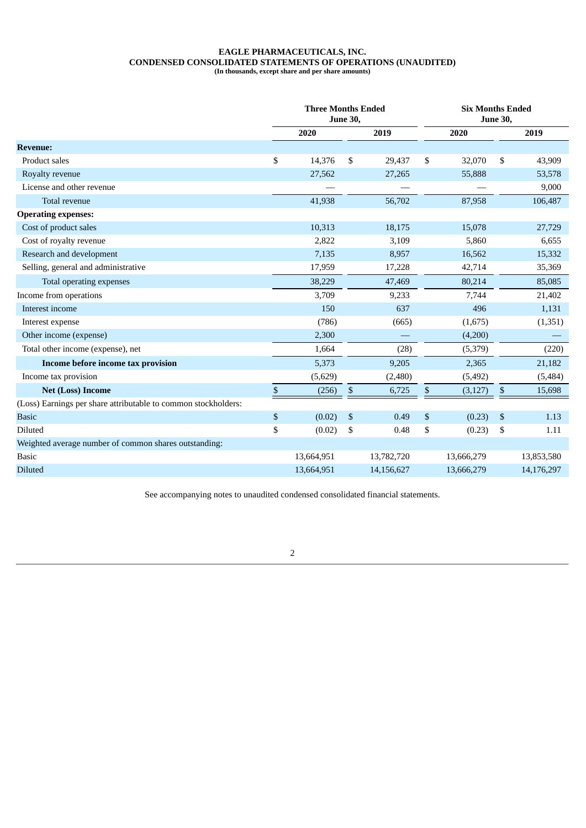#### **EAGLE PHARMACEUTICALS, INC. CONDENSED CONSOLIDATED STATEMENTS OF OPERATIONS (UNAUDITED) (In thousands, except share and per share amounts)**

|                                                                | <b>Three Months Ended</b> | <b>June 30,</b>           |            | <b>Six Months Ended</b><br><b>June 30,</b> |            |    |            |  |
|----------------------------------------------------------------|---------------------------|---------------------------|------------|--------------------------------------------|------------|----|------------|--|
|                                                                | 2020                      |                           | 2019       |                                            | 2020       |    | 2019       |  |
| <b>Revenue:</b>                                                |                           |                           |            |                                            |            |    |            |  |
| Product sales                                                  | \$<br>14,376              | \$                        | 29,437     | \$                                         | 32,070     | \$ | 43,909     |  |
| Royalty revenue                                                | 27,562                    |                           | 27,265     |                                            | 55,888     |    | 53,578     |  |
| License and other revenue                                      |                           |                           |            |                                            |            |    | 9,000      |  |
| Total revenue                                                  | 41,938                    |                           | 56,702     |                                            | 87,958     |    | 106,487    |  |
| <b>Operating expenses:</b>                                     |                           |                           |            |                                            |            |    |            |  |
| Cost of product sales                                          | 10,313                    |                           | 18,175     |                                            | 15,078     |    | 27,729     |  |
| Cost of royalty revenue                                        | 2,822                     |                           | 3,109      |                                            | 5,860      |    | 6,655      |  |
| Research and development                                       | 7,135                     |                           | 8,957      |                                            | 16,562     |    | 15,332     |  |
| Selling, general and administrative                            | 17,959                    |                           | 17,228     |                                            | 42,714     |    | 35,369     |  |
| Total operating expenses                                       | 38,229                    |                           | 47,469     |                                            | 80,214     |    | 85,085     |  |
| Income from operations                                         | 3,709                     |                           | 9,233      |                                            | 7,744      |    | 21,402     |  |
| Interest income                                                | 150                       |                           | 637        |                                            | 496        |    | 1,131      |  |
| Interest expense                                               | (786)                     |                           | (665)      |                                            | (1,675)    |    | (1, 351)   |  |
| Other income (expense)                                         | 2,300                     |                           |            |                                            | (4,200)    |    |            |  |
| Total other income (expense), net                              | 1,664                     |                           | (28)       |                                            | (5,379)    |    | (220)      |  |
| Income before income tax provision                             | 5,373                     |                           | 9,205      |                                            | 2,365      |    | 21,182     |  |
| Income tax provision                                           | (5,629)                   |                           | (2,480)    |                                            | (5, 492)   |    | (5,484)    |  |
| <b>Net (Loss) Income</b>                                       | \$<br>(256)               | \$                        | 6,725      | \$                                         | (3, 127)   | \$ | 15,698     |  |
| (Loss) Earnings per share attributable to common stockholders: |                           |                           |            |                                            |            |    |            |  |
| <b>Basic</b>                                                   | \$<br>(0.02)              | $\boldsymbol{\mathsf{S}}$ | 0.49       | $\mathbb{S}$                               | (0.23)     | \$ | 1.13       |  |
| Diluted                                                        | \$<br>(0.02)              | \$                        | 0.48       | \$                                         | (0.23)     | \$ | 1.11       |  |
| Weighted average number of common shares outstanding:          |                           |                           |            |                                            |            |    |            |  |
| <b>Basic</b>                                                   | 13,664,951                |                           | 13,782,720 |                                            | 13,666,279 |    | 13,853,580 |  |
| <b>Diluted</b>                                                 | 13,664,951                |                           | 14,156,627 |                                            | 13,666,279 |    | 14,176,297 |  |

<span id="page-5-0"></span>See accompanying notes to unaudited condensed consolidated financial statements.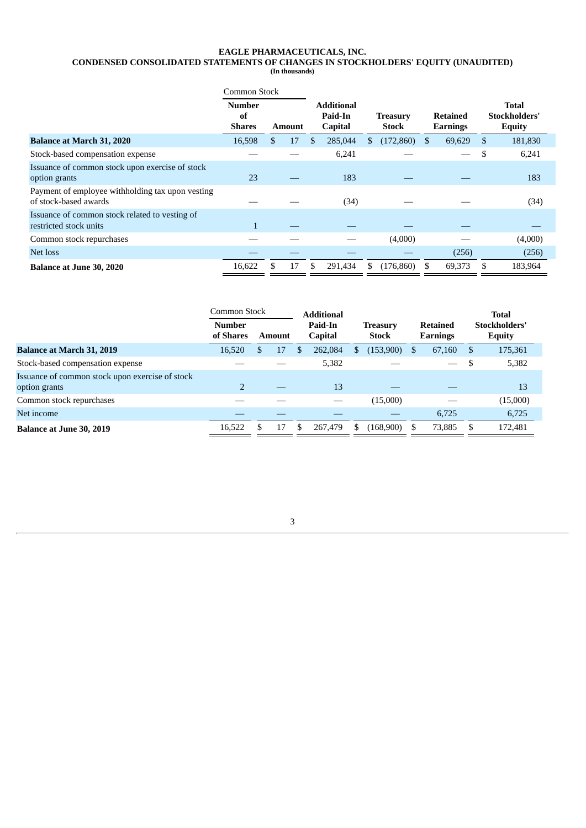#### **EAGLE PHARMACEUTICALS, INC. CONDENSED CONSOLIDATED STATEMENTS OF CHANGES IN STOCKHOLDERS' EQUITY (UNAUDITED) (In thousands)**

|                                                                           | <b>Common Stock</b>                  |     |               |                                                |    |                                 |      |                             |     |                                                |
|---------------------------------------------------------------------------|--------------------------------------|-----|---------------|------------------------------------------------|----|---------------------------------|------|-----------------------------|-----|------------------------------------------------|
|                                                                           | <b>Number</b><br>of<br><b>Shares</b> |     | <b>Amount</b> | <b>Additional</b><br>Paid-In<br><b>Capital</b> |    | <b>Treasury</b><br><b>Stock</b> |      | <b>Retained</b><br>Earnings |     | <b>Total</b><br>Stockholders'<br><b>Equity</b> |
| <b>Balance at March 31, 2020</b>                                          | 16,598                               | \$. | 17            | \$<br>285,044                                  | \$ | $(172,860)$ \$                  |      | 69,629                      | \$. | 181,830                                        |
| Stock-based compensation expense                                          |                                      |     |               | 6,241                                          |    |                                 |      |                             | \$  | 6,241                                          |
| Issuance of common stock upon exercise of stock<br>option grants          | 23                                   |     |               | 183                                            |    |                                 |      |                             |     | 183                                            |
| Payment of employee withholding tax upon vesting<br>of stock-based awards |                                      |     |               | (34)                                           |    |                                 |      |                             |     | (34)                                           |
| Issuance of common stock related to vesting of<br>restricted stock units  | $\mathbf{1}$                         |     |               |                                                |    |                                 |      |                             |     |                                                |
| Common stock repurchases                                                  |                                      |     |               |                                                |    | (4,000)                         |      |                             |     | (4,000)                                        |
| Net loss                                                                  |                                      |     |               |                                                |    |                                 |      | (256)                       |     | (256)                                          |
| <b>Balance at June 30, 2020</b>                                           | 16,622                               | £.  | 17            | \$<br>291.434                                  | S. | (176, 860)                      | - \$ | 69,373                      |     | 183,964                                        |

|                                                                  | Common Stock               |     |               | <b>Additional</b>                                                                           |         |     |           |                                |                          |    | <b>Total</b> |
|------------------------------------------------------------------|----------------------------|-----|---------------|---------------------------------------------------------------------------------------------|---------|-----|-----------|--------------------------------|--------------------------|----|--------------|
|                                                                  | <b>Number</b><br>of Shares |     | <b>Amount</b> | Paid-In<br><b>Retained</b><br><b>Treasury</b><br><b>Capital</b><br><b>Stock</b><br>Earnings |         |     |           | Stockholders'<br><b>Equity</b> |                          |    |              |
| <b>Balance at March 31, 2019</b>                                 | 16,520                     | \$. | 17            |                                                                                             | 262,084 | S   | (153,900) | - \$                           | 67,160                   | -S | 175,361      |
| Stock-based compensation expense                                 |                            |     |               |                                                                                             | 5,382   |     |           |                                | $\overline{\phantom{0}}$ |    | 5,382        |
| Issuance of common stock upon exercise of stock<br>option grants |                            |     |               |                                                                                             | 13      |     |           |                                |                          |    | 13           |
| Common stock repurchases                                         |                            |     |               |                                                                                             |         |     | (15,000)  |                                |                          |    | (15,000)     |
| Net income                                                       |                            |     |               |                                                                                             |         |     |           |                                | 6,725                    |    | 6,725        |
| <b>Balance at June 30, 2019</b>                                  | 16,522                     | £.  | 17            | -S                                                                                          | 267,479 | \$. | (168,900) | - S                            | 73,885                   |    | 172,481      |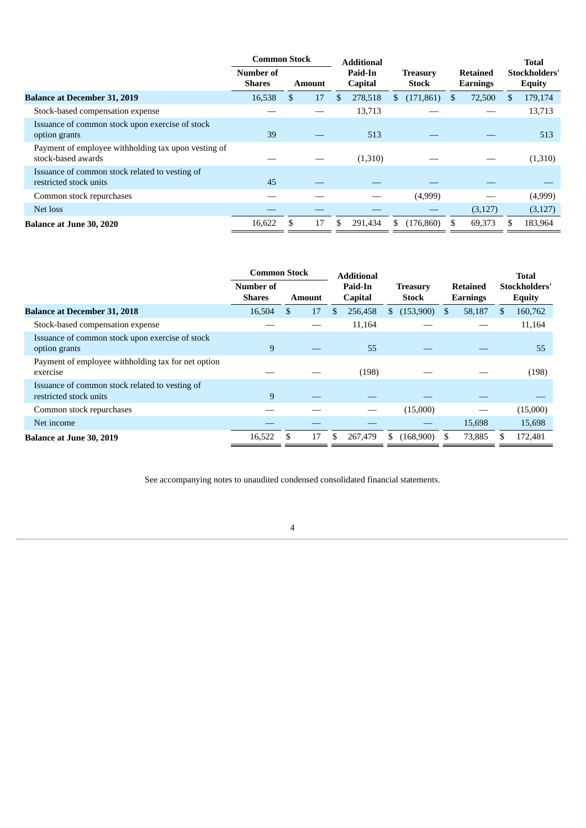|                                                                           | <b>Common Stock</b>        |   |               | <b>Additional</b> |                    |     |                                 |    |                             |    | <b>Total</b>                          |
|---------------------------------------------------------------------------|----------------------------|---|---------------|-------------------|--------------------|-----|---------------------------------|----|-----------------------------|----|---------------------------------------|
|                                                                           | Number of<br><b>Shares</b> |   | <b>Amount</b> |                   | Paid-In<br>Capital |     | <b>Treasury</b><br><b>Stock</b> |    | Retained<br><b>Earnings</b> |    | <b>Stockholders'</b><br><b>Equity</b> |
| <b>Balance at December 31, 2019</b>                                       | 16,538                     | S | 17            | S.                | 278,518            | S.  | (171, 861)                      | S. | 72,500                      | S. | 179,174                               |
| Stock-based compensation expense                                          |                            |   |               |                   | 13,713             |     |                                 |    |                             |    | 13,713                                |
| Issuance of common stock upon exercise of stock<br>option grants          | 39                         |   |               |                   | 513                |     |                                 |    |                             |    | 513                                   |
| Payment of employee withholding tax upon vesting of<br>stock-based awards |                            |   |               |                   | (1,310)            |     |                                 |    |                             |    | (1,310)                               |
| Issuance of common stock related to vesting of<br>restricted stock units  | 45                         |   |               |                   |                    |     |                                 |    |                             |    |                                       |
| Common stock repurchases                                                  |                            |   |               |                   |                    |     | (4,999)                         |    |                             |    | (4,999)                               |
| Net loss                                                                  |                            |   |               |                   |                    |     |                                 |    | (3,127)                     |    | (3, 127)                              |
| <b>Balance at June 30, 2020</b>                                           | 16,622                     |   | 17            |                   | 291,434            | \$. | (176, 860)                      |    | 69,373                      |    | 183,964                               |

|                                                                          | <b>Common Stock</b>        |          |  | <b>Additional</b>         |                                 |                                    |        | <b>Total</b>                   |
|--------------------------------------------------------------------------|----------------------------|----------|--|---------------------------|---------------------------------|------------------------------------|--------|--------------------------------|
|                                                                          | Number of<br><b>Shares</b> | Amount   |  | Paid-In<br><b>Capital</b> | <b>Treasury</b><br><b>Stock</b> | <b>Retained</b><br><b>Earnings</b> |        | Stockholders'<br><b>Equity</b> |
| <b>Balance at December 31, 2018</b>                                      | 16,504                     | 17<br>\$ |  | 256,458<br>-S             | (153,900)<br>\$                 | \$                                 | 58,187 | \$<br>160,762                  |
| Stock-based compensation expense                                         |                            |          |  | 11,164                    |                                 |                                    |        | 11,164                         |
| Issuance of common stock upon exercise of stock<br>option grants         | 9                          |          |  | 55                        |                                 |                                    |        | 55                             |
| Payment of employee withholding tax for net option<br>exercise           |                            |          |  | (198)                     |                                 |                                    |        | (198)                          |
| Issuance of common stock related to vesting of<br>restricted stock units | 9                          |          |  |                           |                                 |                                    |        |                                |
| Common stock repurchases                                                 |                            |          |  |                           | (15,000)                        |                                    |        | (15,000)                       |
| Net income                                                               |                            |          |  |                           |                                 |                                    | 15.698 | 15,698                         |
| <b>Balance at June 30, 2019</b>                                          | 16,522                     | 17       |  | 267,479<br>\$.            | (168,900)<br>S                  |                                    | 73,885 | 172,481                        |

<span id="page-7-0"></span>See accompanying notes to unaudited condensed consolidated financial statements.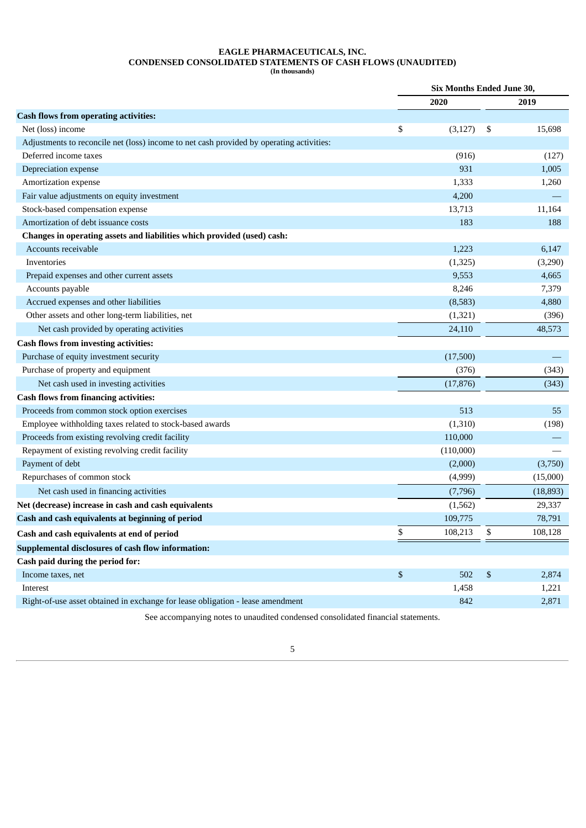## **EAGLE PHARMACEUTICALS, INC. CONDENSED CONSOLIDATED STATEMENTS OF CASH FLOWS (UNAUDITED)**

**(In thousands)**

|                                                                                          | <b>Six Months Ended June 30,</b> |           |    |           |  |
|------------------------------------------------------------------------------------------|----------------------------------|-----------|----|-----------|--|
|                                                                                          |                                  | 2020      |    | 2019      |  |
| <b>Cash flows from operating activities:</b>                                             |                                  |           |    |           |  |
| Net (loss) income                                                                        | \$                               | (3, 127)  | \$ | 15,698    |  |
| Adjustments to reconcile net (loss) income to net cash provided by operating activities: |                                  |           |    |           |  |
| Deferred income taxes                                                                    |                                  | (916)     |    | (127)     |  |
| Depreciation expense                                                                     |                                  | 931       |    | 1,005     |  |
| Amortization expense                                                                     |                                  | 1,333     |    | 1,260     |  |
| Fair value adjustments on equity investment                                              |                                  | 4,200     |    |           |  |
| Stock-based compensation expense                                                         |                                  | 13,713    |    | 11,164    |  |
| Amortization of debt issuance costs                                                      |                                  | 183       |    | 188       |  |
| Changes in operating assets and liabilities which provided (used) cash:                  |                                  |           |    |           |  |
| Accounts receivable                                                                      |                                  | 1,223     |    | 6,147     |  |
| Inventories                                                                              |                                  | (1, 325)  |    | (3,290)   |  |
| Prepaid expenses and other current assets                                                |                                  | 9,553     |    | 4,665     |  |
| Accounts payable                                                                         |                                  | 8,246     |    | 7,379     |  |
| Accrued expenses and other liabilities                                                   |                                  | (8,583)   |    | 4,880     |  |
| Other assets and other long-term liabilities, net                                        |                                  | (1, 321)  |    | (396)     |  |
| Net cash provided by operating activities                                                |                                  | 24,110    |    | 48,573    |  |
| <b>Cash flows from investing activities:</b>                                             |                                  |           |    |           |  |
| Purchase of equity investment security                                                   |                                  | (17,500)  |    |           |  |
| Purchase of property and equipment                                                       |                                  | (376)     |    | (343)     |  |
| Net cash used in investing activities                                                    |                                  | (17, 876) |    | (343)     |  |
| <b>Cash flows from financing activities:</b>                                             |                                  |           |    |           |  |
| Proceeds from common stock option exercises                                              |                                  | 513       |    | 55        |  |
| Employee withholding taxes related to stock-based awards                                 |                                  | (1,310)   |    | (198)     |  |
| Proceeds from existing revolving credit facility                                         |                                  | 110,000   |    |           |  |
| Repayment of existing revolving credit facility                                          |                                  | (110,000) |    |           |  |
| Payment of debt                                                                          |                                  | (2,000)   |    | (3,750)   |  |
| Repurchases of common stock                                                              |                                  | (4,999)   |    | (15,000)  |  |
| Net cash used in financing activities                                                    |                                  | (7,796)   |    | (18, 893) |  |
| Net (decrease) increase in cash and cash equivalents                                     |                                  | (1, 562)  |    | 29,337    |  |
| Cash and cash equivalents at beginning of period                                         |                                  | 109,775   |    | 78,791    |  |
| Cash and cash equivalents at end of period                                               | \$                               | 108,213   | \$ | 108,128   |  |
| Supplemental disclosures of cash flow information:                                       |                                  |           |    |           |  |
| Cash paid during the period for:                                                         |                                  |           |    |           |  |
| Income taxes, net                                                                        | \$                               | 502       | \$ | 2,874     |  |
| Interest                                                                                 |                                  | 1,458     |    | 1,221     |  |
| Right-of-use asset obtained in exchange for lease obligation - lease amendment           |                                  | 842       |    | 2,871     |  |
|                                                                                          |                                  |           |    |           |  |

<span id="page-8-0"></span>See accompanying notes to unaudited condensed consolidated financial statements.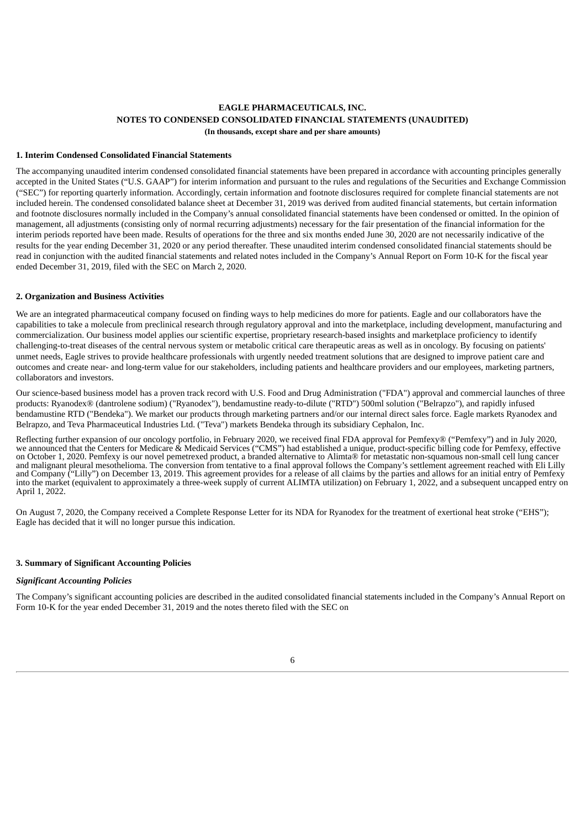## **1. Interim Condensed Consolidated Financial Statements**

The accompanying unaudited interim condensed consolidated financial statements have been prepared in accordance with accounting principles generally accepted in the United States ("U.S. GAAP") for interim information and pursuant to the rules and regulations of the Securities and Exchange Commission ("SEC") for reporting quarterly information. Accordingly, certain information and footnote disclosures required for complete financial statements are not included herein. The condensed consolidated balance sheet at December 31, 2019 was derived from audited financial statements, but certain information and footnote disclosures normally included in the Company's annual consolidated financial statements have been condensed or omitted. In the opinion of management, all adjustments (consisting only of normal recurring adjustments) necessary for the fair presentation of the financial information for the interim periods reported have been made. Results of operations for the three and six months ended June 30, 2020 are not necessarily indicative of the results for the year ending December 31, 2020 or any period thereafter. These unaudited interim condensed consolidated financial statements should be read in conjunction with the audited financial statements and related notes included in the Company's Annual Report on Form 10-K for the fiscal year ended December 31, 2019, filed with the SEC on March 2, 2020.

#### **2. Organization and Business Activities**

We are an integrated pharmaceutical company focused on finding ways to help medicines do more for patients. Eagle and our collaborators have the capabilities to take a molecule from preclinical research through regulatory approval and into the marketplace, including development, manufacturing and commercialization. Our business model applies our scientific expertise, proprietary research-based insights and marketplace proficiency to identify challenging-to-treat diseases of the central nervous system or metabolic critical care therapeutic areas as well as in oncology. By focusing on patients' unmet needs, Eagle strives to provide healthcare professionals with urgently needed treatment solutions that are designed to improve patient care and outcomes and create near- and long-term value for our stakeholders, including patients and healthcare providers and our employees, marketing partners, collaborators and investors.

Our science-based business model has a proven track record with U.S. Food and Drug Administration ("FDA") approval and commercial launches of three products: Ryanodex® (dantrolene sodium) ("Ryanodex"), bendamustine ready-to-dilute ("RTD") 500ml solution ("Belrapzo"), and rapidly infused bendamustine RTD ("Bendeka"). We market our products through marketing partners and/or our internal direct sales force. Eagle markets Ryanodex and Belrapzo, and Teva Pharmaceutical Industries Ltd. ("Teva") markets Bendeka through its subsidiary Cephalon, Inc.

Reflecting further expansion of our oncology portfolio, in February 2020, we received final FDA approval for Pemfexy® ("Pemfexy") and in July 2020, we announced that the Centers for Medicare & Medicaid Services ("CMS") had established a unique, product-specific billing code for Pemfexy, effective on October 1, 2020. Pemfexy is our novel pemetrexed product, a branded alternative to Alimta® for metastatic non-squamous non-small cell lung cancer and malignant pleural mesothelioma. The conversion from tentative to a final approval follows the Company's settlement agreement reached with Eli Lilly and Company ("Lilly") on December 13, 2019. This agreement provides for a release of all claims by the parties and allows for an initial entry of Pemfexy into the market (equivalent to approximately a three-week supply of current ALIMTA utilization) on February 1, 2022, and a subsequent uncapped entry on April 1, 2022.

On August 7, 2020, the Company received a Complete Response Letter for its NDA for Ryanodex for the treatment of exertional heat stroke ("EHS"); Eagle has decided that it will no longer pursue this indication.

#### **3. Summary of Significant Accounting Policies**

#### *Significant Accounting Policies*

The Company's significant accounting policies are described in the audited consolidated financial statements included in the Company's Annual Report on Form 10-K for the year ended December 31, 2019 and the notes thereto filed with the SEC on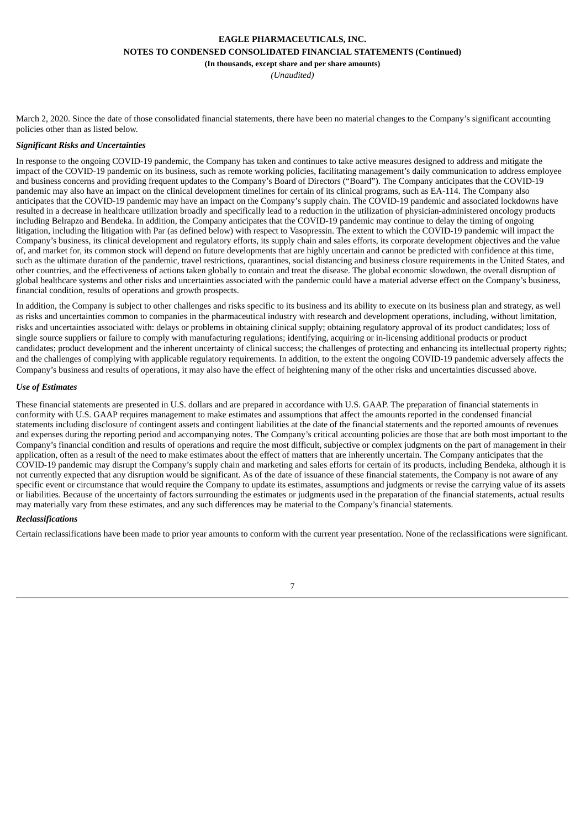#### **EAGLE PHARMACEUTICALS, INC.**

**NOTES TO CONDENSED CONSOLIDATED FINANCIAL STATEMENTS (Continued)**

**(In thousands, except share and per share amounts)**

*(Unaudited)*

March 2, 2020. Since the date of those consolidated financial statements, there have been no material changes to the Company's significant accounting policies other than as listed below.

#### *Significant Risks and Uncertainties*

In response to the ongoing COVID-19 pandemic, the Company has taken and continues to take active measures designed to address and mitigate the impact of the COVID-19 pandemic on its business, such as remote working policies, facilitating management's daily communication to address employee and business concerns and providing frequent updates to the Company's Board of Directors ("Board"). The Company anticipates that the COVID-19 pandemic may also have an impact on the clinical development timelines for certain of its clinical programs, such as EA-114. The Company also anticipates that the COVID-19 pandemic may have an impact on the Company's supply chain. The COVID-19 pandemic and associated lockdowns have resulted in a decrease in healthcare utilization broadly and specifically lead to a reduction in the utilization of physician-administered oncology products including Belrapzo and Bendeka. In addition, the Company anticipates that the COVID-19 pandemic may continue to delay the timing of ongoing litigation, including the litigation with Par (as defined below) with respect to Vasopressin. The extent to which the COVID-19 pandemic will impact the Company's business, its clinical development and regulatory efforts, its supply chain and sales efforts, its corporate development objectives and the value of, and market for, its common stock will depend on future developments that are highly uncertain and cannot be predicted with confidence at this time, such as the ultimate duration of the pandemic, travel restrictions, quarantines, social distancing and business closure requirements in the United States, and other countries, and the effectiveness of actions taken globally to contain and treat the disease. The global economic slowdown, the overall disruption of global healthcare systems and other risks and uncertainties associated with the pandemic could have a material adverse effect on the Company's business, financial condition, results of operations and growth prospects.

In addition, the Company is subject to other challenges and risks specific to its business and its ability to execute on its business plan and strategy, as well as risks and uncertainties common to companies in the pharmaceutical industry with research and development operations, including, without limitation, risks and uncertainties associated with: delays or problems in obtaining clinical supply; obtaining regulatory approval of its product candidates; loss of single source suppliers or failure to comply with manufacturing regulations; identifying, acquiring or in-licensing additional products or product candidates; product development and the inherent uncertainty of clinical success; the challenges of protecting and enhancing its intellectual property rights; and the challenges of complying with applicable regulatory requirements. In addition, to the extent the ongoing COVID-19 pandemic adversely affects the Company's business and results of operations, it may also have the effect of heightening many of the other risks and uncertainties discussed above.

#### *Use of Estimates*

These financial statements are presented in U.S. dollars and are prepared in accordance with U.S. GAAP. The preparation of financial statements in conformity with U.S. GAAP requires management to make estimates and assumptions that affect the amounts reported in the condensed financial statements including disclosure of contingent assets and contingent liabilities at the date of the financial statements and the reported amounts of revenues and expenses during the reporting period and accompanying notes. The Company's critical accounting policies are those that are both most important to the Company's financial condition and results of operations and require the most difficult, subjective or complex judgments on the part of management in their application, often as a result of the need to make estimates about the effect of matters that are inherently uncertain. The Company anticipates that the COVID-19 pandemic may disrupt the Company's supply chain and marketing and sales efforts for certain of its products, including Bendeka, although it is not currently expected that any disruption would be significant. As of the date of issuance of these financial statements, the Company is not aware of any specific event or circumstance that would require the Company to update its estimates, assumptions and judgments or revise the carrying value of its assets or liabilities. Because of the uncertainty of factors surrounding the estimates or judgments used in the preparation of the financial statements, actual results may materially vary from these estimates, and any such differences may be material to the Company's financial statements.

#### *Reclassifications*

Certain reclassifications have been made to prior year amounts to conform with the current year presentation. None of the reclassifications were significant.

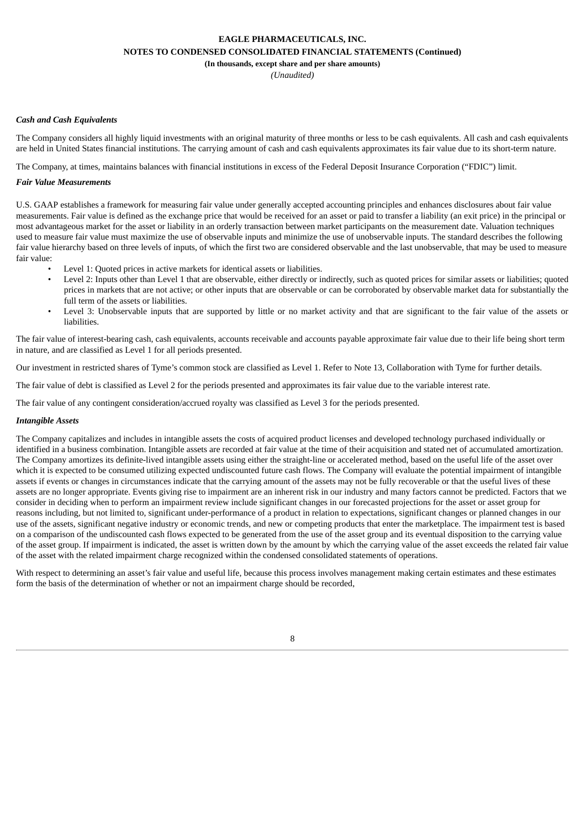**(In thousands, except share and per share amounts)**

*(Unaudited)*

#### *Cash and Cash Equivalents*

The Company considers all highly liquid investments with an original maturity of three months or less to be cash equivalents. All cash and cash equivalents are held in United States financial institutions. The carrying amount of cash and cash equivalents approximates its fair value due to its short-term nature.

The Company, at times, maintains balances with financial institutions in excess of the Federal Deposit Insurance Corporation ("FDIC") limit.

#### *Fair Value Measurements*

U.S. GAAP establishes a framework for measuring fair value under generally accepted accounting principles and enhances disclosures about fair value measurements. Fair value is defined as the exchange price that would be received for an asset or paid to transfer a liability (an exit price) in the principal or most advantageous market for the asset or liability in an orderly transaction between market participants on the measurement date. Valuation techniques used to measure fair value must maximize the use of observable inputs and minimize the use of unobservable inputs. The standard describes the following fair value hierarchy based on three levels of inputs, of which the first two are considered observable and the last unobservable, that may be used to measure fair value:

- Level 1: Quoted prices in active markets for identical assets or liabilities.
- Level 2: Inputs other than Level 1 that are observable, either directly or indirectly, such as quoted prices for similar assets or liabilities; quoted prices in markets that are not active; or other inputs that are observable or can be corroborated by observable market data for substantially the full term of the assets or liabilities.
- Level 3: Unobservable inputs that are supported by little or no market activity and that are significant to the fair value of the assets or liabilities.

The fair value of interest-bearing cash, cash equivalents, accounts receivable and accounts payable approximate fair value due to their life being short term in nature, and are classified as Level 1 for all periods presented.

Our investment in restricted shares of Tyme's common stock are classified as Level 1. Refer to Note 13, Collaboration with Tyme for further details.

The fair value of debt is classified as Level 2 for the periods presented and approximates its fair value due to the variable interest rate.

The fair value of any contingent consideration/accrued royalty was classified as Level 3 for the periods presented.

#### *Intangible Assets*

The Company capitalizes and includes in intangible assets the costs of acquired product licenses and developed technology purchased individually or identified in a business combination. Intangible assets are recorded at fair value at the time of their acquisition and stated net of accumulated amortization. The Company amortizes its definite-lived intangible assets using either the straight-line or accelerated method, based on the useful life of the asset over which it is expected to be consumed utilizing expected undiscounted future cash flows. The Company will evaluate the potential impairment of intangible assets if events or changes in circumstances indicate that the carrying amount of the assets may not be fully recoverable or that the useful lives of these assets are no longer appropriate. Events giving rise to impairment are an inherent risk in our industry and many factors cannot be predicted. Factors that we consider in deciding when to perform an impairment review include significant changes in our forecasted projections for the asset or asset group for reasons including, but not limited to, significant under-performance of a product in relation to expectations, significant changes or planned changes in our use of the assets, significant negative industry or economic trends, and new or competing products that enter the marketplace. The impairment test is based on a comparison of the undiscounted cash flows expected to be generated from the use of the asset group and its eventual disposition to the carrying value of the asset group. If impairment is indicated, the asset is written down by the amount by which the carrying value of the asset exceeds the related fair value of the asset with the related impairment charge recognized within the condensed consolidated statements of operations.

With respect to determining an asset's fair value and useful life, because this process involves management making certain estimates and these estimates form the basis of the determination of whether or not an impairment charge should be recorded,

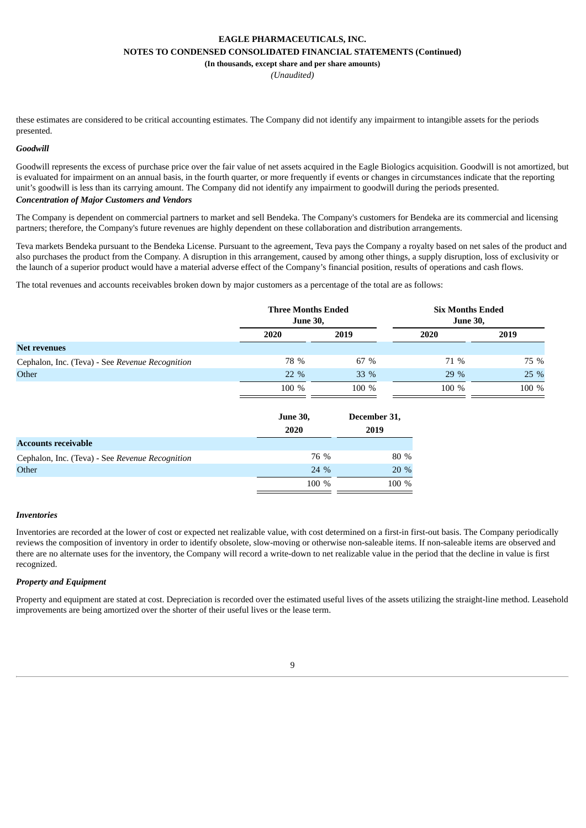**(In thousands, except share and per share amounts)**

*(Unaudited)*

these estimates are considered to be critical accounting estimates. The Company did not identify any impairment to intangible assets for the periods presented.

#### *Goodwill*

Goodwill represents the excess of purchase price over the fair value of net assets acquired in the Eagle Biologics acquisition. Goodwill is not amortized, but is evaluated for impairment on an annual basis, in the fourth quarter, or more frequently if events or changes in circumstances indicate that the reporting unit's goodwill is less than its carrying amount. The Company did not identify any impairment to goodwill during the periods presented.

## *Concentration of Major Customers and Vendors*

The Company is dependent on commercial partners to market and sell Bendeka. The Company's customers for Bendeka are its commercial and licensing partners; therefore, the Company's future revenues are highly dependent on these collaboration and distribution arrangements.

Teva markets Bendeka pursuant to the Bendeka License. Pursuant to the agreement, Teva pays the Company a royalty based on net sales of the product and also purchases the product from the Company. A disruption in this arrangement, caused by among other things, a supply disruption, loss of exclusivity or the launch of a superior product would have a material adverse effect of the Company's financial position, results of operations and cash flows.

The total revenues and accounts receivables broken down by major customers as a percentage of the total are as follows:

|                                                 | <b>Three Months Ended</b><br><b>June 30,</b> |       | <b>Six Months Ended</b><br><b>June 30,</b> |       |
|-------------------------------------------------|----------------------------------------------|-------|--------------------------------------------|-------|
|                                                 | 2020                                         | 2019  | 2020                                       | 2019  |
| <b>Net revenues</b>                             |                                              |       |                                            |       |
| Cephalon, Inc. (Teva) - See Revenue Recognition | 78 %                                         | 67 %  | 71 %                                       | 75 %  |
| Other                                           | $22\%$                                       | 33 %  | $29\%$                                     | 25 %  |
|                                                 | 100 %                                        | 100 % | 100 %                                      | 100 % |

|                                                 | <b>June 30,</b><br>2020 | December 31,<br>2019 |
|-------------------------------------------------|-------------------------|----------------------|
| <b>Accounts receivable</b>                      |                         |                      |
| Cephalon, Inc. (Teva) - See Revenue Recognition | 76 %                    | 80 %                 |
| Other                                           | 24 %                    | $20\%$               |
|                                                 | 100 %                   | 100 %                |

#### *Inventories*

Inventories are recorded at the lower of cost or expected net realizable value, with cost determined on a first-in first-out basis. The Company periodically reviews the composition of inventory in order to identify obsolete, slow-moving or otherwise non-saleable items. If non-saleable items are observed and there are no alternate uses for the inventory, the Company will record a write-down to net realizable value in the period that the decline in value is first recognized.

#### *Property and Equipment*

Property and equipment are stated at cost. Depreciation is recorded over the estimated useful lives of the assets utilizing the straight-line method. Leasehold improvements are being amortized over the shorter of their useful lives or the lease term.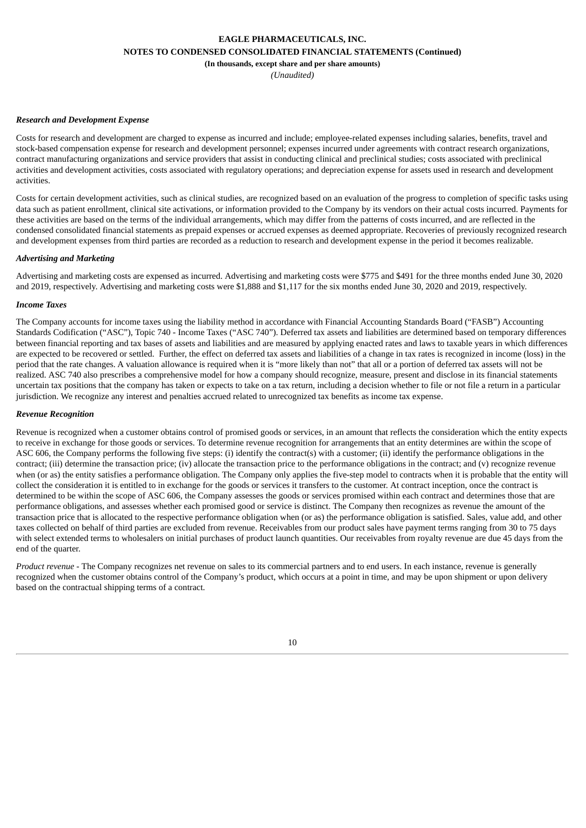*(Unaudited)*

#### *Research and Development Expense*

Costs for research and development are charged to expense as incurred and include; employee-related expenses including salaries, benefits, travel and stock-based compensation expense for research and development personnel; expenses incurred under agreements with contract research organizations, contract manufacturing organizations and service providers that assist in conducting clinical and preclinical studies; costs associated with preclinical activities and development activities, costs associated with regulatory operations; and depreciation expense for assets used in research and development activities.

Costs for certain development activities, such as clinical studies, are recognized based on an evaluation of the progress to completion of specific tasks using data such as patient enrollment, clinical site activations, or information provided to the Company by its vendors on their actual costs incurred. Payments for these activities are based on the terms of the individual arrangements, which may differ from the patterns of costs incurred, and are reflected in the condensed consolidated financial statements as prepaid expenses or accrued expenses as deemed appropriate. Recoveries of previously recognized research and development expenses from third parties are recorded as a reduction to research and development expense in the period it becomes realizable.

#### *Advertising and Marketing*

Advertising and marketing costs are expensed as incurred. Advertising and marketing costs were \$775 and \$491 for the three months ended June 30, 2020 and 2019, respectively. Advertising and marketing costs were \$1,888 and \$1,117 for the six months ended June 30, 2020 and 2019, respectively.

#### *Income Taxes*

The Company accounts for income taxes using the liability method in accordance with Financial Accounting Standards Board ("FASB") Accounting Standards Codification ("ASC"), Topic 740 - Income Taxes ("ASC 740"). Deferred tax assets and liabilities are determined based on temporary differences between financial reporting and tax bases of assets and liabilities and are measured by applying enacted rates and laws to taxable years in which differences are expected to be recovered or settled. Further, the effect on deferred tax assets and liabilities of a change in tax rates is recognized in income (loss) in the period that the rate changes. A valuation allowance is required when it is "more likely than not" that all or a portion of deferred tax assets will not be realized. ASC 740 also prescribes a comprehensive model for how a company should recognize, measure, present and disclose in its financial statements uncertain tax positions that the company has taken or expects to take on a tax return, including a decision whether to file or not file a return in a particular jurisdiction. We recognize any interest and penalties accrued related to unrecognized tax benefits as income tax expense.

#### *Revenue Recognition*

Revenue is recognized when a customer obtains control of promised goods or services, in an amount that reflects the consideration which the entity expects to receive in exchange for those goods or services. To determine revenue recognition for arrangements that an entity determines are within the scope of ASC 606, the Company performs the following five steps: (i) identify the contract(s) with a customer; (ii) identify the performance obligations in the contract; (iii) determine the transaction price; (iv) allocate the transaction price to the performance obligations in the contract; and (v) recognize revenue when (or as) the entity satisfies a performance obligation. The Company only applies the five-step model to contracts when it is probable that the entity will collect the consideration it is entitled to in exchange for the goods or services it transfers to the customer. At contract inception, once the contract is determined to be within the scope of ASC 606, the Company assesses the goods or services promised within each contract and determines those that are performance obligations, and assesses whether each promised good or service is distinct. The Company then recognizes as revenue the amount of the transaction price that is allocated to the respective performance obligation when (or as) the performance obligation is satisfied. Sales, value add, and other taxes collected on behalf of third parties are excluded from revenue. Receivables from our product sales have payment terms ranging from 30 to 75 days with select extended terms to wholesalers on initial purchases of product launch quantities. Our receivables from royalty revenue are due 45 days from the end of the quarter.

*Product revenue* - The Company recognizes net revenue on sales to its commercial partners and to end users. In each instance, revenue is generally recognized when the customer obtains control of the Company's product, which occurs at a point in time, and may be upon shipment or upon delivery based on the contractual shipping terms of a contract.

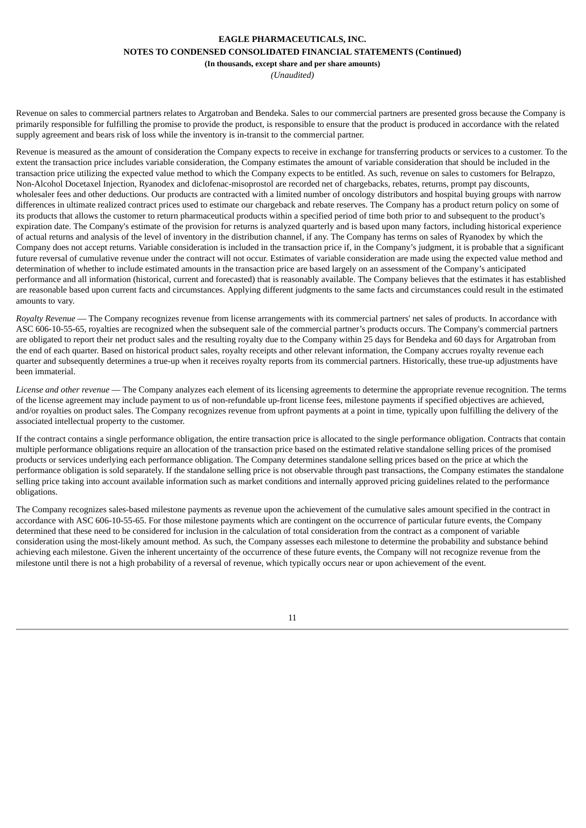**(In thousands, except share and per share amounts)**

*(Unaudited)*

Revenue on sales to commercial partners relates to Argatroban and Bendeka. Sales to our commercial partners are presented gross because the Company is primarily responsible for fulfilling the promise to provide the product, is responsible to ensure that the product is produced in accordance with the related supply agreement and bears risk of loss while the inventory is in-transit to the commercial partner.

Revenue is measured as the amount of consideration the Company expects to receive in exchange for transferring products or services to a customer. To the extent the transaction price includes variable consideration, the Company estimates the amount of variable consideration that should be included in the transaction price utilizing the expected value method to which the Company expects to be entitled. As such, revenue on sales to customers for Belrapzo, Non-Alcohol Docetaxel Injection, Ryanodex and diclofenac-misoprostol are recorded net of chargebacks, rebates, returns, prompt pay discounts, wholesaler fees and other deductions. Our products are contracted with a limited number of oncology distributors and hospital buying groups with narrow differences in ultimate realized contract prices used to estimate our chargeback and rebate reserves. The Company has a product return policy on some of its products that allows the customer to return pharmaceutical products within a specified period of time both prior to and subsequent to the product's expiration date. The Company's estimate of the provision for returns is analyzed quarterly and is based upon many factors, including historical experience of actual returns and analysis of the level of inventory in the distribution channel, if any. The Company has terms on sales of Ryanodex by which the Company does not accept returns. Variable consideration is included in the transaction price if, in the Company's judgment, it is probable that a significant future reversal of cumulative revenue under the contract will not occur. Estimates of variable consideration are made using the expected value method and determination of whether to include estimated amounts in the transaction price are based largely on an assessment of the Company's anticipated performance and all information (historical, current and forecasted) that is reasonably available. The Company believes that the estimates it has established are reasonable based upon current facts and circumstances. Applying different judgments to the same facts and circumstances could result in the estimated amounts to vary.

*Royalty Revenue* — The Company recognizes revenue from license arrangements with its commercial partners' net sales of products. In accordance with ASC 606-10-55-65, royalties are recognized when the subsequent sale of the commercial partner's products occurs. The Company's commercial partners are obligated to report their net product sales and the resulting royalty due to the Company within 25 days for Bendeka and 60 days for Argatroban from the end of each quarter. Based on historical product sales, royalty receipts and other relevant information, the Company accrues royalty revenue each quarter and subsequently determines a true-up when it receives royalty reports from its commercial partners. Historically, these true-up adjustments have been immaterial.

*License and other revenue* — The Company analyzes each element of its licensing agreements to determine the appropriate revenue recognition. The terms of the license agreement may include payment to us of non-refundable up-front license fees, milestone payments if specified objectives are achieved, and/or royalties on product sales. The Company recognizes revenue from upfront payments at a point in time, typically upon fulfilling the delivery of the associated intellectual property to the customer.

If the contract contains a single performance obligation, the entire transaction price is allocated to the single performance obligation. Contracts that contain multiple performance obligations require an allocation of the transaction price based on the estimated relative standalone selling prices of the promised products or services underlying each performance obligation. The Company determines standalone selling prices based on the price at which the performance obligation is sold separately. If the standalone selling price is not observable through past transactions, the Company estimates the standalone selling price taking into account available information such as market conditions and internally approved pricing guidelines related to the performance obligations.

The Company recognizes sales-based milestone payments as revenue upon the achievement of the cumulative sales amount specified in the contract in accordance with ASC 606-10-55-65. For those milestone payments which are contingent on the occurrence of particular future events, the Company determined that these need to be considered for inclusion in the calculation of total consideration from the contract as a component of variable consideration using the most-likely amount method. As such, the Company assesses each milestone to determine the probability and substance behind achieving each milestone. Given the inherent uncertainty of the occurrence of these future events, the Company will not recognize revenue from the milestone until there is not a high probability of a reversal of revenue, which typically occurs near or upon achievement of the event.

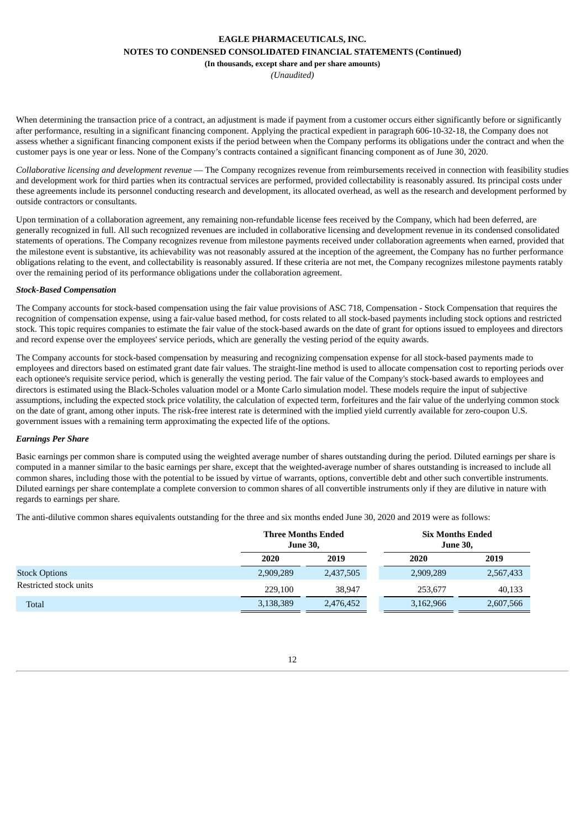**(In thousands, except share and per share amounts)**

*(Unaudited)*

When determining the transaction price of a contract, an adjustment is made if payment from a customer occurs either significantly before or significantly after performance, resulting in a significant financing component. Applying the practical expedient in paragraph 606-10-32-18, the Company does not assess whether a significant financing component exists if the period between when the Company performs its obligations under the contract and when the customer pays is one year or less. None of the Company's contracts contained a significant financing component as of June 30, 2020.

*Collaborative licensing and development revenue* — The Company recognizes revenue from reimbursements received in connection with feasibility studies and development work for third parties when its contractual services are performed, provided collectability is reasonably assured. Its principal costs under these agreements include its personnel conducting research and development, its allocated overhead, as well as the research and development performed by outside contractors or consultants.

Upon termination of a collaboration agreement, any remaining non-refundable license fees received by the Company, which had been deferred, are generally recognized in full. All such recognized revenues are included in collaborative licensing and development revenue in its condensed consolidated statements of operations. The Company recognizes revenue from milestone payments received under collaboration agreements when earned, provided that the milestone event is substantive, its achievability was not reasonably assured at the inception of the agreement, the Company has no further performance obligations relating to the event, and collectability is reasonably assured. If these criteria are not met, the Company recognizes milestone payments ratably over the remaining period of its performance obligations under the collaboration agreement.

#### *Stock-Based Compensation*

The Company accounts for stock-based compensation using the fair value provisions of ASC 718, Compensation - Stock Compensation that requires the recognition of compensation expense, using a fair-value based method, for costs related to all stock-based payments including stock options and restricted stock. This topic requires companies to estimate the fair value of the stock-based awards on the date of grant for options issued to employees and directors and record expense over the employees' service periods, which are generally the vesting period of the equity awards.

The Company accounts for stock-based compensation by measuring and recognizing compensation expense for all stock-based payments made to employees and directors based on estimated grant date fair values. The straight-line method is used to allocate compensation cost to reporting periods over each optionee's requisite service period, which is generally the vesting period. The fair value of the Company's stock-based awards to employees and directors is estimated using the Black-Scholes valuation model or a Monte Carlo simulation model. These models require the input of subjective assumptions, including the expected stock price volatility, the calculation of expected term, forfeitures and the fair value of the underlying common stock on the date of grant, among other inputs. The risk-free interest rate is determined with the implied yield currently available for zero-coupon U.S. government issues with a remaining term approximating the expected life of the options.

#### *Earnings Per Share*

Basic earnings per common share is computed using the weighted average number of shares outstanding during the period. Diluted earnings per share is computed in a manner similar to the basic earnings per share, except that the weighted-average number of shares outstanding is increased to include all common shares, including those with the potential to be issued by virtue of warrants, options, convertible debt and other such convertible instruments. Diluted earnings per share contemplate a complete conversion to common shares of all convertible instruments only if they are dilutive in nature with regards to earnings per share.

The anti-dilutive common shares equivalents outstanding for the three and six months ended June 30, 2020 and 2019 were as follows:

|                        | <b>Three Months Ended</b><br><b>June 30,</b> |           | <b>June 30,</b> | <b>Six Months Ended</b> |
|------------------------|----------------------------------------------|-----------|-----------------|-------------------------|
|                        | 2020                                         | 2019      | 2020            | 2019                    |
| <b>Stock Options</b>   | 2,909,289                                    | 2,437,505 | 2,909,289       | 2,567,433               |
| Restricted stock units | 229,100                                      | 38,947    | 253,677         | 40,133                  |
| <b>Total</b>           | 3,138,389                                    | 2,476,452 | 3,162,966       | 2,607,566               |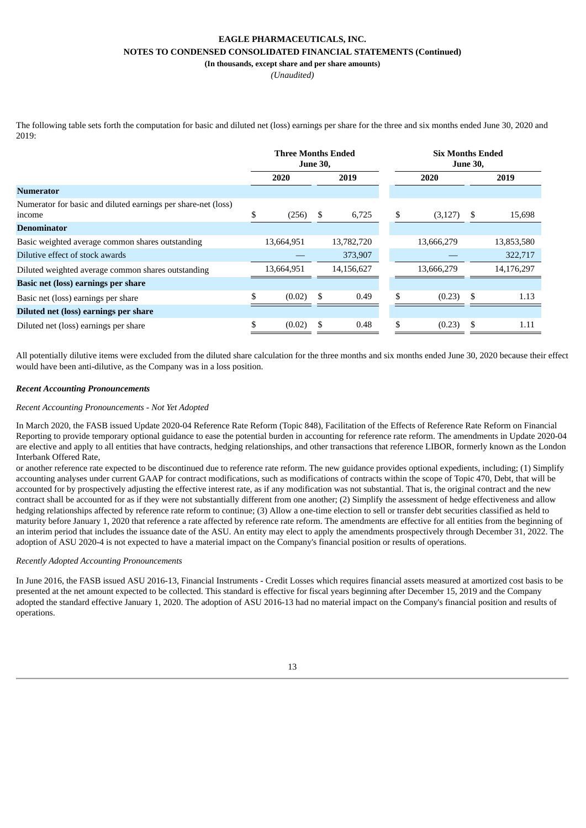**(In thousands, except share and per share amounts)**

*(Unaudited)*

The following table sets forth the computation for basic and diluted net (loss) earnings per share for the three and six months ended June 30, 2020 and 2019:

|                                                                         |              | <b>Three Months Ended</b><br><b>June 30,</b> |    |            |    | <b>Six Months Ended</b><br><b>June 30,</b> |      |            |
|-------------------------------------------------------------------------|--------------|----------------------------------------------|----|------------|----|--------------------------------------------|------|------------|
|                                                                         | 2020<br>2019 |                                              |    | 2020       |    |                                            | 2019 |            |
| <b>Numerator</b>                                                        |              |                                              |    |            |    |                                            |      |            |
| Numerator for basic and diluted earnings per share-net (loss)<br>income |              | (256)                                        | \$ | 6,725      | \$ | (3, 127)                                   | \$   | 15,698     |
| <b>Denominator</b>                                                      |              |                                              |    |            |    |                                            |      |            |
| Basic weighted average common shares outstanding                        |              | 13,664,951                                   |    | 13,782,720 |    | 13,666,279                                 |      | 13,853,580 |
| Dilutive effect of stock awards                                         |              |                                              |    | 373,907    |    |                                            |      | 322,717    |
| Diluted weighted average common shares outstanding                      |              | 13,664,951                                   |    | 14,156,627 |    | 13,666,279                                 |      | 14,176,297 |
| Basic net (loss) earnings per share                                     |              |                                              |    |            |    |                                            |      |            |
| Basic net (loss) earnings per share                                     |              | (0.02)                                       | \$ | 0.49       | \$ | (0.23)                                     | \$   | 1.13       |
| Diluted net (loss) earnings per share                                   |              |                                              |    |            |    |                                            |      |            |
| Diluted net (loss) earnings per share                                   | \$           | (0.02)                                       | \$ | 0.48       | \$ | (0.23)                                     | \$   | 1.11       |

All potentially dilutive items were excluded from the diluted share calculation for the three months and six months ended June 30, 2020 because their effect would have been anti-dilutive, as the Company was in a loss position.

#### *Recent Accounting Pronouncements*

#### *Recent Accounting Pronouncements - Not Yet Adopted*

In March 2020, the FASB issued Update 2020-04 Reference Rate Reform (Topic 848), Facilitation of the Effects of Reference Rate Reform on Financial Reporting to provide temporary optional guidance to ease the potential burden in accounting for reference rate reform. The amendments in Update 2020-04 are elective and apply to all entities that have contracts, hedging relationships, and other transactions that reference LIBOR, formerly known as the London Interbank Offered Rate,

or another reference rate expected to be discontinued due to reference rate reform. The new guidance provides optional expedients, including; (1) Simplify accounting analyses under current GAAP for contract modifications, such as modifications of contracts within the scope of Topic 470, Debt, that will be accounted for by prospectively adjusting the effective interest rate, as if any modification was not substantial. That is, the original contract and the new contract shall be accounted for as if they were not substantially different from one another; (2) Simplify the assessment of hedge effectiveness and allow hedging relationships affected by reference rate reform to continue; (3) Allow a one-time election to sell or transfer debt securities classified as held to maturity before January 1, 2020 that reference a rate affected by reference rate reform. The amendments are effective for all entities from the beginning of an interim period that includes the issuance date of the ASU. An entity may elect to apply the amendments prospectively through December 31, 2022. The adoption of ASU 2020-4 is not expected to have a material impact on the Company's financial position or results of operations.

#### *Recently Adopted Accounting Pronouncements*

In June 2016, the FASB issued ASU 2016-13, Financial Instruments - Credit Losses which requires financial assets measured at amortized cost basis to be presented at the net amount expected to be collected. This standard is effective for fiscal years beginning after December 15, 2019 and the Company adopted the standard effective January 1, 2020. The adoption of ASU 2016-13 had no material impact on the Company's financial position and results of operations.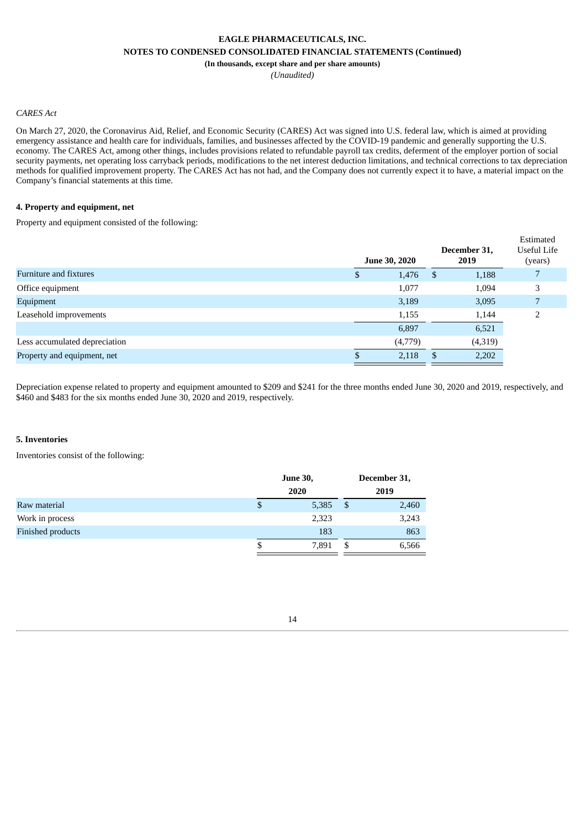*(Unaudited)*

### *CARES Act*

On March 27, 2020, the Coronavirus Aid, Relief, and Economic Security (CARES) Act was signed into U.S. federal law, which is aimed at providing emergency assistance and health care for individuals, families, and businesses affected by the COVID-19 pandemic and generally supporting the U.S. economy. The CARES Act, among other things, includes provisions related to refundable payroll tax credits, deferment of the employer portion of social security payments, net operating loss carryback periods, modifications to the net interest deduction limitations, and technical corrections to tax depreciation methods for qualified improvement property. The CARES Act has not had, and the Company does not currently expect it to have, a material impact on the Company's financial statements at this time.

#### **4. Property and equipment, net**

Property and equipment consisted of the following:

|                               |   | <b>June 30, 2020</b> |    | December 31,<br>2019 | Estimated<br>Useful Life<br>(years) |
|-------------------------------|---|----------------------|----|----------------------|-------------------------------------|
| Furniture and fixtures        | D | 1,476                | -S | 1,188                |                                     |
| Office equipment              |   | 1,077                |    | 1,094                | 3                                   |
| Equipment                     |   | 3,189                |    | 3,095                |                                     |
| Leasehold improvements        |   | 1,155                |    | 1,144                |                                     |
|                               |   | 6,897                |    | 6,521                |                                     |
| Less accumulated depreciation |   | (4,779)              |    | (4,319)              |                                     |
| Property and equipment, net   |   | 2,118                |    | 2,202                |                                     |
|                               |   |                      |    |                      |                                     |

Depreciation expense related to property and equipment amounted to \$209 and \$241 for the three months ended June 30, 2020 and 2019, respectively, and \$460 and \$483 for the six months ended June 30, 2020 and 2019, respectively.

#### **5. Inventories**

Inventories consist of the following:

|                          | <b>June 30,</b> |       |     | December 31, |
|--------------------------|-----------------|-------|-----|--------------|
|                          | 2020            |       |     | 2019         |
| Raw material             | \$              | 5,385 | -\$ | 2,460        |
| Work in process          |                 | 2,323 |     | 3,243        |
| <b>Finished products</b> |                 | 183   |     | 863          |
|                          | \$              | 7,891 |     | 6,566        |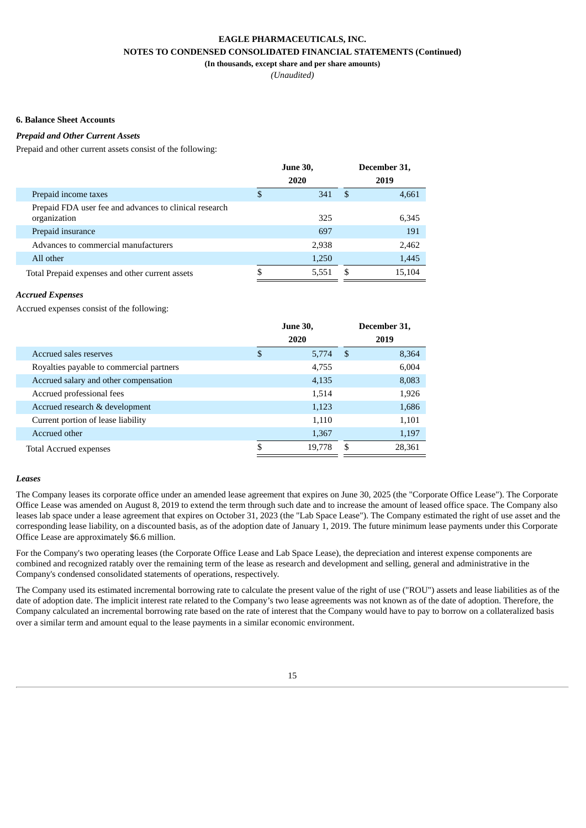*(Unaudited)*

#### **6. Balance Sheet Accounts**

#### *Prepaid and Other Current Assets*

Prepaid and other current assets consist of the following:

|                                                                        |   | <b>June 30,</b> | December 31, |        |  |
|------------------------------------------------------------------------|---|-----------------|--------------|--------|--|
|                                                                        |   | 2020            | 2019         |        |  |
| Prepaid income taxes                                                   | S | 341             | -\$          | 4,661  |  |
| Prepaid FDA user fee and advances to clinical research<br>organization |   | 325             |              | 6,345  |  |
| Prepaid insurance                                                      |   | 697             |              | 191    |  |
| Advances to commercial manufacturers                                   |   | 2,938           |              | 2,462  |  |
| All other                                                              |   | 1,250           |              | 1,445  |  |
| Total Prepaid expenses and other current assets                        |   | 5,551           | S            | 15.104 |  |

#### *Accrued Expenses*

Accrued expenses consist of the following:

|                                          | <b>June 30,</b> |     | December 31, |
|------------------------------------------|-----------------|-----|--------------|
|                                          | 2020            |     | 2019         |
| Accrued sales reserves                   | \$<br>5,774     | -\$ | 8,364        |
| Royalties payable to commercial partners | 4,755           |     | 6,004        |
| Accrued salary and other compensation    | 4,135           |     | 8,083        |
| Accrued professional fees                | 1,514           |     | 1,926        |
| Accrued research & development           | 1,123           |     | 1,686        |
| Current portion of lease liability       | 1.110           |     | 1,101        |
| Accrued other                            | 1,367           |     | 1,197        |
| <b>Total Accrued expenses</b>            | 19,778          | \$. | 28,361       |

#### *Leases*

The Company leases its corporate office under an amended lease agreement that expires on June 30, 2025 (the "Corporate Office Lease"). The Corporate Office Lease was amended on August 8, 2019 to extend the term through such date and to increase the amount of leased office space. The Company also leases lab space under a lease agreement that expires on October 31, 2023 (the "Lab Space Lease"). The Company estimated the right of use asset and the corresponding lease liability, on a discounted basis, as of the adoption date of January 1, 2019. The future minimum lease payments under this Corporate Office Lease are approximately \$6.6 million.

For the Company's two operating leases (the Corporate Office Lease and Lab Space Lease), the depreciation and interest expense components are combined and recognized ratably over the remaining term of the lease as research and development and selling, general and administrative in the Company's condensed consolidated statements of operations, respectively.

The Company used its estimated incremental borrowing rate to calculate the present value of the right of use ("ROU") assets and lease liabilities as of the date of adoption date. The implicit interest rate related to the Company's two lease agreements was not known as of the date of adoption. Therefore, the Company calculated an incremental borrowing rate based on the rate of interest that the Company would have to pay to borrow on a collateralized basis over a similar term and amount equal to the lease payments in a similar economic environment.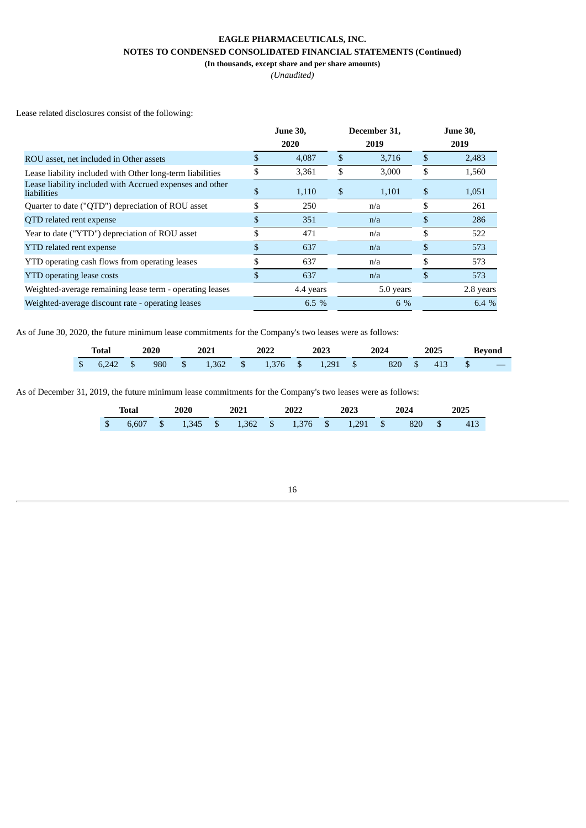*(Unaudited)*

Lease related disclosures consist of the following:

|                                                                         | <b>June 30,</b> | December 31, |   | <b>June 30,</b> |
|-------------------------------------------------------------------------|-----------------|--------------|---|-----------------|
|                                                                         | 2020            | 2019         |   | 2019            |
| ROU asset, net included in Other assets                                 | 4,087           | \$<br>3,716  |   | 2,483           |
| Lease liability included with Other long-term liabilities               | 3,361           | \$<br>3,000  |   | 1,560           |
| Lease liability included with Accrued expenses and other<br>liabilities | 1,110           | \$<br>1,101  | S | 1,051           |
| Quarter to date ("QTD") depreciation of ROU asset                       | 250             | n/a          |   | 261             |
| QTD related rent expense                                                | 351             | n/a          |   | 286             |
| Year to date ("YTD") depreciation of ROU asset                          | 471             | n/a          |   | 522             |
| <b>YTD</b> related rent expense                                         | 637             | n/a          |   | 573             |
| YTD operating cash flows from operating leases                          | 637             | n/a          |   | 573             |
| <b>YTD</b> operating lease costs                                        | 637             | n/a          |   | 573             |
| Weighted-average remaining lease term - operating leases                | 4.4 years       | 5.0 years    |   | 2.8 years       |
| Weighted-average discount rate - operating leases                       | 6.5 %           | 6 %          |   | 6.4 %           |
|                                                                         |                 |              |   |                 |

As of June 30, 2020, the future minimum lease commitments for the Company's two leases were as follows:

| Total | 2020 | 2021 | 2022 | 2023 | 2024                                                        | 2025 | <b>Bevond</b> |  |
|-------|------|------|------|------|-------------------------------------------------------------|------|---------------|--|
|       |      |      |      |      | \$ 6.242 \$ 980 \$ 1.362 \$ 1.376 \$ 1.291 \$ 820 \$ 413 \$ |      |               |  |

As of December 31, 2019, the future minimum lease commitments for the Company's two leases were as follows:

|      | Total      |  | 2020<br>2021 |  | 2022 |                            | 2023 |  | 2024 |     | 2025 |     |
|------|------------|--|--------------|--|------|----------------------------|------|--|------|-----|------|-----|
| - \$ | $6.607$ \$ |  | 1,345 \$     |  |      | 1,362 \$ 1,376 \$ 1,291 \$ |      |  |      | 820 |      | 413 |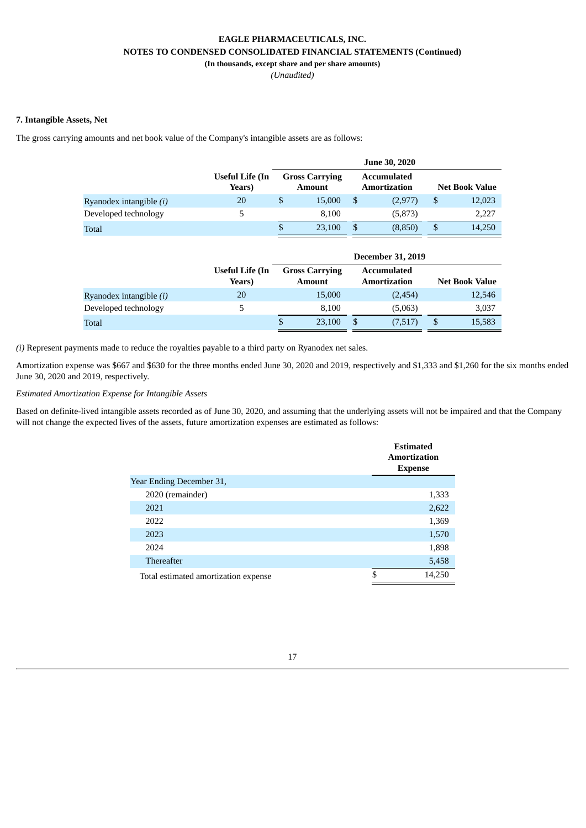*(Unaudited)*

## **7. Intangible Assets, Net**

The gross carrying amounts and net book value of the Company's intangible assets are as follows:

|                         | Useful Life (In<br>Years) | <b>Gross Carrying</b><br><b>Amount</b> |   | Accumulated<br><b>Amortization</b> | <b>Net Book Value</b> |        |  |
|-------------------------|---------------------------|----------------------------------------|---|------------------------------------|-----------------------|--------|--|
| Ryanodex intangible (i) | 20                        | \$<br>15,000                           | S | (2,977)                            | \$                    | 12,023 |  |
| Developed technology    | 5                         | 8.100                                  |   | (5,873)                            |                       | 2,227  |  |
| <b>Total</b>            |                           | \$<br>23,100                           |   | (8,850)                            | \$                    | 14,250 |  |

|                                |                           |                                        |   | <b>December 31, 2019</b>                  |   |                       |
|--------------------------------|---------------------------|----------------------------------------|---|-------------------------------------------|---|-----------------------|
|                                | Useful Life (In<br>Years) | <b>Gross Carrying</b><br><b>Amount</b> |   | <b>Accumulated</b><br><b>Amortization</b> |   | <b>Net Book Value</b> |
| Ryanodex intangible <i>(i)</i> | 20                        | 15,000                                 |   | (2,454)                                   |   | 12,546                |
| Developed technology           | 5                         | 8.100                                  |   | (5,063)                                   |   | 3,037                 |
| Total                          |                           | \$<br>23,100                           | S | (7,517)                                   | S | 15,583                |

*(i)* Represent payments made to reduce the royalties payable to a third party on Ryanodex net sales.

Amortization expense was \$667 and \$630 for the three months ended June 30, 2020 and 2019, respectively and \$1,333 and \$1,260 for the six months ended June 30, 2020 and 2019, respectively.

## *Estimated Amortization Expense for Intangible Assets*

Based on definite-lived intangible assets recorded as of June 30, 2020, and assuming that the underlying assets will not be impaired and that the Company will not change the expected lives of the assets, future amortization expenses are estimated as follows:

|                                      | <b>Estimated</b><br><b>Amortization</b><br><b>Expense</b> |
|--------------------------------------|-----------------------------------------------------------|
| Year Ending December 31,             |                                                           |
| 2020 (remainder)                     | 1,333                                                     |
| 2021                                 | 2,622                                                     |
| 2022                                 | 1,369                                                     |
| 2023                                 | 1,570                                                     |
| 2024                                 | 1,898                                                     |
| <b>Thereafter</b>                    | 5,458                                                     |
| Total estimated amortization expense | \$<br>14,250                                              |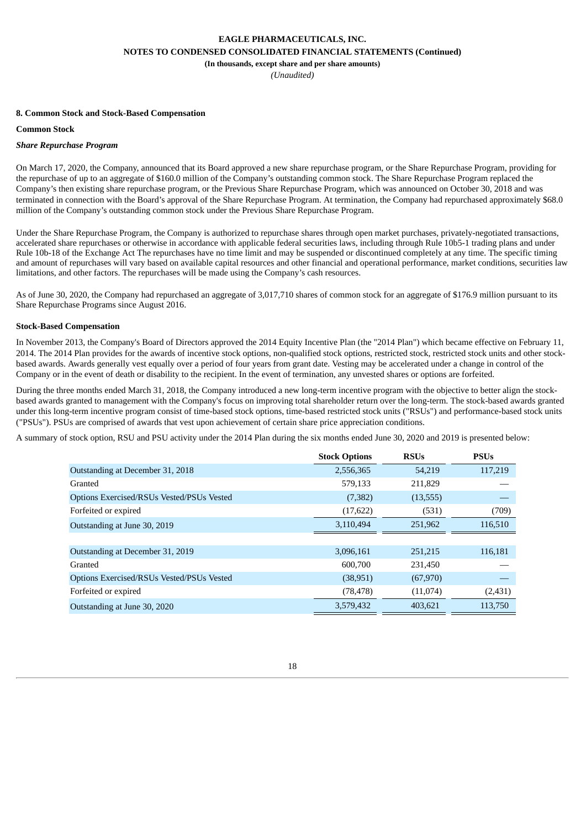**(In thousands, except share and per share amounts)**

*(Unaudited)*

#### **8. Common Stock and Stock-Based Compensation**

#### **Common Stock**

#### *Share Repurchase Program*

On March 17, 2020, the Company, announced that its Board approved a new share repurchase program, or the Share Repurchase Program, providing for the repurchase of up to an aggregate of \$160.0 million of the Company's outstanding common stock. The Share Repurchase Program replaced the Company's then existing share repurchase program, or the Previous Share Repurchase Program, which was announced on October 30, 2018 and was terminated in connection with the Board's approval of the Share Repurchase Program. At termination, the Company had repurchased approximately \$68.0 million of the Company's outstanding common stock under the Previous Share Repurchase Program.

Under the Share Repurchase Program, the Company is authorized to repurchase shares through open market purchases, privately-negotiated transactions, accelerated share repurchases or otherwise in accordance with applicable federal securities laws, including through Rule 10b5-1 trading plans and under Rule 10b-18 of the Exchange Act The repurchases have no time limit and may be suspended or discontinued completely at any time. The specific timing and amount of repurchases will vary based on available capital resources and other financial and operational performance, market conditions, securities law limitations, and other factors. The repurchases will be made using the Company's cash resources.

As of June 30, 2020, the Company had repurchased an aggregate of 3,017,710 shares of common stock for an aggregate of \$176.9 million pursuant to its Share Repurchase Programs since August 2016.

#### **Stock-Based Compensation**

In November 2013, the Company's Board of Directors approved the 2014 Equity Incentive Plan (the "2014 Plan") which became effective on February 11, 2014. The 2014 Plan provides for the awards of incentive stock options, non-qualified stock options, restricted stock, restricted stock units and other stockbased awards. Awards generally vest equally over a period of four years from grant date. Vesting may be accelerated under a change in control of the Company or in the event of death or disability to the recipient. In the event of termination, any unvested shares or options are forfeited.

During the three months ended March 31, 2018, the Company introduced a new long-term incentive program with the objective to better align the stockbased awards granted to management with the Company's focus on improving total shareholder return over the long-term. The stock-based awards granted under this long-term incentive program consist of time-based stock options, time-based restricted stock units ("RSUs") and performance-based stock units ("PSUs"). PSUs are comprised of awards that vest upon achievement of certain share price appreciation conditions.

A summary of stock option, RSU and PSU activity under the 2014 Plan during the six months ended June 30, 2020 and 2019 is presented below:

|                                           | <b>Stock Options</b> | <b>RSUs</b> | <b>PSUs</b> |
|-------------------------------------------|----------------------|-------------|-------------|
| Outstanding at December 31, 2018          | 2,556,365            | 54,219      | 117,219     |
| Granted                                   | 579,133              | 211,829     |             |
| Options Exercised/RSUs Vested/PSUs Vested | (7, 382)             | (13, 555)   |             |
| Forfeited or expired                      | (17, 622)            | (531)       | (709)       |
| Outstanding at June 30, 2019              | 3,110,494            | 251,962     | 116,510     |
|                                           |                      |             |             |
| Outstanding at December 31, 2019          | 3,096,161            | 251,215     | 116,181     |
| Granted                                   | 600,700              | 231,450     |             |
| Options Exercised/RSUs Vested/PSUs Vested | (38, 951)            | (67, 970)   |             |
| Forfeited or expired                      | (78, 478)            | (11,074)    | (2,431)     |
| Outstanding at June 30, 2020              | 3,579,432            | 403.621     | 113,750     |

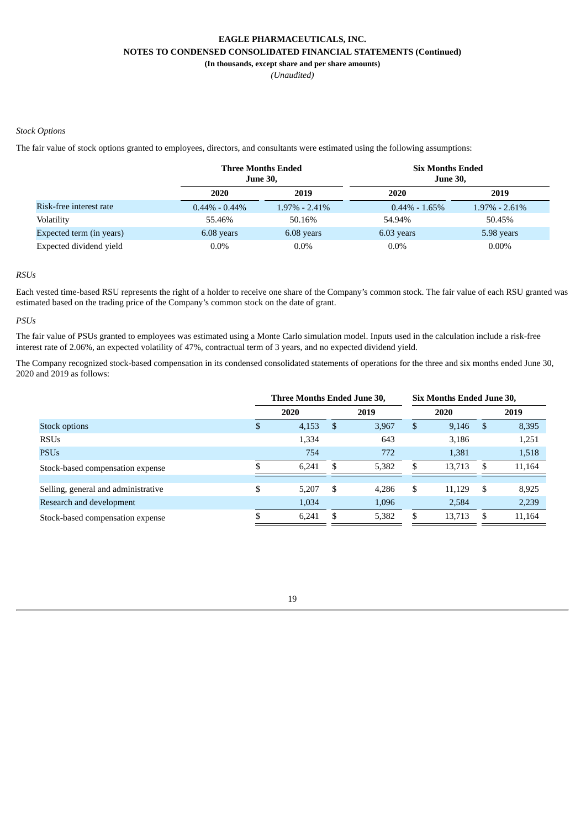**(In thousands, except share and per share amounts)**

*(Unaudited)*

#### *Stock Options*

The fair value of stock options granted to employees, directors, and consultants were estimated using the following assumptions:

|                          |                   | <b>Three Months Ended</b><br><b>June 30,</b> | <b>Six Months Ended</b><br><b>June 30,</b> |                  |  |  |  |  |  |
|--------------------------|-------------------|----------------------------------------------|--------------------------------------------|------------------|--|--|--|--|--|
|                          | 2020              | 2019                                         | 2020                                       | 2019             |  |  |  |  |  |
| Risk-free interest rate  | $0.44\% - 0.44\%$ | $1.97\%$ - 2.41%                             | $0.44\% - 1.65\%$                          | $1.97\%$ - 2.61% |  |  |  |  |  |
| Volatility               | 55.46%            | 50.16%                                       | 54.94%                                     | 50.45%           |  |  |  |  |  |
| Expected term (in years) | 6.08 years        | 6.08 years                                   | 6.03 years                                 | 5.98 years       |  |  |  |  |  |
| Expected dividend yield  | $0.0\%$           | $0.0\%$                                      | $0.0\%$                                    | $0.00\%$         |  |  |  |  |  |

## *RSUs*

Each vested time-based RSU represents the right of a holder to receive one share of the Company's common stock. The fair value of each RSU granted was estimated based on the trading price of the Company's common stock on the date of grant.

### *PSUs*

The fair value of PSUs granted to employees was estimated using a Monte Carlo simulation model. Inputs used in the calculation include a risk-free interest rate of 2.06%, an expected volatility of 47%, contractual term of 3 years, and no expected dividend yield.

The Company recognized stock-based compensation in its condensed consolidated statements of operations for the three and six months ended June 30, 2020 and 2019 as follows:

|                                     | <b>Three Months Ended June 30,</b> |       |      |       | Six Months Ended June 30, |        |              |        |
|-------------------------------------|------------------------------------|-------|------|-------|---------------------------|--------|--------------|--------|
|                                     |                                    | 2020  |      | 2019  |                           | 2020   |              | 2019   |
| Stock options                       | S                                  | 4,153 | - \$ | 3,967 | \$                        | 9,146  | <sup>S</sup> | 8,395  |
| <b>RSUs</b>                         |                                    | 1,334 |      | 643   |                           | 3,186  |              | 1,251  |
| <b>PSUs</b>                         |                                    | 754   |      | 772   |                           | 1,381  |              | 1,518  |
| Stock-based compensation expense    |                                    | 6.241 | S    | 5,382 | S                         | 13,713 | S            | 11,164 |
|                                     |                                    |       |      |       |                           |        |              |        |
| Selling, general and administrative | \$                                 | 5.207 | -S   | 4,286 | \$                        | 11,129 | \$           | 8,925  |
| Research and development            |                                    | 1,034 |      | 1,096 |                           | 2,584  |              | 2,239  |
| Stock-based compensation expense    |                                    | 6.241 | S    | 5,382 | \$.                       | 13,713 | S            | 11,164 |

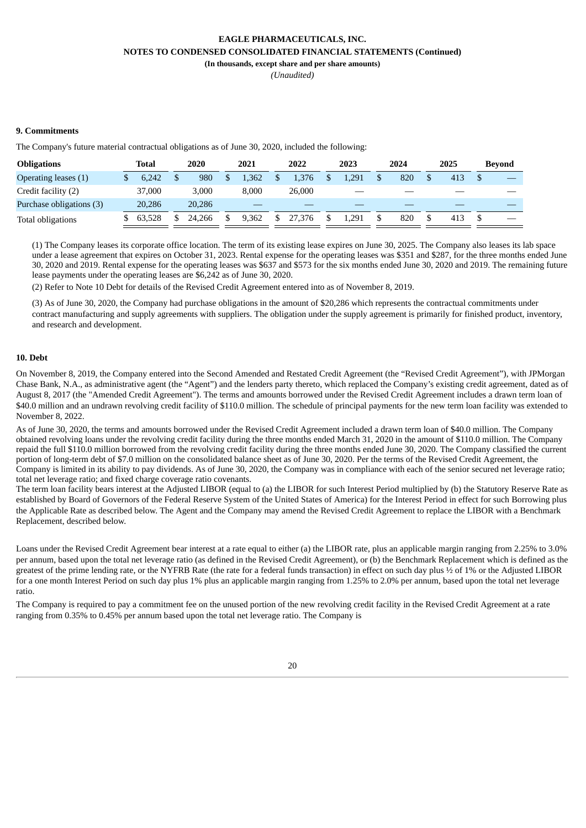**(In thousands, except share and per share amounts)**

*(Unaudited)*

### **9. Commitments**

The Company's future material contractual obligations as of June 30, 2020, included the following:

| <b>Obligations</b>       | Total  | 2020   | 2021  |   | 2022   | 2023  | 2024 | 2025 | Bevond |
|--------------------------|--------|--------|-------|---|--------|-------|------|------|--------|
| Operating leases (1)     | 6.242  | 980    | 1.362 |   | 1.376  | L.291 | 820  | 413  |        |
| Credit facility (2)      | 37,000 | 3.000  | 8.000 |   | 26.000 |       |      |      |        |
| Purchase obligations (3) | 20,286 | 20,286 |       |   |        |       |      |      |        |
| Total obligations        | 63.528 | 24.266 | 9.362 | S | 27,376 | 1.291 | 820  | 413  |        |

(1) The Company leases its corporate office location. The term of its existing lease expires on June 30, 2025. The Company also leases its lab space under a lease agreement that expires on October 31, 2023. Rental expense for the operating leases was \$351 and \$287, for the three months ended June 30, 2020 and 2019. Rental expense for the operating leases was \$637 and \$573 for the six months ended June 30, 2020 and 2019. The remaining future lease payments under the operating leases are \$6,242 as of June 30, 2020.

(2) Refer to Note 10 Debt for details of the Revised Credit Agreement entered into as of November 8, 2019.

(3) As of June 30, 2020, the Company had purchase obligations in the amount of \$20,286 which represents the contractual commitments under contract manufacturing and supply agreements with suppliers. The obligation under the supply agreement is primarily for finished product, inventory, and research and development.

#### **10. Debt**

On November 8, 2019, the Company entered into the Second Amended and Restated Credit Agreement (the "Revised Credit Agreement"), with JPMorgan Chase Bank, N.A., as administrative agent (the "Agent") and the lenders party thereto, which replaced the Company's existing credit agreement, dated as of August 8, 2017 (the "Amended Credit Agreement"). The terms and amounts borrowed under the Revised Credit Agreement includes a drawn term loan of \$40.0 million and an undrawn revolving credit facility of \$110.0 million. The schedule of principal payments for the new term loan facility was extended to November 8, 2022.

As of June 30, 2020, the terms and amounts borrowed under the Revised Credit Agreement included a drawn term loan of \$40.0 million. The Company obtained revolving loans under the revolving credit facility during the three months ended March 31, 2020 in the amount of \$110.0 million. The Company repaid the full \$110.0 million borrowed from the revolving credit facility during the three months ended June 30, 2020. The Company classified the current portion of long-term debt of \$7.0 million on the consolidated balance sheet as of June 30, 2020. Per the terms of the Revised Credit Agreement, the Company is limited in its ability to pay dividends. As of June 30, 2020, the Company was in compliance with each of the senior secured net leverage ratio; total net leverage ratio; and fixed charge coverage ratio covenants.

The term loan facility bears interest at the Adjusted LIBOR (equal to (a) the LIBOR for such Interest Period multiplied by (b) the Statutory Reserve Rate as established by Board of Governors of the Federal Reserve System of the United States of America) for the Interest Period in effect for such Borrowing plus the Applicable Rate as described below. The Agent and the Company may amend the Revised Credit Agreement to replace the LIBOR with a Benchmark Replacement, described below.

Loans under the Revised Credit Agreement bear interest at a rate equal to either (a) the LIBOR rate, plus an applicable margin ranging from 2.25% to 3.0% per annum, based upon the total net leverage ratio (as defined in the Revised Credit Agreement), or (b) the Benchmark Replacement which is defined as the greatest of the prime lending rate, or the NYFRB Rate (the rate for a federal funds transaction) in effect on such day plus ½ of 1% or the Adjusted LIBOR for a one month Interest Period on such day plus 1% plus an applicable margin ranging from 1.25% to 2.0% per annum, based upon the total net leverage ratio.

The Company is required to pay a commitment fee on the unused portion of the new revolving credit facility in the Revised Credit Agreement at a rate ranging from 0.35% to 0.45% per annum based upon the total net leverage ratio. The Company is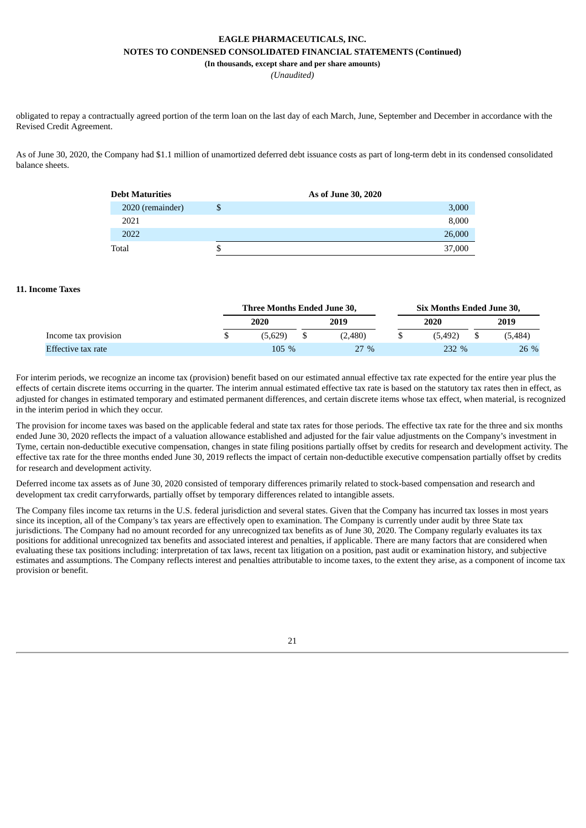**(In thousands, except share and per share amounts)**

*(Unaudited)*

obligated to repay a contractually agreed portion of the term loan on the last day of each March, June, September and December in accordance with the Revised Credit Agreement.

As of June 30, 2020, the Company had \$1.1 million of unamortized deferred debt issuance costs as part of long-term debt in its condensed consolidated balance sheets.

| <b>Debt Maturities</b> |   | As of June 30, 2020 |        |
|------------------------|---|---------------------|--------|
| 2020 (remainder)       |   |                     | 3,000  |
| 2021                   |   |                     | 8,000  |
| 2022                   |   |                     | 26,000 |
| Total                  | ה |                     | 37,000 |

#### **11. Income Taxes**

|                      | Three Months Ended June 30. |         |  |         | Six Months Ended June 30, |         |      |         |  |
|----------------------|-----------------------------|---------|--|---------|---------------------------|---------|------|---------|--|
|                      |                             | 2020    |  | 2019    |                           | 2020    | 2019 |         |  |
| Income tax provision |                             | (5.629) |  | (2.480) | S.                        | (5.492) |      | (5.484) |  |
| Effective tax rate   |                             | $105\%$ |  | $27\%$  |                           | 232 %   |      | 26 %    |  |

For interim periods, we recognize an income tax (provision) benefit based on our estimated annual effective tax rate expected for the entire year plus the effects of certain discrete items occurring in the quarter. The interim annual estimated effective tax rate is based on the statutory tax rates then in effect, as adjusted for changes in estimated temporary and estimated permanent differences, and certain discrete items whose tax effect, when material, is recognized in the interim period in which they occur.

The provision for income taxes was based on the applicable federal and state tax rates for those periods. The effective tax rate for the three and six months ended June 30, 2020 reflects the impact of a valuation allowance established and adjusted for the fair value adjustments on the Company's investment in Tyme, certain non-deductible executive compensation, changes in state filing positions partially offset by credits for research and development activity. The effective tax rate for the three months ended June 30, 2019 reflects the impact of certain non-deductible executive compensation partially offset by credits for research and development activity.

Deferred income tax assets as of June 30, 2020 consisted of temporary differences primarily related to stock-based compensation and research and development tax credit carryforwards, partially offset by temporary differences related to intangible assets.

The Company files income tax returns in the U.S. federal jurisdiction and several states. Given that the Company has incurred tax losses in most years since its inception, all of the Company's tax years are effectively open to examination. The Company is currently under audit by three State tax jurisdictions. The Company had no amount recorded for any unrecognized tax benefits as of June 30, 2020. The Company regularly evaluates its tax positions for additional unrecognized tax benefits and associated interest and penalties, if applicable. There are many factors that are considered when evaluating these tax positions including: interpretation of tax laws, recent tax litigation on a position, past audit or examination history, and subjective estimates and assumptions. The Company reflects interest and penalties attributable to income taxes, to the extent they arise, as a component of income tax provision or benefit.

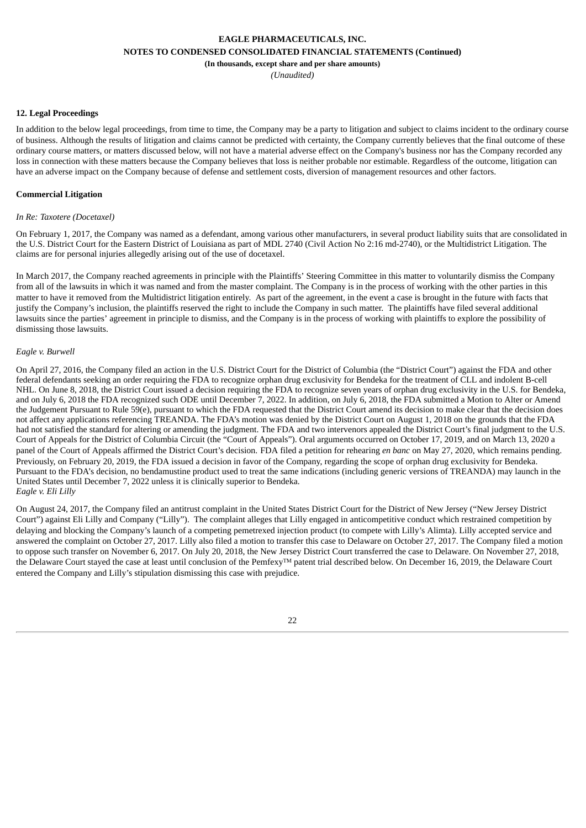**(In thousands, except share and per share amounts)**

*(Unaudited)*

#### **12. Legal Proceedings**

In addition to the below legal proceedings, from time to time, the Company may be a party to litigation and subject to claims incident to the ordinary course of business. Although the results of litigation and claims cannot be predicted with certainty, the Company currently believes that the final outcome of these ordinary course matters, or matters discussed below, will not have a material adverse effect on the Company's business nor has the Company recorded any loss in connection with these matters because the Company believes that loss is neither probable nor estimable. Regardless of the outcome, litigation can have an adverse impact on the Company because of defense and settlement costs, diversion of management resources and other factors.

#### **Commercial Litigation**

#### *In Re: Taxotere (Docetaxel)*

On February 1, 2017, the Company was named as a defendant, among various other manufacturers, in several product liability suits that are consolidated in the U.S. District Court for the Eastern District of Louisiana as part of MDL 2740 (Civil Action No 2:16 md-2740), or the Multidistrict Litigation. The claims are for personal injuries allegedly arising out of the use of docetaxel.

In March 2017, the Company reached agreements in principle with the Plaintiffs' Steering Committee in this matter to voluntarily dismiss the Company from all of the lawsuits in which it was named and from the master complaint. The Company is in the process of working with the other parties in this matter to have it removed from the Multidistrict litigation entirely. As part of the agreement, in the event a case is brought in the future with facts that justify the Company's inclusion, the plaintiffs reserved the right to include the Company in such matter. The plaintiffs have filed several additional lawsuits since the parties' agreement in principle to dismiss, and the Company is in the process of working with plaintiffs to explore the possibility of dismissing those lawsuits.

#### *Eagle v. Burwell*

On April 27, 2016, the Company filed an action in the U.S. District Court for the District of Columbia (the "District Court") against the FDA and other federal defendants seeking an order requiring the FDA to recognize orphan drug exclusivity for Bendeka for the treatment of CLL and indolent B-cell NHL. On June 8, 2018, the District Court issued a decision requiring the FDA to recognize seven years of orphan drug exclusivity in the U.S. for Bendeka, and on July 6, 2018 the FDA recognized such ODE until December 7, 2022. In addition, on July 6, 2018, the FDA submitted a Motion to Alter or Amend the Judgement Pursuant to Rule 59(e), pursuant to which the FDA requested that the District Court amend its decision to make clear that the decision does not affect any applications referencing TREANDA. The FDA's motion was denied by the District Court on August 1, 2018 on the grounds that the FDA had not satisfied the standard for altering or amending the judgment. The FDA and two intervenors appealed the District Court's final judgment to the U.S. Court of Appeals for the District of Columbia Circuit (the "Court of Appeals"). Oral arguments occurred on October 17, 2019, and on March 13, 2020 a panel of the Court of Appeals affirmed the District Court's decision. FDA filed a petition for rehearing *en banc* on May 27, 2020, which remains pending. Previously, on February 20, 2019, the FDA issued a decision in favor of the Company, regarding the scope of orphan drug exclusivity for Bendeka. Pursuant to the FDA's decision, no bendamustine product used to treat the same indications (including generic versions of TREANDA) may launch in the United States until December 7, 2022 unless it is clinically superior to Bendeka. *Eagle v. Eli Lilly*

On August 24, 2017, the Company filed an antitrust complaint in the United States District Court for the District of New Jersey ("New Jersey District Court") against Eli Lilly and Company ("Lilly"). The complaint alleges that Lilly engaged in anticompetitive conduct which restrained competition by delaying and blocking the Company's launch of a competing pemetrexed injection product (to compete with Lilly's Alimta). Lilly accepted service and answered the complaint on October 27, 2017. Lilly also filed a motion to transfer this case to Delaware on October 27, 2017. The Company filed a motion to oppose such transfer on November 6, 2017. On July 20, 2018, the New Jersey District Court transferred the case to Delaware. On November 27, 2018, the Delaware Court stayed the case at least until conclusion of the Pemfexy™ patent trial described below. On December 16, 2019, the Delaware Court entered the Company and Lilly's stipulation dismissing this case with prejudice.

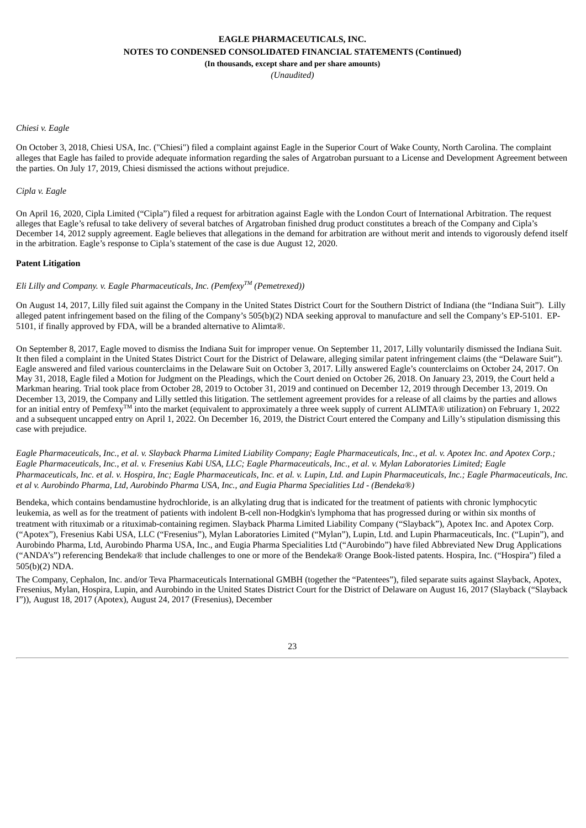*(Unaudited)*

#### *Chiesi v. Eagle*

On October 3, 2018, Chiesi USA, Inc. ("Chiesi") filed a complaint against Eagle in the Superior Court of Wake County, North Carolina. The complaint alleges that Eagle has failed to provide adequate information regarding the sales of Argatroban pursuant to a License and Development Agreement between the parties. On July 17, 2019, Chiesi dismissed the actions without prejudice.

#### *Cipla v. Eagle*

On April 16, 2020, Cipla Limited ("Cipla") filed a request for arbitration against Eagle with the London Court of International Arbitration. The request alleges that Eagle's refusal to take delivery of several batches of Argatroban finished drug product constitutes a breach of the Company and Cipla's December 14, 2012 supply agreement. Eagle believes that allegations in the demand for arbitration are without merit and intends to vigorously defend itself in the arbitration. Eagle's response to Cipla's statement of the case is due August 12, 2020.

#### **Patent Litigation**

### *Eli Lilly and Company. v. Eagle Pharmaceuticals, Inc. (Pemfexy TM (Pemetrexed))*

On August 14, 2017, Lilly filed suit against the Company in the United States District Court for the Southern District of Indiana (the "Indiana Suit"). Lilly alleged patent infringement based on the filing of the Company's 505(b)(2) NDA seeking approval to manufacture and sell the Company's EP-5101. EP-5101, if finally approved by FDA, will be a branded alternative to Alimta®.

On September 8, 2017, Eagle moved to dismiss the Indiana Suit for improper venue. On September 11, 2017, Lilly voluntarily dismissed the Indiana Suit. It then filed a complaint in the United States District Court for the District of Delaware, alleging similar patent infringement claims (the "Delaware Suit"). Eagle answered and filed various counterclaims in the Delaware Suit on October 3, 2017. Lilly answered Eagle's counterclaims on October 24, 2017. On May 31, 2018, Eagle filed a Motion for Judgment on the Pleadings, which the Court denied on October 26, 2018. On January 23, 2019, the Court held a Markman hearing. Trial took place from October 28, 2019 to October 31, 2019 and continued on December 12, 2019 through December 13, 2019. On December 13, 2019, the Company and Lilly settled this litigation. The settlement agreement provides for a release of all claims by the parties and allows for an initial entry of Pemfexy<sup>TM</sup> into the market (equivalent to approximately a three week supply of current ALIMTA® utilization) on February 1, 2022 and a subsequent uncapped entry on April 1, 2022. On December 16, 2019, the District Court entered the Company and Lilly's stipulation dismissing this case with prejudice.

Eagle Pharmaceuticals, Inc., et al. v. Slayback Pharma Limited Liability Company; Eagle Pharmaceuticals, Inc., et al. v. Apotex Inc. and Apotex Corp.; Eagle Pharmaceuticals, Inc., et al. v. Fresenius Kabi USA, LLC; Eagle Pharmaceuticals, Inc., et al. v. Mylan Laboratories Limited; Eagle Pharmaceuticals, Inc. et al. v. Hospira, Inc; Eagle Pharmaceuticals, Inc. et al. v. Lupin, Ltd. and Lupin Pharmaceuticals, Inc.; Eagle Pharmaceuticals, Inc. et al v. Aurobindo Pharma, Ltd, Aurobindo Pharma USA, Inc., and Eugia Pharma Specialities Ltd - (Bendeka®)

Bendeka, which contains bendamustine hydrochloride, is an alkylating drug that is indicated for the treatment of patients with chronic lymphocytic leukemia, as well as for the treatment of patients with indolent B-cell non-Hodgkin's lymphoma that has progressed during or within six months of treatment with rituximab or a rituximab-containing regimen. Slayback Pharma Limited Liability Company ("Slayback"), Apotex Inc. and Apotex Corp. ("Apotex"), Fresenius Kabi USA, LLC ("Fresenius"), Mylan Laboratories Limited ("Mylan"), Lupin, Ltd. and Lupin Pharmaceuticals, Inc. ("Lupin"), and Aurobindo Pharma, Ltd, Aurobindo Pharma USA, Inc., and Eugia Pharma Specialities Ltd ("Aurobindo") have filed Abbreviated New Drug Applications ("ANDA's") referencing Bendeka® that include challenges to one or more of the Bendeka® Orange Book-listed patents. Hospira, Inc. ("Hospira") filed a 505(b)(2) NDA.

The Company, Cephalon, Inc. and/or Teva Pharmaceuticals International GMBH (together the "Patentees"), filed separate suits against Slayback, Apotex, Fresenius, Mylan, Hospira, Lupin, and Aurobindo in the United States District Court for the District of Delaware on August 16, 2017 (Slayback ("Slayback I")), August 18, 2017 (Apotex), August 24, 2017 (Fresenius), December

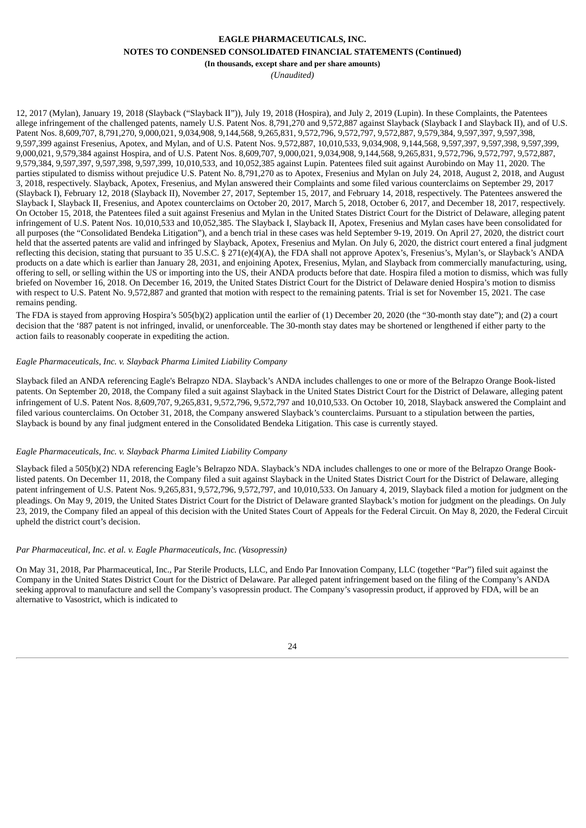#### **(In thousands, except share and per share amounts)**

*(Unaudited)*

12, 2017 (Mylan), January 19, 2018 (Slayback ("Slayback II")), July 19, 2018 (Hospira), and July 2, 2019 (Lupin). In these Complaints, the Patentees allege infringement of the challenged patents, namely U.S. Patent Nos. 8,791,270 and 9,572,887 against Slayback (Slayback I and Slayback II), and of U.S. Patent Nos. 8,609,707, 8,791,270, 9,000,021, 9,034,908, 9,144,568, 9,265,831, 9,572,796, 9,572,797, 9,572,887, 9,579,384, 9,597,397, 9,597,398, 9,597,399 against Fresenius, Apotex, and Mylan, and of U.S. Patent Nos. 9,572,887, 10,010,533, 9,034,908, 9,144,568, 9,597,397, 9,597,398, 9,597,399, 9,000,021, 9,579,384 against Hospira, and of U.S. Patent Nos. 8,609,707, 9,000,021, 9,034,908, 9,144,568, 9,265,831, 9,572,796, 9,572,797, 9,572,887, 9,579,384, 9,597,397, 9,597,398, 9,597,399, 10,010,533, and 10,052,385 against Lupin. Patentees filed suit against Aurobindo on May 11, 2020. The parties stipulated to dismiss without prejudice U.S. Patent No. 8,791,270 as to Apotex, Fresenius and Mylan on July 24, 2018, August 2, 2018, and August 3, 2018, respectively. Slayback, Apotex, Fresenius, and Mylan answered their Complaints and some filed various counterclaims on September 29, 2017 (Slayback I), February 12, 2018 (Slayback II), November 27, 2017, September 15, 2017, and February 14, 2018, respectively. The Patentees answered the Slayback I, Slayback II, Fresenius, and Apotex counterclaims on October 20, 2017, March 5, 2018, October 6, 2017, and December 18, 2017, respectively. On October 15, 2018, the Patentees filed a suit against Fresenius and Mylan in the United States District Court for the District of Delaware, alleging patent infringement of U.S. Patent Nos. 10,010,533 and 10,052,385. The Slayback I, Slayback II, Apotex, Fresenius and Mylan cases have been consolidated for all purposes (the "Consolidated Bendeka Litigation"), and a bench trial in these cases was held September 9-19, 2019. On April 27, 2020, the district court held that the asserted patents are valid and infringed by Slayback, Apotex, Fresenius and Mylan. On July 6, 2020, the district court entered a final judgment reflecting this decision, stating that pursuant to 35 U.S.C. § 271(e)(4)(A), the FDA shall not approve Apotex's, Fresenius's, Mylan's, or Slayback's ANDA products on a date which is earlier than January 28, 2031, and enjoining Apotex, Fresenius, Mylan, and Slayback from commercially manufacturing, using, offering to sell, or selling within the US or importing into the US, their ANDA products before that date. Hospira filed a motion to dismiss, which was fully briefed on November 16, 2018. On December 16, 2019, the United States District Court for the District of Delaware denied Hospira's motion to dismiss with respect to U.S. Patent No. 9,572,887 and granted that motion with respect to the remaining patents. Trial is set for November 15, 2021. The case remains pending.

The FDA is stayed from approving Hospira's 505(b)(2) application until the earlier of (1) December 20, 2020 (the "30-month stay date"); and (2) a court decision that the '887 patent is not infringed, invalid, or unenforceable. The 30-month stay dates may be shortened or lengthened if either party to the action fails to reasonably cooperate in expediting the action.

#### *Eagle Pharmaceuticals, Inc. v. Slayback Pharma Limited Liability Company*

Slayback filed an ANDA referencing Eagle's Belrapzo NDA. Slayback's ANDA includes challenges to one or more of the Belrapzo Orange Book-listed patents. On September 20, 2018, the Company filed a suit against Slayback in the United States District Court for the District of Delaware, alleging patent infringement of U.S. Patent Nos. 8,609,707, 9,265,831, 9,572,796, 9,572,797 and 10,010,533. On October 10, 2018, Slayback answered the Complaint and filed various counterclaims. On October 31, 2018, the Company answered Slayback's counterclaims. Pursuant to a stipulation between the parties, Slayback is bound by any final judgment entered in the Consolidated Bendeka Litigation. This case is currently stayed.

#### *Eagle Pharmaceuticals, Inc. v. Slayback Pharma Limited Liability Company*

Slayback filed a 505(b)(2) NDA referencing Eagle's Belrapzo NDA. Slayback's NDA includes challenges to one or more of the Belrapzo Orange Booklisted patents. On December 11, 2018, the Company filed a suit against Slayback in the United States District Court for the District of Delaware, alleging patent infringement of U.S. Patent Nos. 9,265,831, 9,572,796, 9,572,797, and 10,010,533. On January 4, 2019, Slayback filed a motion for judgment on the pleadings. On May 9, 2019, the United States District Court for the District of Delaware granted Slayback's motion for judgment on the pleadings. On July 23, 2019, the Company filed an appeal of this decision with the United States Court of Appeals for the Federal Circuit. On May 8, 2020, the Federal Circuit upheld the district court's decision.

#### *Par Pharmaceutical, Inc. et al. v. Eagle Pharmaceuticals, Inc. (Vasopressin)*

On May 31, 2018, Par Pharmaceutical, Inc., Par Sterile Products, LLC, and Endo Par Innovation Company, LLC (together "Par") filed suit against the Company in the United States District Court for the District of Delaware. Par alleged patent infringement based on the filing of the Company's ANDA seeking approval to manufacture and sell the Company's vasopressin product. The Company's vasopressin product, if approved by FDA, will be an alternative to Vasostrict, which is indicated to

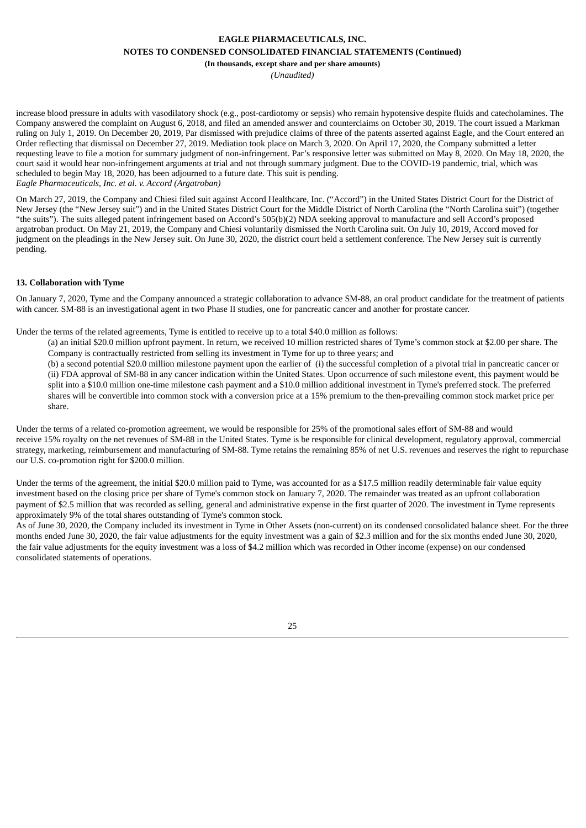## **(In thousands, except share and per share amounts)**

*(Unaudited)*

increase blood pressure in adults with vasodilatory shock (e.g., post-cardiotomy or sepsis) who remain hypotensive despite fluids and catecholamines. The Company answered the complaint on August 6, 2018, and filed an amended answer and counterclaims on October 30, 2019. The court issued a Markman ruling on July 1, 2019. On December 20, 2019, Par dismissed with prejudice claims of three of the patents asserted against Eagle, and the Court entered an Order reflecting that dismissal on December 27, 2019. Mediation took place on March 3, 2020. On April 17, 2020, the Company submitted a letter requesting leave to file a motion for summary judgment of non-infringement. Par's responsive letter was submitted on May 8, 2020. On May 18, 2020, the court said it would hear non-infringement arguments at trial and not through summary judgment. Due to the COVID-19 pandemic, trial, which was scheduled to begin May 18, 2020, has been adjourned to a future date. This suit is pending. *Eagle Pharmaceuticals, Inc. et al. v. Accord (Argatroban)*

On March 27, 2019, the Company and Chiesi filed suit against Accord Healthcare, Inc. ("Accord") in the United States District Court for the District of New Jersey (the "New Jersey suit") and in the United States District Court for the Middle District of North Carolina (the "North Carolina suit") (together "the suits"). The suits alleged patent infringement based on Accord's 505(b)(2) NDA seeking approval to manufacture and sell Accord's proposed argatroban product. On May 21, 2019, the Company and Chiesi voluntarily dismissed the North Carolina suit. On July 10, 2019, Accord moved for judgment on the pleadings in the New Jersey suit. On June 30, 2020, the district court held a settlement conference. The New Jersey suit is currently pending.

#### **13. Collaboration with Tyme**

On January 7, 2020, Tyme and the Company announced a strategic collaboration to advance SM-88, an oral product candidate for the treatment of patients with cancer. SM-88 is an investigational agent in two Phase II studies, one for pancreatic cancer and another for prostate cancer.

Under the terms of the related agreements, Tyme is entitled to receive up to a total \$40.0 million as follows:

- (a) an initial \$20.0 million upfront payment. In return, we received 10 million restricted shares of Tyme's common stock at \$2.00 per share. The Company is contractually restricted from selling its investment in Tyme for up to three years; and
- (b) a second potential \$20.0 million milestone payment upon the earlier of (i) the successful completion of a pivotal trial in pancreatic cancer or (ii) FDA approval of SM-88 in any cancer indication within the United States. Upon occurrence of such milestone event, this payment would be split into a \$10.0 million one-time milestone cash payment and a \$10.0 million additional investment in Tyme's preferred stock. The preferred shares will be convertible into common stock with a conversion price at a 15% premium to the then-prevailing common stock market price per share.

Under the terms of a related co-promotion agreement, we would be responsible for 25% of the promotional sales effort of SM-88 and would receive 15% royalty on the net revenues of SM-88 in the United States. Tyme is be responsible for clinical development, regulatory approval, commercial strategy, marketing, reimbursement and manufacturing of SM-88. Tyme retains the remaining 85% of net U.S. revenues and reserves the right to repurchase our U.S. co-promotion right for \$200.0 million.

Under the terms of the agreement, the initial \$20.0 million paid to Tyme, was accounted for as a \$17.5 million readily determinable fair value equity investment based on the closing price per share of Tyme's common stock on January 7, 2020. The remainder was treated as an upfront collaboration payment of \$2.5 million that was recorded as selling, general and administrative expense in the first quarter of 2020. The investment in Tyme represents approximately 9% of the total shares outstanding of Tyme's common stock.

<span id="page-28-0"></span>As of June 30, 2020, the Company included its investment in Tyme in Other Assets (non-current) on its condensed consolidated balance sheet. For the three months ended June 30, 2020, the fair value adjustments for the equity investment was a gain of \$2.3 million and for the six months ended June 30, 2020, the fair value adjustments for the equity investment was a loss of \$4.2 million which was recorded in Other income (expense) on our condensed consolidated statements of operations.

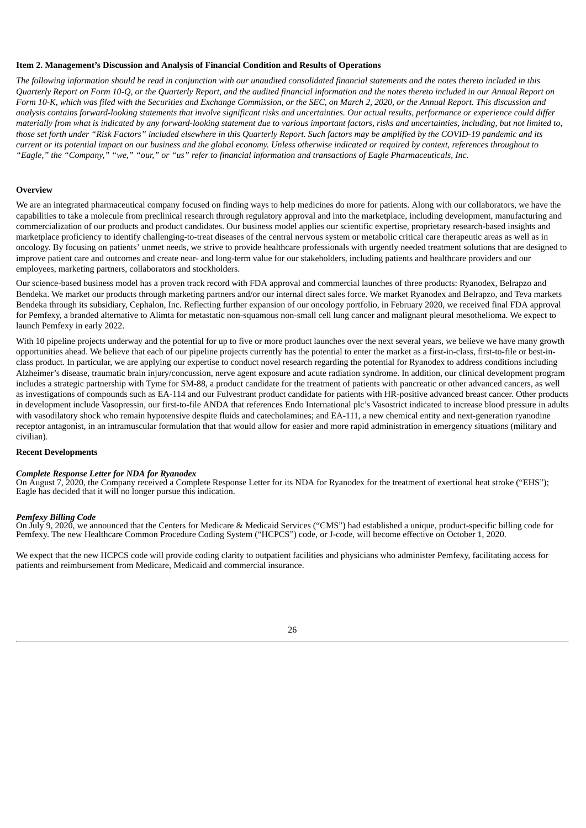#### **Item 2. Management's Discussion and Analysis of Financial Condition and Results of Operations**

The following information should be read in conjunction with our unaudited consolidated financial statements and the notes thereto included in this Quarterly Report on Form 10-Q, or the Quarterly Report, and the audited financial information and the notes thereto included in our Annual Report on Form 10-K, which was filed with the Securities and Exchange Commission, or the SEC, on March 2, 2020, or the Annual Report. This discussion and analysis contains forward-looking statements that involve significant risks and uncertainties. Our actual results, performance or experience could differ materially from what is indicated by any forward-looking statement due to various important factors, risks and uncertainties, including, but not limited to, those set forth under "Risk Factors" included elsewhere in this Quarterly Report. Such factors may be amplified by the COVID-19 pandemic and its current or its potential impact on our business and the global economy. Unless otherwise indicated or required by context, references throughout to "Eagle," the "Company," "we," "our," or "us" refer to financial information and transactions of Eagle Pharmaceuticals, Inc.

#### **Overview**

We are an integrated pharmaceutical company focused on finding ways to help medicines do more for patients. Along with our collaborators, we have the capabilities to take a molecule from preclinical research through regulatory approval and into the marketplace, including development, manufacturing and commercialization of our products and product candidates. Our business model applies our scientific expertise, proprietary research-based insights and marketplace proficiency to identify challenging-to-treat diseases of the central nervous system or metabolic critical care therapeutic areas as well as in oncology. By focusing on patients' unmet needs, we strive to provide healthcare professionals with urgently needed treatment solutions that are designed to improve patient care and outcomes and create near- and long-term value for our stakeholders, including patients and healthcare providers and our employees, marketing partners, collaborators and stockholders.

Our science-based business model has a proven track record with FDA approval and commercial launches of three products: Ryanodex, Belrapzo and Bendeka. We market our products through marketing partners and/or our internal direct sales force. We market Ryanodex and Belrapzo, and Teva markets Bendeka through its subsidiary, Cephalon, Inc. Reflecting further expansion of our oncology portfolio, in February 2020, we received final FDA approval for Pemfexy, a branded alternative to Alimta for metastatic non-squamous non-small cell lung cancer and malignant pleural mesothelioma. We expect to launch Pemfexy in early 2022.

With 10 pipeline projects underway and the potential for up to five or more product launches over the next several years, we believe we have many growth opportunities ahead. We believe that each of our pipeline projects currently has the potential to enter the market as a first-in-class, first-to-file or best-inclass product. In particular, we are applying our expertise to conduct novel research regarding the potential for Ryanodex to address conditions including Alzheimer's disease, traumatic brain injury/concussion, nerve agent exposure and acute radiation syndrome. In addition, our clinical development program includes a strategic partnership with Tyme for SM-88, a product candidate for the treatment of patients with pancreatic or other advanced cancers, as well as investigations of compounds such as EA-114 and our Fulvestrant product candidate for patients with HR-positive advanced breast cancer. Other products in development include Vasopressin, our first-to-file ANDA that references Endo International plc's Vasostrict indicated to increase blood pressure in adults with vasodilatory shock who remain hypotensive despite fluids and catecholamines; and EA-111, a new chemical entity and next-generation ryanodine receptor antagonist, in an intramuscular formulation that that would allow for easier and more rapid administration in emergency situations (military and civilian).

#### **Recent Developments**

#### *Complete Response Letter for NDA for Ryanodex*

On August 7, 2020, the Company received a Complete Response Letter for its NDA for Ryanodex for the treatment of exertional heat stroke ("EHS"); Eagle has decided that it will no longer pursue this indication.

#### *Pemfexy Billing Code*

On July 9, 2020, we announced that the Centers for Medicare & Medicaid Services ("CMS") had established a unique, product-specific billing code for Pemfexy. The new Healthcare Common Procedure Coding System ("HCPCS") code, or J-code, will become effective on October 1, 2020.

We expect that the new HCPCS code will provide coding clarity to outpatient facilities and physicians who administer Pemfexy, facilitating access for patients and reimbursement from Medicare, Medicaid and commercial insurance.

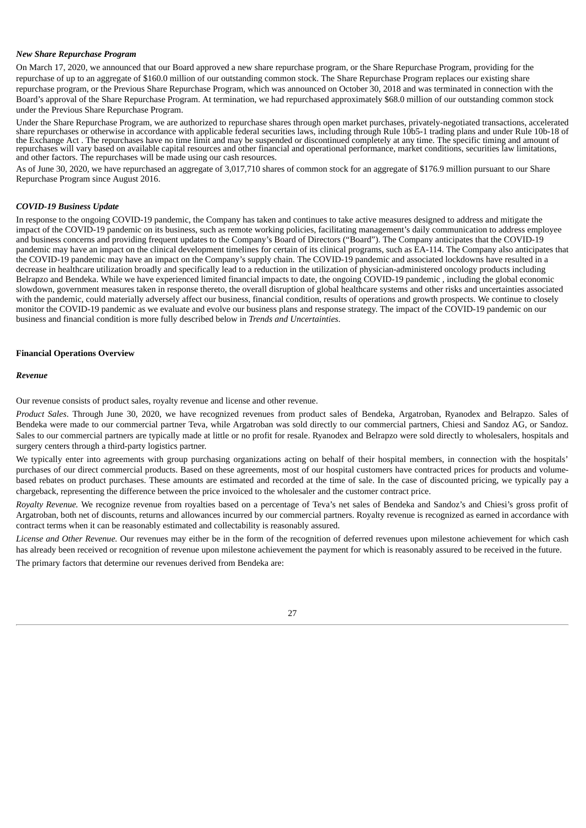#### *New Share Repurchase Program*

On March 17, 2020, we announced that our Board approved a new share repurchase program, or the Share Repurchase Program, providing for the repurchase of up to an aggregate of \$160.0 million of our outstanding common stock. The Share Repurchase Program replaces our existing share repurchase program, or the Previous Share Repurchase Program, which was announced on October 30, 2018 and was terminated in connection with the Board's approval of the Share Repurchase Program. At termination, we had repurchased approximately \$68.0 million of our outstanding common stock under the Previous Share Repurchase Program.

Under the Share Repurchase Program, we are authorized to repurchase shares through open market purchases, privately-negotiated transactions, accelerated share repurchases or otherwise in accordance with applicable federal securities laws, including through Rule 10b5-1 trading plans and under Rule 10b-18 of the Exchange Act . The repurchases have no time limit and may be suspended or discontinued completely at any time. The specific timing and amount of repurchases will vary based on available capital resources and other financial and operational performance, market conditions, securities law limitations, and other factors. The repurchases will be made using our cash resources.

As of June 30, 2020, we have repurchased an aggregate of 3,017,710 shares of common stock for an aggregate of \$176.9 million pursuant to our Share Repurchase Program since August 2016.

#### *COVID-19 Business Update*

In response to the ongoing COVID-19 pandemic, the Company has taken and continues to take active measures designed to address and mitigate the impact of the COVID-19 pandemic on its business, such as remote working policies, facilitating management's daily communication to address employee and business concerns and providing frequent updates to the Company's Board of Directors ("Board"). The Company anticipates that the COVID-19 pandemic may have an impact on the clinical development timelines for certain of its clinical programs, such as EA-114. The Company also anticipates that the COVID-19 pandemic may have an impact on the Company's supply chain. The COVID-19 pandemic and associated lockdowns have resulted in a decrease in healthcare utilization broadly and specifically lead to a reduction in the utilization of physician-administered oncology products including Belrapzo and Bendeka. While we have experienced limited financial impacts to date, the ongoing COVID-19 pandemic , including the global economic slowdown, government measures taken in response thereto, the overall disruption of global healthcare systems and other risks and uncertainties associated with the pandemic, could materially adversely affect our business, financial condition, results of operations and growth prospects. We continue to closely monitor the COVID-19 pandemic as we evaluate and evolve our business plans and response strategy. The impact of the COVID-19 pandemic on our business and financial condition is more fully described below in *Trends and Uncertainties*.

#### **Financial Operations Overview**

#### *Revenue*

Our revenue consists of product sales, royalty revenue and license and other revenue.

*Product Sales*. Through June 30, 2020, we have recognized revenues from product sales of Bendeka, Argatroban, Ryanodex and Belrapzo. Sales of Bendeka were made to our commercial partner Teva, while Argatroban was sold directly to our commercial partners, Chiesi and Sandoz AG, or Sandoz. Sales to our commercial partners are typically made at little or no profit for resale. Ryanodex and Belrapzo were sold directly to wholesalers, hospitals and surgery centers through a third-party logistics partner.

We typically enter into agreements with group purchasing organizations acting on behalf of their hospital members, in connection with the hospitals' purchases of our direct commercial products. Based on these agreements, most of our hospital customers have contracted prices for products and volumebased rebates on product purchases. These amounts are estimated and recorded at the time of sale. In the case of discounted pricing, we typically pay a chargeback, representing the difference between the price invoiced to the wholesaler and the customer contract price.

*Royalty Revenue.* We recognize revenue from royalties based on a percentage of Teva's net sales of Bendeka and Sandoz's and Chiesi's gross profit of Argatroban, both net of discounts, returns and allowances incurred by our commercial partners. Royalty revenue is recognized as earned in accordance with contract terms when it can be reasonably estimated and collectability is reasonably assured.

*License and Other Revenue.* Our revenues may either be in the form of the recognition of deferred revenues upon milestone achievement for which cash has already been received or recognition of revenue upon milestone achievement the payment for which is reasonably assured to be received in the future. The primary factors that determine our revenues derived from Bendeka are: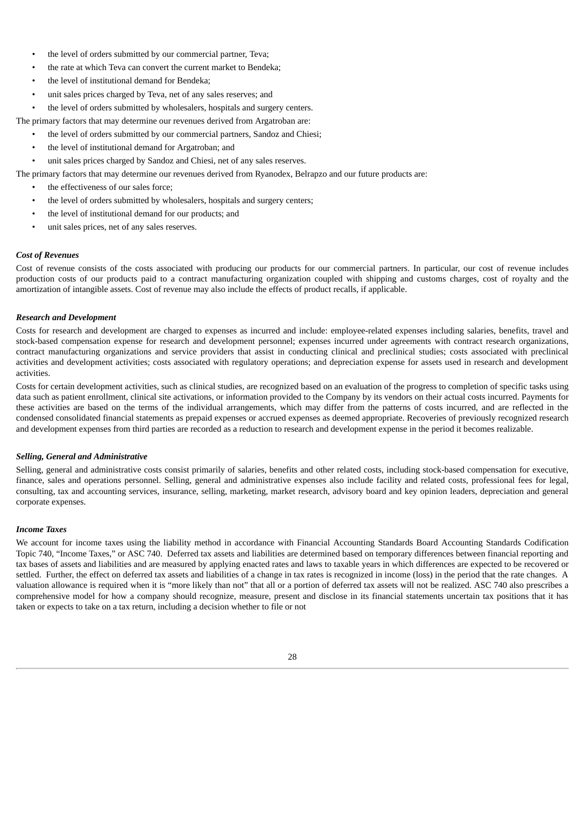- the level of orders submitted by our commercial partner, Teva;
- the rate at which Teva can convert the current market to Bendeka;
- the level of institutional demand for Bendeka;
- unit sales prices charged by Teva, net of any sales reserves; and
- the level of orders submitted by wholesalers, hospitals and surgery centers.

The primary factors that may determine our revenues derived from Argatroban are:

- the level of orders submitted by our commercial partners, Sandoz and Chiesi;
	- the level of institutional demand for Argatroban; and
- unit sales prices charged by Sandoz and Chiesi, net of any sales reserves.
- The primary factors that may determine our revenues derived from Ryanodex, Belrapzo and our future products are:
	- the effectiveness of our sales force;
	- the level of orders submitted by wholesalers, hospitals and surgery centers;
	- the level of institutional demand for our products; and
	- unit sales prices, net of any sales reserves.

### *Cost of Revenues*

Cost of revenue consists of the costs associated with producing our products for our commercial partners. In particular, our cost of revenue includes production costs of our products paid to a contract manufacturing organization coupled with shipping and customs charges, cost of royalty and the amortization of intangible assets. Cost of revenue may also include the effects of product recalls, if applicable.

### *Research and Development*

Costs for research and development are charged to expenses as incurred and include: employee-related expenses including salaries, benefits, travel and stock-based compensation expense for research and development personnel; expenses incurred under agreements with contract research organizations, contract manufacturing organizations and service providers that assist in conducting clinical and preclinical studies; costs associated with preclinical activities and development activities; costs associated with regulatory operations; and depreciation expense for assets used in research and development activities.

Costs for certain development activities, such as clinical studies, are recognized based on an evaluation of the progress to completion of specific tasks using data such as patient enrollment, clinical site activations, or information provided to the Company by its vendors on their actual costs incurred. Payments for these activities are based on the terms of the individual arrangements, which may differ from the patterns of costs incurred, and are reflected in the condensed consolidated financial statements as prepaid expenses or accrued expenses as deemed appropriate. Recoveries of previously recognized research and development expenses from third parties are recorded as a reduction to research and development expense in the period it becomes realizable.

#### *Selling, General and Administrative*

Selling, general and administrative costs consist primarily of salaries, benefits and other related costs, including stock-based compensation for executive, finance, sales and operations personnel. Selling, general and administrative expenses also include facility and related costs, professional fees for legal, consulting, tax and accounting services, insurance, selling, marketing, market research, advisory board and key opinion leaders, depreciation and general corporate expenses.

#### *Income Taxes*

We account for income taxes using the liability method in accordance with Financial Accounting Standards Board Accounting Standards Codification Topic 740, "Income Taxes," or ASC 740. Deferred tax assets and liabilities are determined based on temporary differences between financial reporting and tax bases of assets and liabilities and are measured by applying enacted rates and laws to taxable years in which differences are expected to be recovered or settled. Further, the effect on deferred tax assets and liabilities of a change in tax rates is recognized in income (loss) in the period that the rate changes. A valuation allowance is required when it is "more likely than not" that all or a portion of deferred tax assets will not be realized. ASC 740 also prescribes a comprehensive model for how a company should recognize, measure, present and disclose in its financial statements uncertain tax positions that it has taken or expects to take on a tax return, including a decision whether to file or not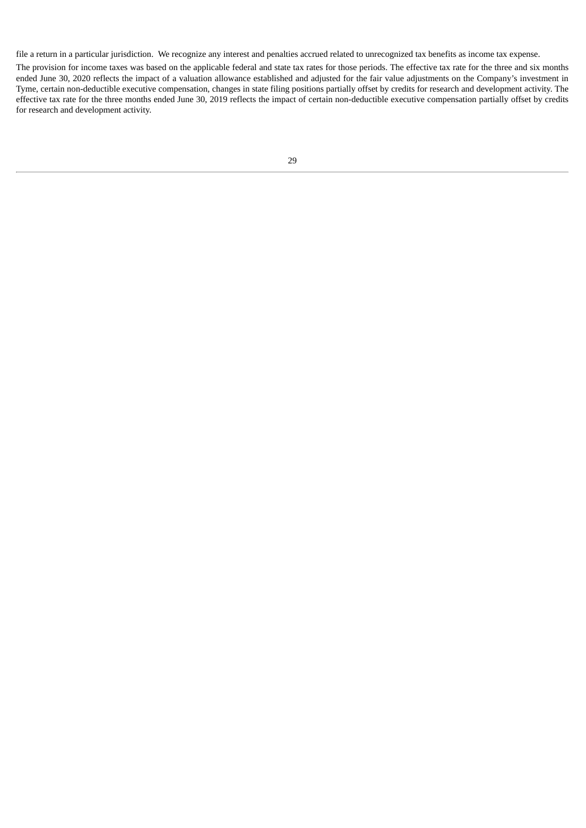file a return in a particular jurisdiction. We recognize any interest and penalties accrued related to unrecognized tax benefits as income tax expense.

The provision for income taxes was based on the applicable federal and state tax rates for those periods. The effective tax rate for the three and six months ended June 30, 2020 reflects the impact of a valuation allowance established and adjusted for the fair value adjustments on the Company's investment in Tyme, certain non-deductible executive compensation, changes in state filing positions partially offset by credits for research and development activity. The effective tax rate for the three months ended June 30, 2019 reflects the impact of certain non-deductible executive compensation partially offset by credits for research and development activity.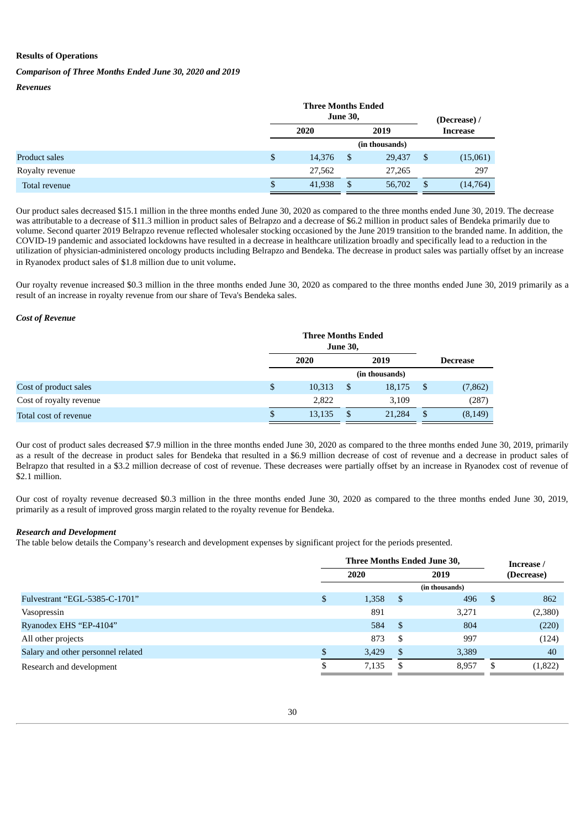#### **Results of Operations**

#### *Comparison of Three Months Ended June 30, 2020 and 2019*

*Revenues*

|                 | <b>Three Months Ended</b><br><b>June 30,</b> |      |                |    | (Decrease) /    |
|-----------------|----------------------------------------------|------|----------------|----|-----------------|
|                 | 2020                                         | 2019 |                |    | <b>Increase</b> |
|                 |                                              |      | (in thousands) |    |                 |
| Product sales   | \$<br>14,376                                 | S    | 29,437         | \$ | (15,061)        |
| Royalty revenue | 27,562                                       |      | 27,265         |    | 297             |
| Total revenue   | \$<br>41,938                                 | \$   | 56,702         |    | (14,764)        |

Our product sales decreased \$15.1 million in the three months ended June 30, 2020 as compared to the three months ended June 30, 2019. The decrease was attributable to a decrease of \$11.3 million in product sales of Belrapzo and a decrease of \$6.2 million in product sales of Bendeka primarily due to volume. Second quarter 2019 Belrapzo revenue reflected wholesaler stocking occasioned by the June 2019 transition to the branded name. In addition, the COVID-19 pandemic and associated lockdowns have resulted in a decrease in healthcare utilization broadly and specifically lead to a reduction in the utilization of physician-administered oncology products including Belrapzo and Bendeka. The decrease in product sales was partially offset by an increase in Ryanodex product sales of \$1.8 million due to unit volume.

Our royalty revenue increased \$0.3 million in the three months ended June 30, 2020 as compared to the three months ended June 30, 2019 primarily as a result of an increase in royalty revenue from our share of Teva's Bendeka sales.

#### *Cost of Revenue*

|                         | <b>Three Months Ended</b><br><b>June 30,</b> |        |      |                |    |                 |
|-------------------------|----------------------------------------------|--------|------|----------------|----|-----------------|
|                         | 2020                                         |        | 2019 |                |    | <b>Decrease</b> |
|                         |                                              |        |      | (in thousands) |    |                 |
| Cost of product sales   | \$                                           | 10,313 | \$   | 18,175         | S  | (7, 862)        |
| Cost of royalty revenue |                                              | 2,822  |      | 3,109          |    | (287)           |
| Total cost of revenue   | S                                            | 13,135 | -\$  | 21,284         | \$ | (8, 149)        |

Our cost of product sales decreased \$7.9 million in the three months ended June 30, 2020 as compared to the three months ended June 30, 2019, primarily as a result of the decrease in product sales for Bendeka that resulted in a \$6.9 million decrease of cost of revenue and a decrease in product sales of Belrapzo that resulted in a \$3.2 million decrease of cost of revenue. These decreases were partially offset by an increase in Ryanodex cost of revenue of \$2.1 million.

Our cost of royalty revenue decreased \$0.3 million in the three months ended June 30, 2020 as compared to the three months ended June 30, 2019, primarily as a result of improved gross margin related to the royalty revenue for Bendeka.

#### *Research and Development*

The table below details the Company's research and development expenses by significant project for the periods presented.

|                                    | Three Months Ended June 30, |       |              |                |            | Increase / |  |
|------------------------------------|-----------------------------|-------|--------------|----------------|------------|------------|--|
|                                    | 2020                        |       |              | 2019           | (Decrease) |            |  |
|                                    |                             |       |              | (in thousands) |            |            |  |
| Fulvestrant "EGL-5385-C-1701"      | \$                          | 1,358 | -\$          | 496            | -S         | 862        |  |
| Vasopressin                        |                             | 891   |              | 3,271          |            | (2,380)    |  |
| Ryanodex EHS "EP-4104"             |                             | 584   | $\mathbf{s}$ | 804            |            | (220)      |  |
| All other projects                 |                             | 873   | -S           | 997            |            | (124)      |  |
| Salary and other personnel related |                             | 3,429 | -\$          | 3,389          |            | 40         |  |
| Research and development           |                             | 7,135 | - \$         | 8.957          | ъĐ.        | (1,822)    |  |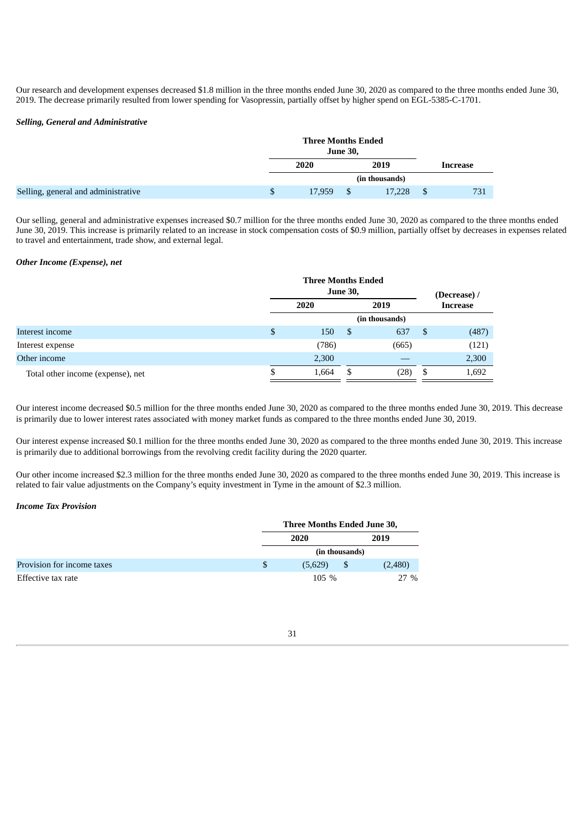Our research and development expenses decreased \$1.8 million in the three months ended June 30, 2020 as compared to the three months ended June 30, 2019. The decrease primarily resulted from lower spending for Vasopressin, partially offset by higher spend on EGL-5385-C-1701.

#### *Selling, General and Administrative*

|                                     | <b>Three Months Ended</b> | <b>June 30,</b> |                |          |
|-------------------------------------|---------------------------|-----------------|----------------|----------|
|                                     | 2020                      |                 | 2019           | Increase |
|                                     |                           |                 | (in thousands) |          |
| Selling, general and administrative | \$<br>17,959              | - \$            | 17.228         | 731      |

Our selling, general and administrative expenses increased \$0.7 million for the three months ended June 30, 2020 as compared to the three months ended June 30, 2019. This increase is primarily related to an increase in stock compensation costs of \$0.9 million, partially offset by decreases in expenses related to travel and entertainment, trade show, and external legal.

#### *Other Income (Expense), net*

|                                   |    | <b>Three Months Ended</b><br><b>June 30,</b> | (Decrease) / |                |                 |       |  |
|-----------------------------------|----|----------------------------------------------|--------------|----------------|-----------------|-------|--|
|                                   |    | 2020                                         |              | 2019           | <b>Increase</b> |       |  |
|                                   |    |                                              |              | (in thousands) |                 |       |  |
| Interest income                   | \$ | 150                                          | \$           | 637            | \$              | (487) |  |
| Interest expense                  |    | (786)                                        |              | (665)          |                 | (121) |  |
| Other income                      |    | 2,300                                        |              |                |                 | 2,300 |  |
| Total other income (expense), net | S  | 1,664                                        | S            | (28)           | S               | 1,692 |  |

Our interest income decreased \$0.5 million for the three months ended June 30, 2020 as compared to the three months ended June 30, 2019. This decrease is primarily due to lower interest rates associated with money market funds as compared to the three months ended June 30, 2019.

Our interest expense increased \$0.1 million for the three months ended June 30, 2020 as compared to the three months ended June 30, 2019. This increase is primarily due to additional borrowings from the revolving credit facility during the 2020 quarter.

Our other income increased \$2.3 million for the three months ended June 30, 2020 as compared to the three months ended June 30, 2019. This increase is related to fair value adjustments on the Company's equity investment in Tyme in the amount of \$2.3 million.

#### *Income Tax Provision*

|                            |   | Three Months Ended June 30, |   |         |  |  |
|----------------------------|---|-----------------------------|---|---------|--|--|
|                            |   | 2020                        |   | 2019    |  |  |
|                            |   | (in thousands)              |   |         |  |  |
| Provision for income taxes | S | (5,629)                     | S | (2,480) |  |  |
| Effective tax rate         |   | $105\%$                     |   | $27\%$  |  |  |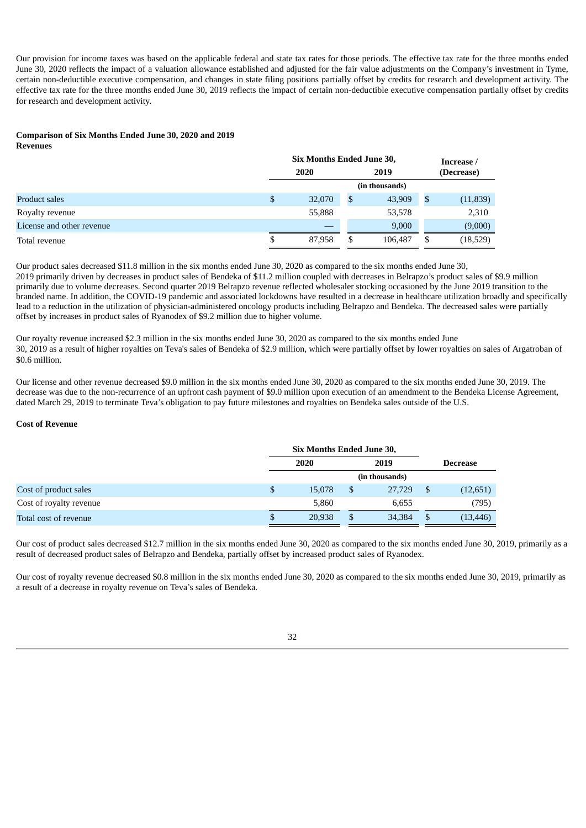Our provision for income taxes was based on the applicable federal and state tax rates for those periods. The effective tax rate for the three months ended June 30, 2020 reflects the impact of a valuation allowance established and adjusted for the fair value adjustments on the Company's investment in Tyme, certain non-deductible executive compensation, and changes in state filing positions partially offset by credits for research and development activity. The effective tax rate for the three months ended June 30, 2019 reflects the impact of certain non-deductible executive compensation partially offset by credits for research and development activity.

## **Comparison of Six Months Ended June 30, 2020 and 2019**

**Revenues**

|                           | <b>Six Months Ended June 30,</b> |        |    |                |    | Increase / |  |  |
|---------------------------|----------------------------------|--------|----|----------------|----|------------|--|--|
|                           |                                  | 2020   |    | 2019           |    | (Decrease) |  |  |
|                           |                                  |        |    | (in thousands) |    |            |  |  |
| Product sales             | \$                               | 32,070 | \$ | 43,909         | \$ | (11, 839)  |  |  |
| Royalty revenue           |                                  | 55,888 |    | 53,578         |    | 2,310      |  |  |
| License and other revenue |                                  |        |    | 9,000          |    | (9,000)    |  |  |
| Total revenue             | \$                               | 87,958 | \$ | 106,487        | \$ | (18,529)   |  |  |

Our product sales decreased \$11.8 million in the six months ended June 30, 2020 as compared to the six months ended June 30, 2019 primarily driven by decreases in product sales of Bendeka of \$11.2 million coupled with decreases in Belrapzo's product sales of \$9.9 million primarily due to volume decreases. Second quarter 2019 Belrapzo revenue reflected wholesaler stocking occasioned by the June 2019 transition to the branded name. In addition, the COVID-19 pandemic and associated lockdowns have resulted in a decrease in healthcare utilization broadly and specifically lead to a reduction in the utilization of physician-administered oncology products including Belrapzo and Bendeka. The decreased sales were partially offset by increases in product sales of Ryanodex of \$9.2 million due to higher volume.

Our royalty revenue increased \$2.3 million in the six months ended June 30, 2020 as compared to the six months ended June 30, 2019 as a result of higher royalties on Teva's sales of Bendeka of \$2.9 million, which were partially offset by lower royalties on sales of Argatroban of \$0.6 million.

Our license and other revenue decreased \$9.0 million in the six months ended June 30, 2020 as compared to the six months ended June 30, 2019. The decrease was due to the non-recurrence of an upfront cash payment of \$9.0 million upon execution of an amendment to the Bendeka License Agreement, dated March 29, 2019 to terminate Teva's obligation to pay future milestones and royalties on Bendeka sales outside of the U.S.

#### **Cost of Revenue**

|                         | Six Months Ended June 30, |        |               |                |    |                 |  |
|-------------------------|---------------------------|--------|---------------|----------------|----|-----------------|--|
|                         |                           | 2020   |               | 2019           |    | <b>Decrease</b> |  |
|                         |                           |        |               | (in thousands) |    |                 |  |
| Cost of product sales   | \$.                       | 15,078 | \$            | 27,729         | \$ | (12,651)        |  |
| Cost of royalty revenue |                           | 5,860  |               | 6,655          |    | (795)           |  |
| Total cost of revenue   | \$                        | 20,938 | <sup>\$</sup> | 34,384         | \$ | (13, 446)       |  |

Our cost of product sales decreased \$12.7 million in the six months ended June 30, 2020 as compared to the six months ended June 30, 2019, primarily as a result of decreased product sales of Belrapzo and Bendeka, partially offset by increased product sales of Ryanodex.

Our cost of royalty revenue decreased \$0.8 million in the six months ended June 30, 2020 as compared to the six months ended June 30, 2019, primarily as a result of a decrease in royalty revenue on Teva's sales of Bendeka.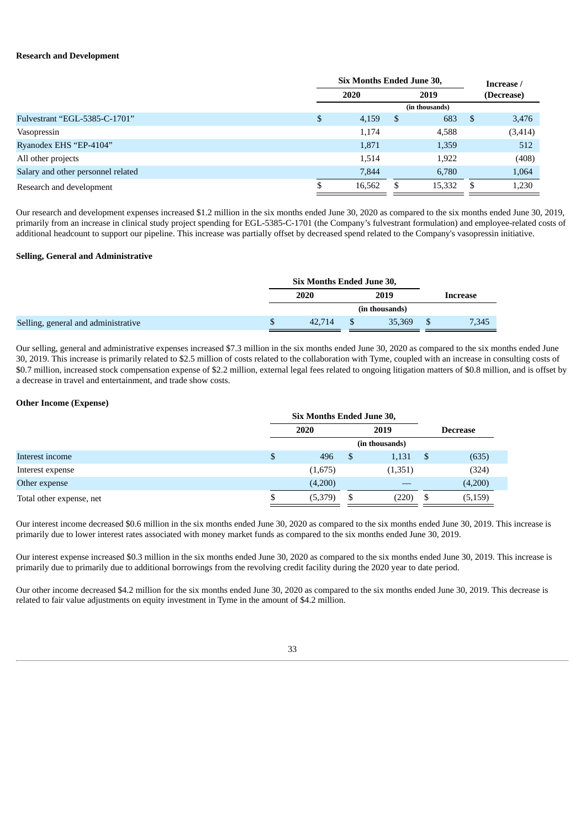#### **Research and Development**

|                                    | <b>Six Months Ended June 30,</b> |        |    |                | Increase / |            |  |
|------------------------------------|----------------------------------|--------|----|----------------|------------|------------|--|
|                                    |                                  | 2020   |    | 2019           |            | (Decrease) |  |
|                                    |                                  |        |    | (in thousands) |            |            |  |
| Fulvestrant "EGL-5385-C-1701"      | \$                               | 4,159  | \$ | 683            | \$         | 3,476      |  |
| Vasopressin                        |                                  | 1,174  |    | 4,588          |            | (3, 414)   |  |
| Ryanodex EHS "EP-4104"             |                                  | 1,871  |    | 1,359          |            | 512        |  |
| All other projects                 |                                  | 1,514  |    | 1,922          |            | (408)      |  |
| Salary and other personnel related |                                  | 7.844  |    | 6.780          |            | 1,064      |  |
| Research and development           |                                  | 16,562 |    | 15,332         | \$.        | 1,230      |  |

Our research and development expenses increased \$1.2 million in the six months ended June 30, 2020 as compared to the six months ended June 30, 2019, primarily from an increase in clinical study project spending for EGL-5385-C-1701 (the Company's fulvestrant formulation) and employee-related costs of additional headcount to support our pipeline. This increase was partially offset by decreased spend related to the Company's vasopressin initiative.

#### **Selling, General and Administrative**

|                                     | <b>Six Months Ended June 30,</b> |        |  |                |  |          |
|-------------------------------------|----------------------------------|--------|--|----------------|--|----------|
|                                     |                                  | 2020   |  | 2019           |  | Increase |
|                                     |                                  |        |  | (in thousands) |  |          |
| Selling, general and administrative | \$                               | 42.714 |  | 35,369         |  | 7,345    |

Our selling, general and administrative expenses increased \$7.3 million in the six months ended June 30, 2020 as compared to the six months ended June 30, 2019. This increase is primarily related to \$2.5 million of costs related to the collaboration with Tyme, coupled with an increase in consulting costs of \$0.7 million, increased stock compensation expense of \$2.2 million, external legal fees related to ongoing litigation matters of \$0.8 million, and is offset by a decrease in travel and entertainment, and trade show costs.

#### **Other Income (Expense)**

|                          | Six Months Ended June 30, |         |      |                |  |                 |
|--------------------------|---------------------------|---------|------|----------------|--|-----------------|
|                          | 2020                      |         | 2019 |                |  | <b>Decrease</b> |
|                          |                           |         |      | (in thousands) |  |                 |
| Interest income          | \$                        | 496     | -S   | 1,131          |  | (635)           |
| Interest expense         |                           | (1,675) |      | (1,351)        |  | (324)           |
| Other expense            |                           | (4,200) |      |                |  | (4,200)         |
| Total other expense, net | \$                        | (5,379) | \$   | (220)          |  | (5, 159)        |

Our interest income decreased \$0.6 million in the six months ended June 30, 2020 as compared to the six months ended June 30, 2019. This increase is primarily due to lower interest rates associated with money market funds as compared to the six months ended June 30, 2019.

Our interest expense increased \$0.3 million in the six months ended June 30, 2020 as compared to the six months ended June 30, 2019. This increase is primarily due to primarily due to additional borrowings from the revolving credit facility during the 2020 year to date period.

Our other income decreased \$4.2 million for the six months ended June 30, 2020 as compared to the six months ended June 30, 2019. This decrease is related to fair value adjustments on equity investment in Tyme in the amount of \$4.2 million.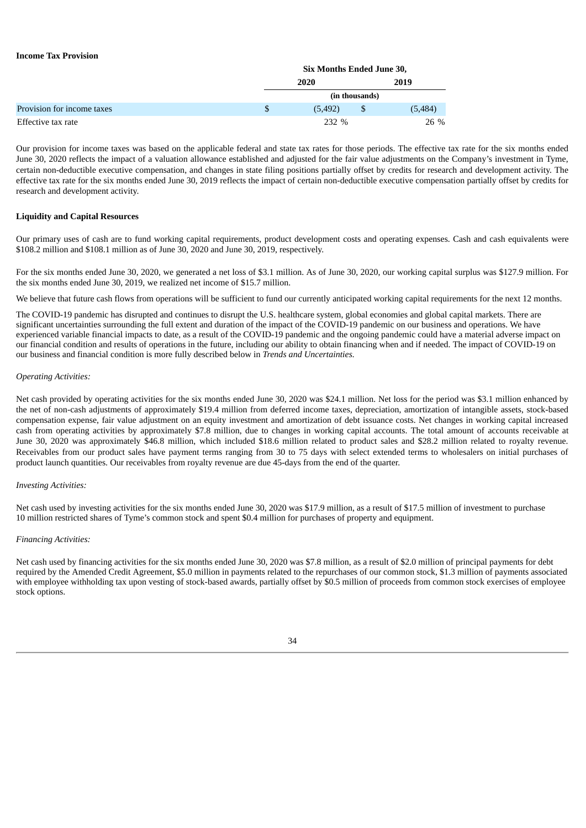#### **Income Tax Provision**

|                            |   | <b>Six Months Ended June 30,</b> |                |         |  |  |  |
|----------------------------|---|----------------------------------|----------------|---------|--|--|--|
|                            |   | 2020                             |                | 2019    |  |  |  |
|                            |   |                                  | (in thousands) |         |  |  |  |
| Provision for income taxes | S | (5, 492)                         |                | (5,484) |  |  |  |
| Effective tax rate         |   | 232 %                            |                | 26 %    |  |  |  |

Our provision for income taxes was based on the applicable federal and state tax rates for those periods. The effective tax rate for the six months ended June 30, 2020 reflects the impact of a valuation allowance established and adjusted for the fair value adjustments on the Company's investment in Tyme, certain non-deductible executive compensation, and changes in state filing positions partially offset by credits for research and development activity. The effective tax rate for the six months ended June 30, 2019 reflects the impact of certain non-deductible executive compensation partially offset by credits for research and development activity.

#### **Liquidity and Capital Resources**

Our primary uses of cash are to fund working capital requirements, product development costs and operating expenses. Cash and cash equivalents were \$108.2 million and \$108.1 million as of June 30, 2020 and June 30, 2019, respectively.

For the six months ended June 30, 2020, we generated a net loss of \$3.1 million. As of June 30, 2020, our working capital surplus was \$127.9 million. For the six months ended June 30, 2019, we realized net income of \$15.7 million.

We believe that future cash flows from operations will be sufficient to fund our currently anticipated working capital requirements for the next 12 months.

The COVID-19 pandemic has disrupted and continues to disrupt the U.S. healthcare system, global economies and global capital markets. There are significant uncertainties surrounding the full extent and duration of the impact of the COVID-19 pandemic on our business and operations. We have experienced variable financial impacts to date, as a result of the COVID-19 pandemic and the ongoing pandemic could have a material adverse impact on our financial condition and results of operations in the future, including our ability to obtain financing when and if needed. The impact of COVID-19 on our business and financial condition is more fully described below in *Trends and Uncertainties.*

#### *Operating Activities:*

Net cash provided by operating activities for the six months ended June 30, 2020 was \$24.1 million. Net loss for the period was \$3.1 million enhanced by the net of non-cash adjustments of approximately \$19.4 million from deferred income taxes, depreciation, amortization of intangible assets, stock-based compensation expense, fair value adjustment on an equity investment and amortization of debt issuance costs. Net changes in working capital increased cash from operating activities by approximately \$7.8 million, due to changes in working capital accounts. The total amount of accounts receivable at June 30, 2020 was approximately \$46.8 million, which included \$18.6 million related to product sales and \$28.2 million related to royalty revenue. Receivables from our product sales have payment terms ranging from 30 to 75 days with select extended terms to wholesalers on initial purchases of product launch quantities. Our receivables from royalty revenue are due 45-days from the end of the quarter.

#### *Investing Activities:*

Net cash used by investing activities for the six months ended June 30, 2020 was \$17.9 million, as a result of \$17.5 million of investment to purchase 10 million restricted shares of Tyme's common stock and spent \$0.4 million for purchases of property and equipment.

#### *Financing Activities:*

Net cash used by financing activities for the six months ended June 30, 2020 was \$7.8 million, as a result of \$2.0 million of principal payments for debt required by the Amended Credit Agreement, \$5.0 million in payments related to the repurchases of our common stock, \$1.3 million of payments associated with employee withholding tax upon vesting of stock-based awards, partially offset by \$0.5 million of proceeds from common stock exercises of employee stock options.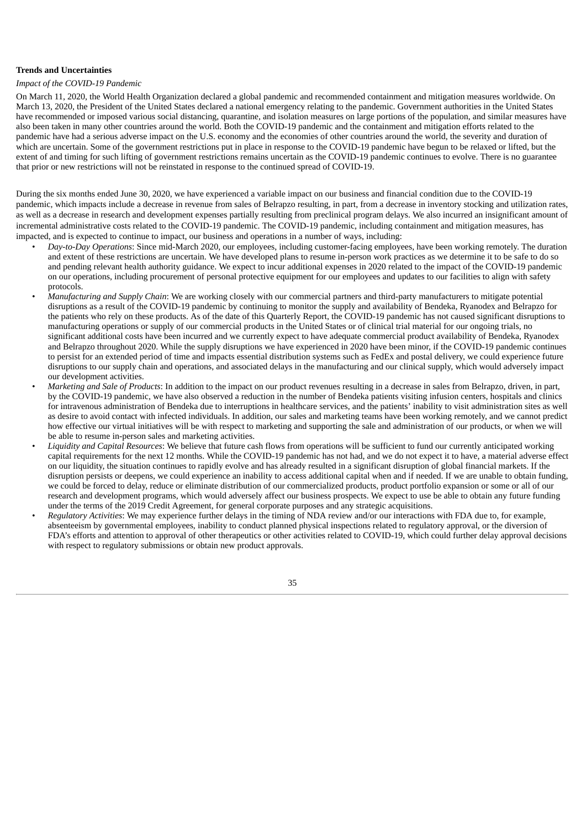#### **Trends and Uncertainties**

#### *Impact of the COVID-19 Pandemic*

On March 11, 2020, the World Health Organization declared a global pandemic and recommended containment and mitigation measures worldwide. On March 13, 2020, the President of the United States declared a national emergency relating to the pandemic. Government authorities in the United States have recommended or imposed various social distancing, quarantine, and isolation measures on large portions of the population, and similar measures have also been taken in many other countries around the world. Both the COVID-19 pandemic and the containment and mitigation efforts related to the pandemic have had a serious adverse impact on the U.S. economy and the economies of other countries around the world, the severity and duration of which are uncertain. Some of the government restrictions put in place in response to the COVID-19 pandemic have begun to be relaxed or lifted, but the extent of and timing for such lifting of government restrictions remains uncertain as the COVID-19 pandemic continues to evolve. There is no guarantee that prior or new restrictions will not be reinstated in response to the continued spread of COVID-19.

During the six months ended June 30, 2020, we have experienced a variable impact on our business and financial condition due to the COVID-19 pandemic, which impacts include a decrease in revenue from sales of Belrapzo resulting, in part, from a decrease in inventory stocking and utilization rates, as well as a decrease in research and development expenses partially resulting from preclinical program delays. We also incurred an insignificant amount of incremental administrative costs related to the COVID-19 pandemic. The COVID-19 pandemic, including containment and mitigation measures, has impacted, and is expected to continue to impact, our business and operations in a number of ways, including:

- *Day-to-Day Operations*: Since mid-March 2020, our employees, including customer-facing employees, have been working remotely. The duration and extent of these restrictions are uncertain. We have developed plans to resume in-person work practices as we determine it to be safe to do so and pending relevant health authority guidance. We expect to incur additional expenses in 2020 related to the impact of the COVID-19 pandemic on our operations, including procurement of personal protective equipment for our employees and updates to our facilities to align with safety protocols.
- *Manufacturing and Supply Chain*: We are working closely with our commercial partners and third-party manufacturers to mitigate potential disruptions as a result of the COVID-19 pandemic by continuing to monitor the supply and availability of Bendeka, Ryanodex and Belrapzo for the patients who rely on these products. As of the date of this Quarterly Report, the COVID-19 pandemic has not caused significant disruptions to manufacturing operations or supply of our commercial products in the United States or of clinical trial material for our ongoing trials, no significant additional costs have been incurred and we currently expect to have adequate commercial product availability of Bendeka, Ryanodex and Belrapzo throughout 2020. While the supply disruptions we have experienced in 2020 have been minor, if the COVID-19 pandemic continues to persist for an extended period of time and impacts essential distribution systems such as FedEx and postal delivery, we could experience future disruptions to our supply chain and operations, and associated delays in the manufacturing and our clinical supply, which would adversely impact our development activities.
- *Marketing and Sale of Products*: In addition to the impact on our product revenues resulting in a decrease in sales from Belrapzo, driven, in part, by the COVID-19 pandemic, we have also observed a reduction in the number of Bendeka patients visiting infusion centers, hospitals and clinics for intravenous administration of Bendeka due to interruptions in healthcare services, and the patients' inability to visit administration sites as well as desire to avoid contact with infected individuals. In addition, our sales and marketing teams have been working remotely, and we cannot predict how effective our virtual initiatives will be with respect to marketing and supporting the sale and administration of our products, or when we will be able to resume in-person sales and marketing activities.
- *Liquidity and Capital Resources*: We believe that future cash flows from operations will be sufficient to fund our currently anticipated working capital requirements for the next 12 months. While the COVID-19 pandemic has not had, and we do not expect it to have, a material adverse effect on our liquidity, the situation continues to rapidly evolve and has already resulted in a significant disruption of global financial markets. If the disruption persists or deepens, we could experience an inability to access additional capital when and if needed. If we are unable to obtain funding, we could be forced to delay, reduce or eliminate distribution of our commercialized products, product portfolio expansion or some or all of our research and development programs, which would adversely affect our business prospects. We expect to use be able to obtain any future funding under the terms of the 2019 Credit Agreement, for general corporate purposes and any strategic acquisitions.
- *Regulatory Activities*: We may experience further delays in the timing of NDA review and/or our interactions with FDA due to, for example, absenteeism by governmental employees, inability to conduct planned physical inspections related to regulatory approval, or the diversion of FDA's efforts and attention to approval of other therapeutics or other activities related to COVID-19, which could further delay approval decisions with respect to regulatory submissions or obtain new product approvals.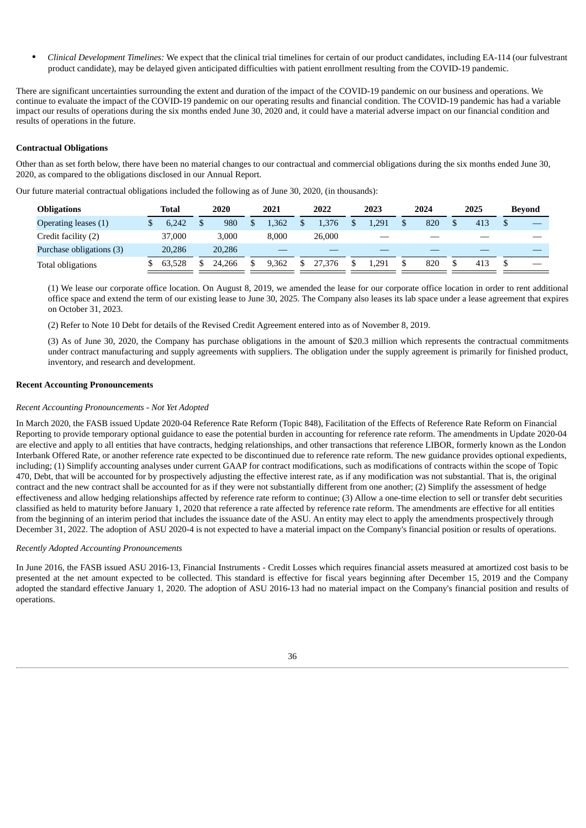• *Clinical Development Timelines:* We expect that the clinical trial timelines for certain of our product candidates, including EA-114 (our fulvestrant product candidate), may be delayed given anticipated difficulties with patient enrollment resulting from the COVID-19 pandemic.

There are significant uncertainties surrounding the extent and duration of the impact of the COVID-19 pandemic on our business and operations. We continue to evaluate the impact of the COVID-19 pandemic on our operating results and financial condition. The COVID-19 pandemic has had a variable impact our results of operations during the six months ended June 30, 2020 and, it could have a material adverse impact on our financial condition and results of operations in the future.

#### **Contractual Obligations**

Other than as set forth below, there have been no material changes to our contractual and commercial obligations during the six months ended June 30, 2020, as compared to the obligations disclosed in our Annual Report.

Our future material contractual obligations included the following as of June 30, 2020, (in thousands):

| <b>Obligations</b>       | Total  | 2020         | 2021  | 2022   | 2023  | 2024 | 2025 | Bevond                   |
|--------------------------|--------|--------------|-------|--------|-------|------|------|--------------------------|
| Operating leases (1)     | 6.242  | \$<br>980    | 1,362 | 1.376  | 1.291 | 820  | 413  |                          |
| Credit facility (2)      | 37,000 | 3.000        | 8.000 | 26,000 |       |      |      |                          |
| Purchase obligations (3) | 20.286 | 20,286       |       |        |       |      |      |                          |
| Total obligations        | 63.528 | \$<br>24.266 | 9.362 | 27,376 | 1.291 | 820  | 413  | $\overline{\phantom{a}}$ |

(1) We lease our corporate office location. On August 8, 2019, we amended the lease for our corporate office location in order to rent additional office space and extend the term of our existing lease to June 30, 2025. The Company also leases its lab space under a lease agreement that expires on October 31, 2023.

(2) Refer to Note 10 Debt for details of the Revised Credit Agreement entered into as of November 8, 2019.

(3) As of June 30, 2020, the Company has purchase obligations in the amount of \$20.3 million which represents the contractual commitments under contract manufacturing and supply agreements with suppliers. The obligation under the supply agreement is primarily for finished product, inventory, and research and development.

#### **Recent Accounting Pronouncements**

#### *Recent Accounting Pronouncements - Not Yet Adopted*

In March 2020, the FASB issued Update 2020-04 Reference Rate Reform (Topic 848), Facilitation of the Effects of Reference Rate Reform on Financial Reporting to provide temporary optional guidance to ease the potential burden in accounting for reference rate reform. The amendments in Update 2020-04 are elective and apply to all entities that have contracts, hedging relationships, and other transactions that reference LIBOR, formerly known as the London Interbank Offered Rate, or another reference rate expected to be discontinued due to reference rate reform. The new guidance provides optional expedients, including; (1) Simplify accounting analyses under current GAAP for contract modifications, such as modifications of contracts within the scope of Topic 470, Debt, that will be accounted for by prospectively adjusting the effective interest rate, as if any modification was not substantial. That is, the original contract and the new contract shall be accounted for as if they were not substantially different from one another; (2) Simplify the assessment of hedge effectiveness and allow hedging relationships affected by reference rate reform to continue; (3) Allow a one-time election to sell or transfer debt securities classified as held to maturity before January 1, 2020 that reference a rate affected by reference rate reform. The amendments are effective for all entities from the beginning of an interim period that includes the issuance date of the ASU. An entity may elect to apply the amendments prospectively through December 31, 2022. The adoption of ASU 2020-4 is not expected to have a material impact on the Company's financial position or results of operations.

#### *Recently Adopted Accounting Pronouncements*

In June 2016, the FASB issued ASU 2016-13, Financial Instruments - Credit Losses which requires financial assets measured at amortized cost basis to be presented at the net amount expected to be collected. This standard is effective for fiscal years beginning after December 15, 2019 and the Company adopted the standard effective January 1, 2020. The adoption of ASU 2016-13 had no material impact on the Company's financial position and results of operations.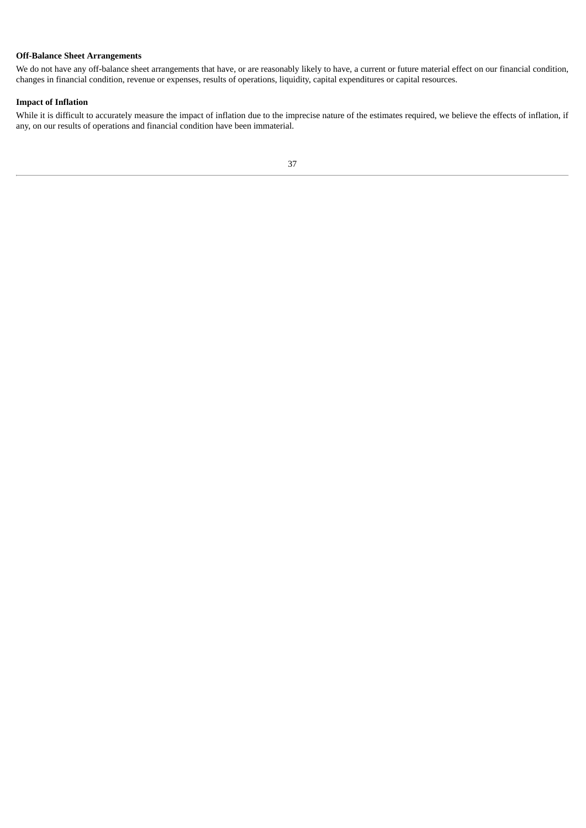## **Off-Balance Sheet Arrangements**

We do not have any off-balance sheet arrangements that have, or are reasonably likely to have, a current or future material effect on our financial condition, changes in financial condition, revenue or expenses, results of operations, liquidity, capital expenditures or capital resources.

## **Impact of Inflation**

<span id="page-40-0"></span>While it is difficult to accurately measure the impact of inflation due to the imprecise nature of the estimates required, we believe the effects of inflation, if any, on our results of operations and financial condition have been immaterial.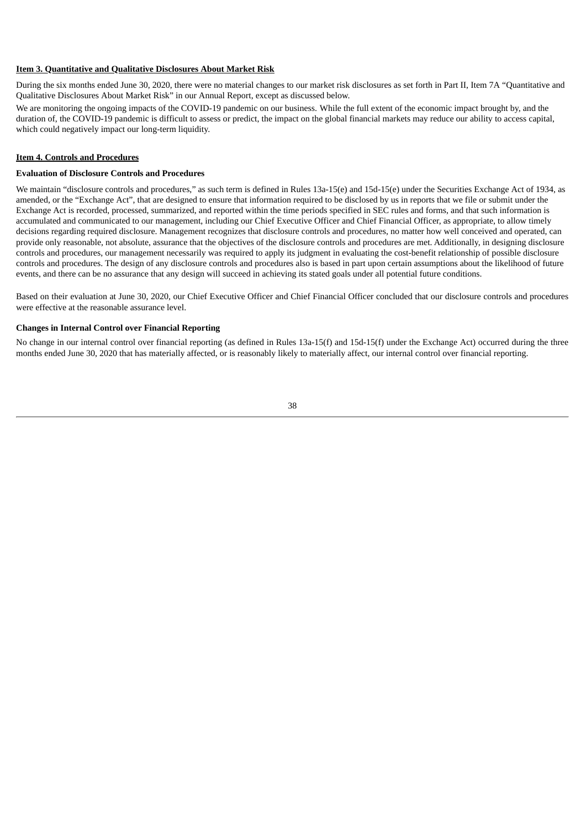#### **Item 3. Quantitative and Qualitative Disclosures About Market Risk**

During the six months ended June 30, 2020, there were no material changes to our market risk disclosures as set forth in Part II, Item 7A "Quantitative and Qualitative Disclosures About Market Risk" in our Annual Report, except as discussed below.

We are monitoring the ongoing impacts of the COVID-19 pandemic on our business. While the full extent of the economic impact brought by, and the duration of, the COVID-19 pandemic is difficult to assess or predict, the impact on the global financial markets may reduce our ability to access capital, which could negatively impact our long-term liquidity.

#### <span id="page-41-0"></span>**Item 4. Controls and Procedures**

#### **Evaluation of Disclosure Controls and Procedures**

We maintain "disclosure controls and procedures," as such term is defined in Rules 13a-15(e) and 15d-15(e) under the Securities Exchange Act of 1934, as amended, or the "Exchange Act", that are designed to ensure that information required to be disclosed by us in reports that we file or submit under the Exchange Act is recorded, processed, summarized, and reported within the time periods specified in SEC rules and forms, and that such information is accumulated and communicated to our management, including our Chief Executive Officer and Chief Financial Officer, as appropriate, to allow timely decisions regarding required disclosure. Management recognizes that disclosure controls and procedures, no matter how well conceived and operated, can provide only reasonable, not absolute, assurance that the objectives of the disclosure controls and procedures are met. Additionally, in designing disclosure controls and procedures, our management necessarily was required to apply its judgment in evaluating the cost-benefit relationship of possible disclosure controls and procedures. The design of any disclosure controls and procedures also is based in part upon certain assumptions about the likelihood of future events, and there can be no assurance that any design will succeed in achieving its stated goals under all potential future conditions.

Based on their evaluation at June 30, 2020, our Chief Executive Officer and Chief Financial Officer concluded that our disclosure controls and procedures were effective at the reasonable assurance level.

#### **Changes in Internal Control over Financial Reporting**

No change in our internal control over financial reporting (as defined in Rules 13a-15(f) and 15d-15(f) under the Exchange Act) occurred during the three months ended June 30, 2020 that has materially affected, or is reasonably likely to materially affect, our internal control over financial reporting.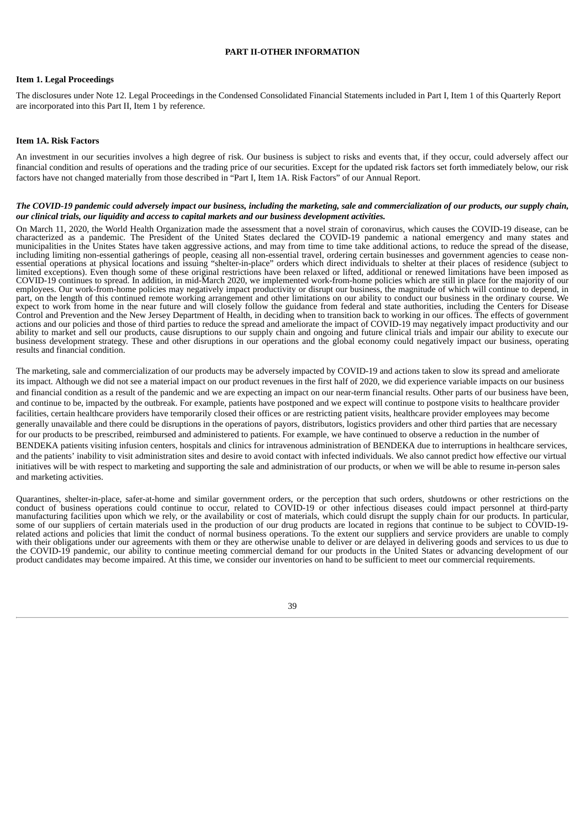#### **PART II-OTHER INFORMATION**

#### <span id="page-42-0"></span>**Item 1. Legal Proceedings**

The disclosures under Note 12. Legal Proceedings in the Condensed Consolidated Financial Statements included in Part I, Item 1 of this Quarterly Report are incorporated into this Part II, Item 1 by reference.

#### <span id="page-42-1"></span>**Item 1A. Risk Factors**

An investment in our securities involves a high degree of risk. Our business is subject to risks and events that, if they occur, could adversely affect our financial condition and results of operations and the trading price of our securities. Except for the updated risk factors set forth immediately below, our risk factors have not changed materially from those described in "Part I, Item 1A. Risk Factors" of our Annual Report.

#### The COVID-19 pandemic could adversely impact our business, including the marketing, sale and commercialization of our products, our supply chain, *our clinical trials, our liquidity and access to capital markets and our business development activities.*

On March 11, 2020, the World Health Organization made the assessment that a novel strain of coronavirus, which causes the COVID-19 disease, can be characterized as a pandemic. The President of the United States declared the COVID-19 pandemic a national emergency and many states and municipalities in the Unites States have taken aggressive actions, and may from time to time take additional actions, to reduce the spread of the disease, including limiting non-essential gatherings of people, ceasing all non-essential travel, ordering certain businesses and government agencies to cease nonessential operations at physical locations and issuing "shelter-in-place" orders which direct individuals to shelter at their places of residence (subject to limited exceptions). Even though some of these original restrictions have been relaxed or lifted, additional or renewed limitations have been imposed as COVID-19 continues to spread. In addition, in mid-March 2020, we implemented work-from-home policies which are still in place for the majority of our employees. Our work-from-home policies may negatively impact productivity or disrupt our business, the magnitude of which will continue to depend, in part, on the length of this continued remote working arrangement and other limitations on our ability to conduct our business in the ordinary course. We expect to work from home in the near future and will closely follow the guidance from federal and state authorities, including the Centers for Disease Control and Prevention and the New Jersey Department of Health, in deciding when to transition back to working in our offices. The effects of government actions and our policies and those of third parties to reduce the spread and ameliorate the impact of COVID-19 may negatively impact productivity and our ability to market and sell our products, cause disruptions to our supply chain and ongoing and future clinical trials and impair our ability to execute our business development strategy. These and other disruptions in our operations and the global economy could negatively impact our business, operating results and financial condition.

The marketing, sale and commercialization of our products may be adversely impacted by COVID-19 and actions taken to slow its spread and ameliorate its impact. Although we did not see a material impact on our product revenues in the first half of 2020, we did experience variable impacts on our business and financial condition as a result of the pandemic and we are expecting an impact on our near-term financial results. Other parts of our business have been, and continue to be, impacted by the outbreak. For example, patients have postponed and we expect will continue to postpone visits to healthcare provider facilities, certain healthcare providers have temporarily closed their offices or are restricting patient visits, healthcare provider employees may become generally unavailable and there could be disruptions in the operations of payors, distributors, logistics providers and other third parties that are necessary for our products to be prescribed, reimbursed and administered to patients. For example, we have continued to observe a reduction in the number of BENDEKA patients visiting infusion centers, hospitals and clinics for intravenous administration of BENDEKA due to interruptions in healthcare services, and the patients' inability to visit administration sites and desire to avoid contact with infected individuals. We also cannot predict how effective our virtual initiatives will be with respect to marketing and supporting the sale and administration of our products, or when we will be able to resume in-person sales and marketing activities.

Quarantines, shelter-in-place, safer-at-home and similar government orders, or the perception that such orders, shutdowns or other restrictions on the conduct of business operations could continue to occur, related to COVID-19 or other infectious diseases could impact personnel at third-party manufacturing facilities upon which we rely, or the availability or cost of materials, which could disrupt the supply chain for our products. In particular, some of our suppliers of certain materials used in the production of our drug products are located in regions that continue to be subject to COVID-19 related actions and policies that limit the conduct of normal business operations. To the extent our suppliers and service providers are unable to comply with their obligations under our agreements with them or they are otherwise unable to deliver or are delayed in delivering goods and services to us due to the COVID-19 pandemic, our ability to continue meeting commercial demand for our products in the United States or advancing development of our product candidates may become impaired. At this time, we consider our inventories on hand to be sufficient to meet our commercial requirements.

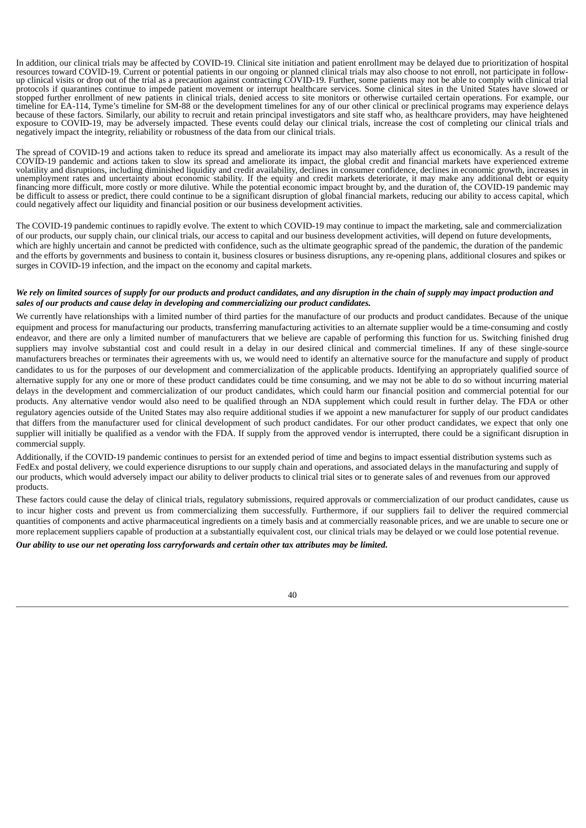In addition, our clinical trials may be affected by COVID-19. Clinical site initiation and patient enrollment may be delayed due to prioritization of hospital resources toward COVID-19. Current or potential patients in our ongoing or planned clinical trials may also choose to not enroll, not participate in followup clinical visits or drop out of the trial as a precaution against contracting COVID-19. Further, some patients may not be able to comply with clinical trial protocols if quarantines continue to impede patient movement or interrupt healthcare services. Some clinical sites in the United States have slowed or stopped further enrollment of new patients in clinical trials, denied access to site monitors or otherwise curtailed certain operations. For example, our timeline for EA-114, Tyme's timeline for SM-88 or the development timelines for any of our other clinical or preclinical programs may experience delays because of these factors. Similarly, our ability to recruit and retain principal investigators and site staff who, as healthcare providers, may have heightened exposure to COVID-19, may be adversely impacted. These events could delay our clinical trials, increase the cost of completing our clinical trials and negatively impact the integrity, reliability or robustness of the data from our clinical trials.

The spread of COVID-19 and actions taken to reduce its spread and ameliorate its impact may also materially affect us economically. As a result of the COVID-19 pandemic and actions taken to slow its spread and ameliorate its impact, the global credit and financial markets have experienced extreme volatility and disruptions, including diminished liquidity and credit availability, declines in consumer confidence, declines in economic growth, increases in unemployment rates and uncertainty about economic stability. If the equity and credit markets deteriorate, it may make any additional debt or equity financing more difficult, more costly or more dilutive. While the potential economic impact brought by, and the duration of, the COVID-19 pandemic may be difficult to assess or predict, there could continue to be a significant disruption of global financial markets, reducing our ability to access capital, which could negatively affect our liquidity and financial position or our business development activities.

The COVID-19 pandemic continues to rapidly evolve. The extent to which COVID-19 may continue to impact the marketing, sale and commercialization of our products, our supply chain, our clinical trials, our access to capital and our business development activities, will depend on future developments, which are highly uncertain and cannot be predicted with confidence, such as the ultimate geographic spread of the pandemic, the duration of the pandemic and the efforts by governments and business to contain it, business closures or business disruptions, any re-opening plans, additional closures and spikes or surges in COVID-19 infection, and the impact on the economy and capital markets.

#### We rely on limited sources of supply for our products and product candidates, and any disruption in the chain of supply may impact production and *sales of our products and cause delay in developing and commercializing our product candidates.*

We currently have relationships with a limited number of third parties for the manufacture of our products and product candidates. Because of the unique equipment and process for manufacturing our products, transferring manufacturing activities to an alternate supplier would be a time-consuming and costly endeavor, and there are only a limited number of manufacturers that we believe are capable of performing this function for us. Switching finished drug suppliers may involve substantial cost and could result in a delay in our desired clinical and commercial timelines. If any of these single-source manufacturers breaches or terminates their agreements with us, we would need to identify an alternative source for the manufacture and supply of product candidates to us for the purposes of our development and commercialization of the applicable products. Identifying an appropriately qualified source of alternative supply for any one or more of these product candidates could be time consuming, and we may not be able to do so without incurring material delays in the development and commercialization of our product candidates, which could harm our financial position and commercial potential for our products. Any alternative vendor would also need to be qualified through an NDA supplement which could result in further delay. The FDA or other regulatory agencies outside of the United States may also require additional studies if we appoint a new manufacturer for supply of our product candidates that differs from the manufacturer used for clinical development of such product candidates. For our other product candidates, we expect that only one supplier will initially be qualified as a vendor with the FDA. If supply from the approved vendor is interrupted, there could be a significant disruption in commercial supply.

Additionally, if the COVID-19 pandemic continues to persist for an extended period of time and begins to impact essential distribution systems such as FedEx and postal delivery, we could experience disruptions to our supply chain and operations, and associated delays in the manufacturing and supply of our products, which would adversely impact our ability to deliver products to clinical trial sites or to generate sales of and revenues from our approved products.

These factors could cause the delay of clinical trials, regulatory submissions, required approvals or commercialization of our product candidates, cause us to incur higher costs and prevent us from commercializing them successfully. Furthermore, if our suppliers fail to deliver the required commercial quantities of components and active pharmaceutical ingredients on a timely basis and at commercially reasonable prices, and we are unable to secure one or more replacement suppliers capable of production at a substantially equivalent cost, our clinical trials may be delayed or we could lose potential revenue.

*Our ability to use our net operating loss carryforwards and certain other tax attributes may be limited.*

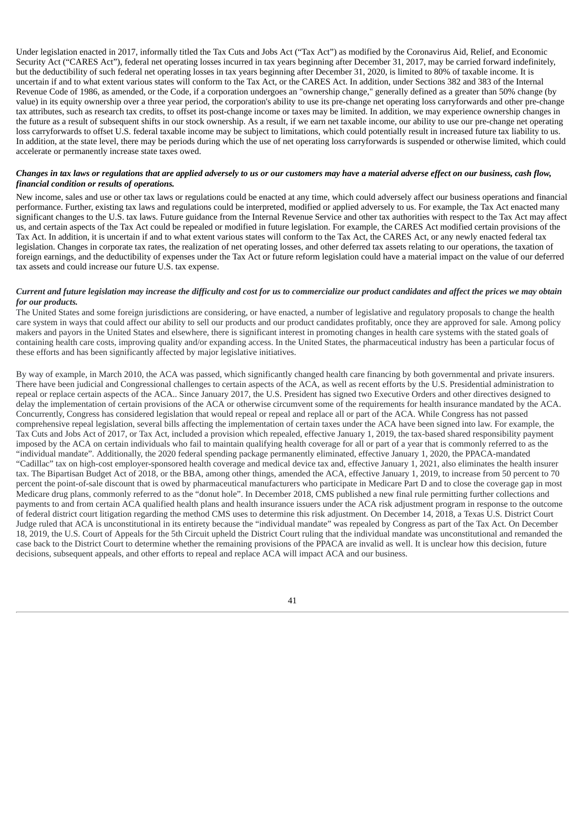Under legislation enacted in 2017, informally titled the Tax Cuts and Jobs Act ("Tax Act") as modified by the Coronavirus Aid, Relief, and Economic Security Act ("CARES Act"), federal net operating losses incurred in tax years beginning after December 31, 2017, may be carried forward indefinitely, but the deductibility of such federal net operating losses in tax years beginning after December 31, 2020, is limited to 80% of taxable income. It is uncertain if and to what extent various states will conform to the Tax Act, or the CARES Act. In addition, under Sections 382 and 383 of the Internal Revenue Code of 1986, as amended, or the Code, if a corporation undergoes an "ownership change," generally defined as a greater than 50% change (by value) in its equity ownership over a three year period, the corporation's ability to use its pre-change net operating loss carryforwards and other pre-change tax attributes, such as research tax credits, to offset its post-change income or taxes may be limited. In addition, we may experience ownership changes in the future as a result of subsequent shifts in our stock ownership. As a result, if we earn net taxable income, our ability to use our pre-change net operating loss carryforwards to offset U.S. federal taxable income may be subject to limitations, which could potentially result in increased future tax liability to us. In addition, at the state level, there may be periods during which the use of net operating loss carryforwards is suspended or otherwise limited, which could accelerate or permanently increase state taxes owed.

#### Changes in tax laws or regulations that are applied adversely to us or our customers may have a material adverse effect on our business, cash flow, *financial condition or results of operations.*

New income, sales and use or other tax laws or regulations could be enacted at any time, which could adversely affect our business operations and financial performance. Further, existing tax laws and regulations could be interpreted, modified or applied adversely to us. For example, the Tax Act enacted many significant changes to the U.S. tax laws. Future guidance from the Internal Revenue Service and other tax authorities with respect to the Tax Act may affect us, and certain aspects of the Tax Act could be repealed or modified in future legislation. For example, the CARES Act modified certain provisions of the Tax Act. In addition, it is uncertain if and to what extent various states will conform to the Tax Act, the CARES Act, or any newly enacted federal tax legislation. Changes in corporate tax rates, the realization of net operating losses, and other deferred tax assets relating to our operations, the taxation of foreign earnings, and the deductibility of expenses under the Tax Act or future reform legislation could have a material impact on the value of our deferred tax assets and could increase our future U.S. tax expense.

#### Current and future legislation may increase the difficulty and cost for us to commercialize our product candidates and affect the prices we may obtain *for our products.*

The United States and some foreign jurisdictions are considering, or have enacted, a number of legislative and regulatory proposals to change the health care system in ways that could affect our ability to sell our products and our product candidates profitably, once they are approved for sale. Among policy makers and payors in the United States and elsewhere, there is significant interest in promoting changes in health care systems with the stated goals of containing health care costs, improving quality and/or expanding access. In the United States, the pharmaceutical industry has been a particular focus of these efforts and has been significantly affected by major legislative initiatives.

By way of example, in March 2010, the ACA was passed, which significantly changed health care financing by both governmental and private insurers. There have been judicial and Congressional challenges to certain aspects of the ACA, as well as recent efforts by the U.S. Presidential administration to repeal or replace certain aspects of the ACA.. Since January 2017, the U.S. President has signed two Executive Orders and other directives designed to delay the implementation of certain provisions of the ACA or otherwise circumvent some of the requirements for health insurance mandated by the ACA. Concurrently, Congress has considered legislation that would repeal or repeal and replace all or part of the ACA. While Congress has not passed comprehensive repeal legislation, several bills affecting the implementation of certain taxes under the ACA have been signed into law. For example, the Tax Cuts and Jobs Act of 2017, or Tax Act, included a provision which repealed, effective January 1, 2019, the tax-based shared responsibility payment imposed by the ACA on certain individuals who fail to maintain qualifying health coverage for all or part of a year that is commonly referred to as the "individual mandate". Additionally, the 2020 federal spending package permanently eliminated, effective January 1, 2020, the PPACA-mandated "Cadillac" tax on high-cost employer-sponsored health coverage and medical device tax and, effective January 1, 2021, also eliminates the health insurer tax. The Bipartisan Budget Act of 2018, or the BBA, among other things, amended the ACA, effective January 1, 2019, to increase from 50 percent to 70 percent the point-of-sale discount that is owed by pharmaceutical manufacturers who participate in Medicare Part D and to close the coverage gap in most Medicare drug plans, commonly referred to as the "donut hole". In December 2018, CMS published a new final rule permitting further collections and payments to and from certain ACA qualified health plans and health insurance issuers under the ACA risk adjustment program in response to the outcome of federal district court litigation regarding the method CMS uses to determine this risk adjustment. On December 14, 2018, a Texas U.S. District Court Judge ruled that ACA is unconstitutional in its entirety because the "individual mandate" was repealed by Congress as part of the Tax Act. On December 18, 2019, the U.S. Court of Appeals for the 5th Circuit upheld the District Court ruling that the individual mandate was unconstitutional and remanded the case back to the District Court to determine whether the remaining provisions of the PPACA are invalid as well. It is unclear how this decision, future decisions, subsequent appeals, and other efforts to repeal and replace ACA will impact ACA and our business.

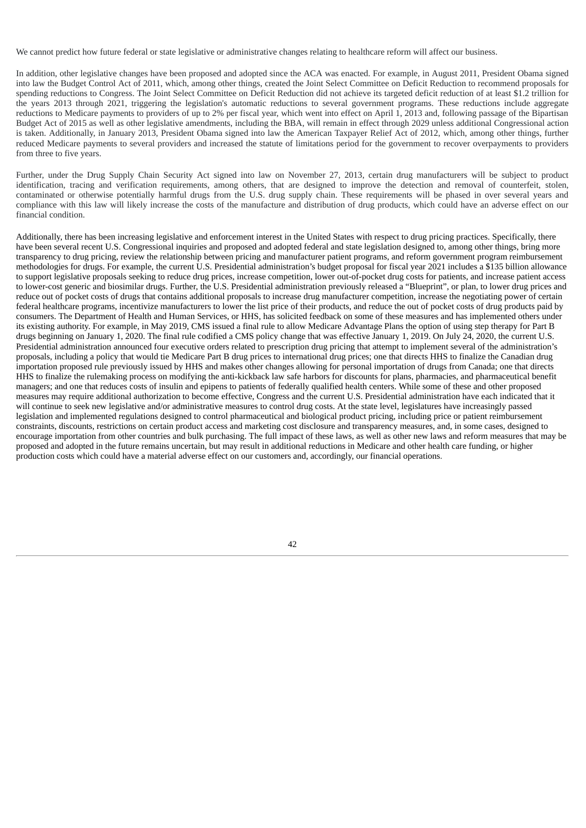We cannot predict how future federal or state legislative or administrative changes relating to healthcare reform will affect our business.

In addition, other legislative changes have been proposed and adopted since the ACA was enacted. For example, in August 2011, President Obama signed into law the Budget Control Act of 2011, which, among other things, created the Joint Select Committee on Deficit Reduction to recommend proposals for spending reductions to Congress. The Joint Select Committee on Deficit Reduction did not achieve its targeted deficit reduction of at least \$1.2 trillion for the years 2013 through 2021, triggering the legislation's automatic reductions to several government programs. These reductions include aggregate reductions to Medicare payments to providers of up to 2% per fiscal year, which went into effect on April 1, 2013 and, following passage of the Bipartisan Budget Act of 2015 as well as other legislative amendments, including the BBA, will remain in effect through 2029 unless additional Congressional action is taken. Additionally, in January 2013, President Obama signed into law the American Taxpayer Relief Act of 2012, which, among other things, further reduced Medicare payments to several providers and increased the statute of limitations period for the government to recover overpayments to providers from three to five years.

Further, under the Drug Supply Chain Security Act signed into law on November 27, 2013, certain drug manufacturers will be subject to product identification, tracing and verification requirements, among others, that are designed to improve the detection and removal of counterfeit, stolen, contaminated or otherwise potentially harmful drugs from the U.S. drug supply chain. These requirements will be phased in over several years and compliance with this law will likely increase the costs of the manufacture and distribution of drug products, which could have an adverse effect on our financial condition.

<span id="page-45-0"></span>Additionally, there has been increasing legislative and enforcement interest in the United States with respect to drug pricing practices. Specifically, there have been several recent U.S. Congressional inquiries and proposed and adopted federal and state legislation designed to, among other things, bring more transparency to drug pricing, review the relationship between pricing and manufacturer patient programs, and reform government program reimbursement methodologies for drugs. For example, the current U.S. Presidential administration's budget proposal for fiscal year 2021 includes a \$135 billion allowance to support legislative proposals seeking to reduce drug prices, increase competition, lower out-of-pocket drug costs for patients, and increase patient access to lower-cost generic and biosimilar drugs. Further, the U.S. Presidential administration previously released a "Blueprint", or plan, to lower drug prices and reduce out of pocket costs of drugs that contains additional proposals to increase drug manufacturer competition, increase the negotiating power of certain federal healthcare programs, incentivize manufacturers to lower the list price of their products, and reduce the out of pocket costs of drug products paid by consumers. The Department of Health and Human Services, or HHS, has solicited feedback on some of these measures and has implemented others under its existing authority. For example, in May 2019, CMS issued a final rule to allow Medicare Advantage Plans the option of using step therapy for Part B drugs beginning on January 1, 2020. The final rule codified a CMS policy change that was effective January 1, 2019. On July 24, 2020, the current U.S. Presidential administration announced four executive orders related to prescription drug pricing that attempt to implement several of the administration's proposals, including a policy that would tie Medicare Part B drug prices to international drug prices; one that directs HHS to finalize the Canadian drug importation proposed rule previously issued by HHS and makes other changes allowing for personal importation of drugs from Canada; one that directs HHS to finalize the rulemaking process on modifying the anti-kickback law safe harbors for discounts for plans, pharmacies, and pharmaceutical benefit managers; and one that reduces costs of insulin and epipens to patients of federally qualified health centers. While some of these and other proposed measures may require additional authorization to become effective, Congress and the current U.S. Presidential administration have each indicated that it will continue to seek new legislative and/or administrative measures to control drug costs. At the state level, legislatures have increasingly passed legislation and implemented regulations designed to control pharmaceutical and biological product pricing, including price or patient reimbursement constraints, discounts, restrictions on certain product access and marketing cost disclosure and transparency measures, and, in some cases, designed to encourage importation from other countries and bulk purchasing. The full impact of these laws, as well as other new laws and reform measures that may be proposed and adopted in the future remains uncertain, but may result in additional reductions in Medicare and other health care funding, or higher production costs which could have a material adverse effect on our customers and, accordingly, our financial operations.

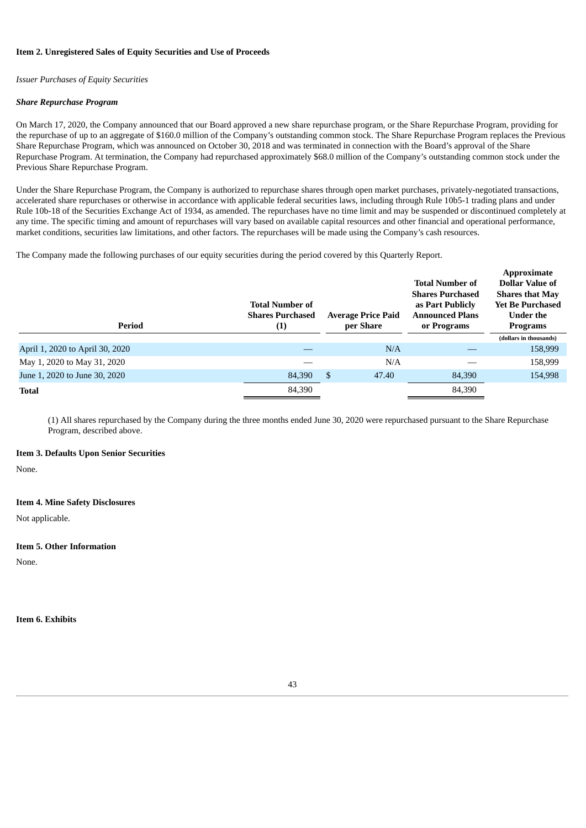#### **Item 2. Unregistered Sales of Equity Securities and Use of Proceeds**

### *Issuer Purchases of Equity Securities*

#### *Share Repurchase Program*

On March 17, 2020, the Company announced that our Board approved a new share repurchase program, or the Share Repurchase Program, providing for the repurchase of up to an aggregate of \$160.0 million of the Company's outstanding common stock. The Share Repurchase Program replaces the Previous Share Repurchase Program, which was announced on October 30, 2018 and was terminated in connection with the Board's approval of the Share Repurchase Program. At termination, the Company had repurchased approximately \$68.0 million of the Company's outstanding common stock under the Previous Share Repurchase Program.

Under the Share Repurchase Program, the Company is authorized to repurchase shares through open market purchases, privately-negotiated transactions, accelerated share repurchases or otherwise in accordance with applicable federal securities laws, including through Rule 10b5-1 trading plans and under Rule 10b-18 of the Securities Exchange Act of 1934, as amended. The repurchases have no time limit and may be suspended or discontinued completely at any time. The specific timing and amount of repurchases will vary based on available capital resources and other financial and operational performance, market conditions, securities law limitations, and other factors. The repurchases will be made using the Company's cash resources.

**Approximate**

The Company made the following purchases of our equity securities during the period covered by this Quarterly Report.

| Period                          | <b>Total Number of</b><br><b>Shares Purchased</b><br>(1) | <b>Average Price Paid</b><br>per Share | <b>Total Number of</b><br><b>Shares Purchased</b><br>as Part Publicly<br><b>Announced Plans</b><br>or Programs | дррголицаце<br><b>Dollar Value of</b><br><b>Shares that May</b><br><b>Yet Be Purchased</b><br><b>Under the</b><br>Programs |
|---------------------------------|----------------------------------------------------------|----------------------------------------|----------------------------------------------------------------------------------------------------------------|----------------------------------------------------------------------------------------------------------------------------|
|                                 |                                                          |                                        |                                                                                                                | (dollars in thousands)                                                                                                     |
| April 1, 2020 to April 30, 2020 |                                                          | N/A                                    |                                                                                                                | 158,999                                                                                                                    |
| May 1, 2020 to May 31, 2020     |                                                          | N/A                                    |                                                                                                                | 158,999                                                                                                                    |
| June 1, 2020 to June 30, 2020   | 84,390                                                   | <sup>\$</sup><br>47.40                 | 84,390                                                                                                         | 154,998                                                                                                                    |
| <b>Total</b>                    | 84,390                                                   |                                        | 84,390                                                                                                         |                                                                                                                            |
|                                 |                                                          |                                        |                                                                                                                |                                                                                                                            |

(1) All shares repurchased by the Company during the three months ended June 30, 2020 were repurchased pursuant to the Share Repurchase Program, described above.

#### <span id="page-46-0"></span>**Item 3. Defaults Upon Senior Securities**

None.

#### <span id="page-46-1"></span>**Item 4. Mine Safety Disclosures**

Not applicable.

#### <span id="page-46-2"></span>**Item 5. Other Information**

None.

<span id="page-46-3"></span>**Item 6. Exhibits**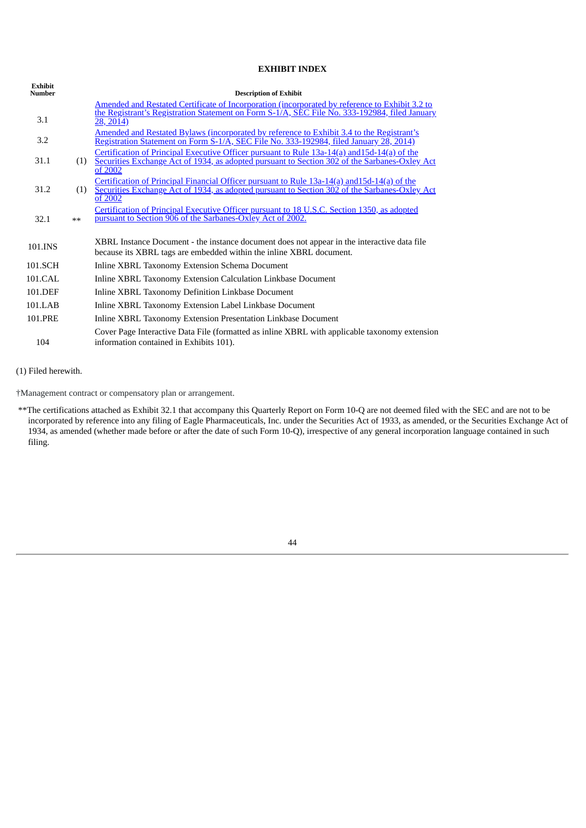## **EXHIBIT INDEX**

| Exhibit<br><b>Number</b> |      | <b>Description of Exhibit</b>                                                                                                                                                                            |
|--------------------------|------|----------------------------------------------------------------------------------------------------------------------------------------------------------------------------------------------------------|
|                          |      | <u>Amended and Restated Certificate of Incorporation (incorporated by reference to Exhibit 3.2 to</u><br>the Registrant's Registration Statement on Form S-1/A, SEC File No. 333-192984, filed January   |
| 3.1                      |      | 28, 2014)                                                                                                                                                                                                |
| 3.2                      |      | Amended and Restated Bylaws (incorporated by reference to Exhibit 3.4 to the Registrant's<br>Registration Statement on Form S-1/A, SEC File No. 333-192984, filed January 28, 2014)                      |
| 31.1                     | (1)  | Certification of Principal Executive Officer pursuant to Rule 13a-14(a) and 15d-14(a) of the<br>Securities Exchange Act of 1934, as adopted pursuant to Section 302 of the Sarbanes-Oxley Act<br>of 2002 |
| 31.2                     | (1)  | Certification of Principal Financial Officer pursuant to Rule 13a-14(a) and 15d-14(a) of the<br>Securities Exchange Act of 1934, as adopted pursuant to Section 302 of the Sarbanes-Oxley Act<br>of 2002 |
| 32.1                     | $**$ | Certification of Principal Executive Officer pursuant to 18 U.S.C. Section 1350, as adopted<br>pursuant to Section 906 of the Sarbanes-Oxley Act of 2002.                                                |
| 101.INS                  |      | XBRL Instance Document - the instance document does not appear in the interactive data file<br>because its XBRL tags are embedded within the inline XBRL document.                                       |
| 101.SCH                  |      | Inline XBRL Taxonomy Extension Schema Document                                                                                                                                                           |
| 101.CAL                  |      | Inline XBRL Taxonomy Extension Calculation Linkbase Document                                                                                                                                             |
| 101.DEF                  |      | Inline XBRL Taxonomy Definition Linkbase Document                                                                                                                                                        |
| 101.LAB                  |      | Inline XBRL Taxonomy Extension Label Linkbase Document                                                                                                                                                   |
| 101.PRE                  |      | Inline XBRL Taxonomy Extension Presentation Linkbase Document                                                                                                                                            |
| 104                      |      | Cover Page Interactive Data File (formatted as inline XBRL with applicable taxonomy extension<br>information contained in Exhibits 101).                                                                 |

(1) Filed herewith.

†Management contract or compensatory plan or arrangement.

<span id="page-47-0"></span>\*\*The certifications attached as Exhibit 32.1 that accompany this Quarterly Report on Form 10-Q are not deemed filed with the SEC and are not to be incorporated by reference into any filing of Eagle Pharmaceuticals, Inc. under the Securities Act of 1933, as amended, or the Securities Exchange Act of 1934, as amended (whether made before or after the date of such Form 10-Q), irrespective of any general incorporation language contained in such filing.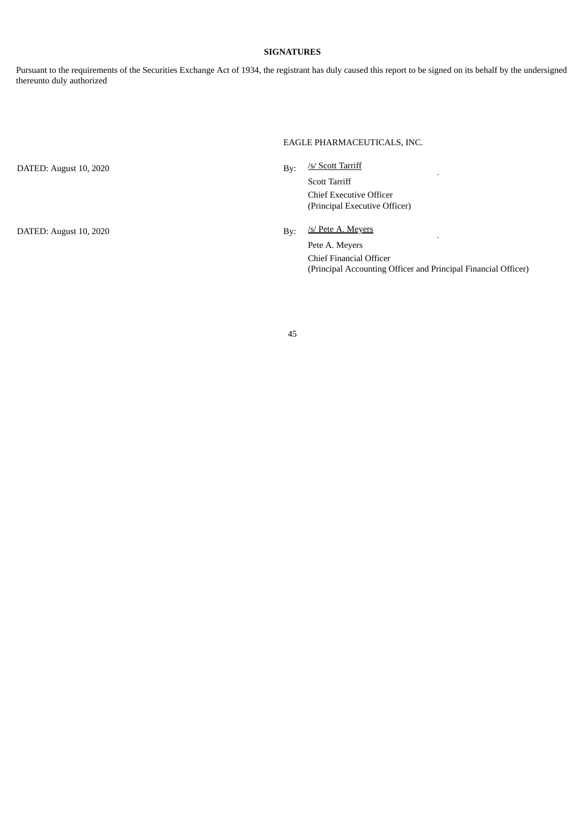## **SIGNATURES**

Pursuant to the requirements of the Securities Exchange Act of 1934, the registrant has duly caused this report to be signed on its behalf by the undersigned thereunto duly authorized

### EAGLE PHARMACEUTICALS, INC.

By: /s/ Scott Tarriff DATED: August 10, 2020 l. Scott Tarriff Chief Executive Officer (Principal Executive Officer) /s/ Pete A. Meyers DATED: August 10, 2020 By: l, Pete A. Meyers Chief Financial Officer (Principal Accounting Officer and Principal Financial Officer)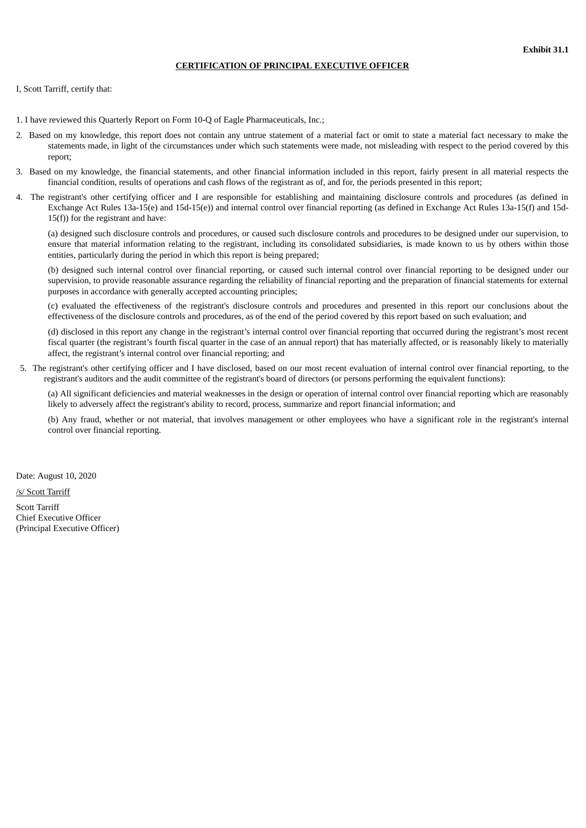### **CERTIFICATION OF PRINCIPAL EXECUTIVE OFFICER**

<span id="page-49-0"></span>I, Scott Tarriff, certify that:

- 1. I have reviewed this Quarterly Report on Form 10-Q of Eagle Pharmaceuticals, Inc.;
- 2. Based on my knowledge, this report does not contain any untrue statement of a material fact or omit to state a material fact necessary to make the statements made, in light of the circumstances under which such statements were made, not misleading with respect to the period covered by this report;
- 3. Based on my knowledge, the financial statements, and other financial information included in this report, fairly present in all material respects the financial condition, results of operations and cash flows of the registrant as of, and for, the periods presented in this report;
- 4. The registrant's other certifying officer and I are responsible for establishing and maintaining disclosure controls and procedures (as defined in Exchange Act Rules 13a-15(e) and 15d-15(e)) and internal control over financial reporting (as defined in Exchange Act Rules 13a-15(f) and 15d-15(f)) for the registrant and have:

(a) designed such disclosure controls and procedures, or caused such disclosure controls and procedures to be designed under our supervision, to ensure that material information relating to the registrant, including its consolidated subsidiaries, is made known to us by others within those entities, particularly during the period in which this report is being prepared;

(b) designed such internal control over financial reporting, or caused such internal control over financial reporting to be designed under our supervision, to provide reasonable assurance regarding the reliability of financial reporting and the preparation of financial statements for external purposes in accordance with generally accepted accounting principles;

(c) evaluated the effectiveness of the registrant's disclosure controls and procedures and presented in this report our conclusions about the effectiveness of the disclosure controls and procedures, as of the end of the period covered by this report based on such evaluation; and

(d) disclosed in this report any change in the registrant's internal control over financial reporting that occurred during the registrant's most recent fiscal quarter (the registrant's fourth fiscal quarter in the case of an annual report) that has materially affected, or is reasonably likely to materially affect, the registrant's internal control over financial reporting; and

5. The registrant's other certifying officer and I have disclosed, based on our most recent evaluation of internal control over financial reporting, to the registrant's auditors and the audit committee of the registrant's board of directors (or persons performing the equivalent functions):

(a) All significant deficiencies and material weaknesses in the design or operation of internal control over financial reporting which are reasonably likely to adversely affect the registrant's ability to record, process, summarize and report financial information; and

(b) Any fraud, whether or not material, that involves management or other employees who have a significant role in the registrant's internal control over financial reporting.

Date: August 10, 2020

/s/ Scott Tarriff

Scott Tarriff Chief Executive Officer (Principal Executive Officer)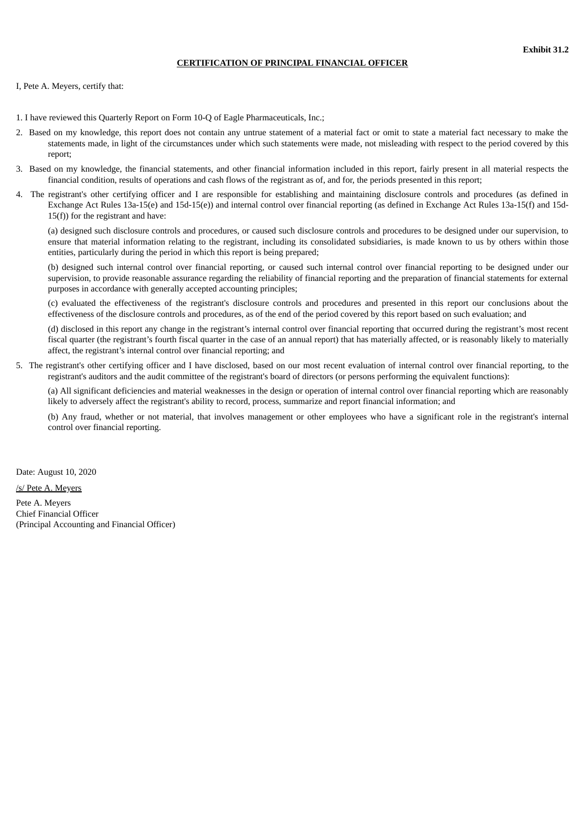### **CERTIFICATION OF PRINCIPAL FINANCIAL OFFICER**

<span id="page-50-0"></span>I, Pete A. Meyers, certify that:

- 1. I have reviewed this Quarterly Report on Form 10-Q of Eagle Pharmaceuticals, Inc.;
- 2. Based on my knowledge, this report does not contain any untrue statement of a material fact or omit to state a material fact necessary to make the statements made, in light of the circumstances under which such statements were made, not misleading with respect to the period covered by this report;
- 3. Based on my knowledge, the financial statements, and other financial information included in this report, fairly present in all material respects the financial condition, results of operations and cash flows of the registrant as of, and for, the periods presented in this report;
- 4. The registrant's other certifying officer and I are responsible for establishing and maintaining disclosure controls and procedures (as defined in Exchange Act Rules 13a-15(e) and 15d-15(e)) and internal control over financial reporting (as defined in Exchange Act Rules 13a-15(f) and 15d-15(f)) for the registrant and have:

(a) designed such disclosure controls and procedures, or caused such disclosure controls and procedures to be designed under our supervision, to ensure that material information relating to the registrant, including its consolidated subsidiaries, is made known to us by others within those entities, particularly during the period in which this report is being prepared;

(b) designed such internal control over financial reporting, or caused such internal control over financial reporting to be designed under our supervision, to provide reasonable assurance regarding the reliability of financial reporting and the preparation of financial statements for external purposes in accordance with generally accepted accounting principles;

(c) evaluated the effectiveness of the registrant's disclosure controls and procedures and presented in this report our conclusions about the effectiveness of the disclosure controls and procedures, as of the end of the period covered by this report based on such evaluation; and

(d) disclosed in this report any change in the registrant's internal control over financial reporting that occurred during the registrant's most recent fiscal quarter (the registrant's fourth fiscal quarter in the case of an annual report) that has materially affected, or is reasonably likely to materially affect, the registrant's internal control over financial reporting; and

5. The registrant's other certifying officer and I have disclosed, based on our most recent evaluation of internal control over financial reporting, to the registrant's auditors and the audit committee of the registrant's board of directors (or persons performing the equivalent functions):

(a) All significant deficiencies and material weaknesses in the design or operation of internal control over financial reporting which are reasonably likely to adversely affect the registrant's ability to record, process, summarize and report financial information; and

(b) Any fraud, whether or not material, that involves management or other employees who have a significant role in the registrant's internal control over financial reporting.

Date: August 10, 2020

/s/ Pete A. Meyers

Pete A. Meyers Chief Financial Officer (Principal Accounting and Financial Officer)